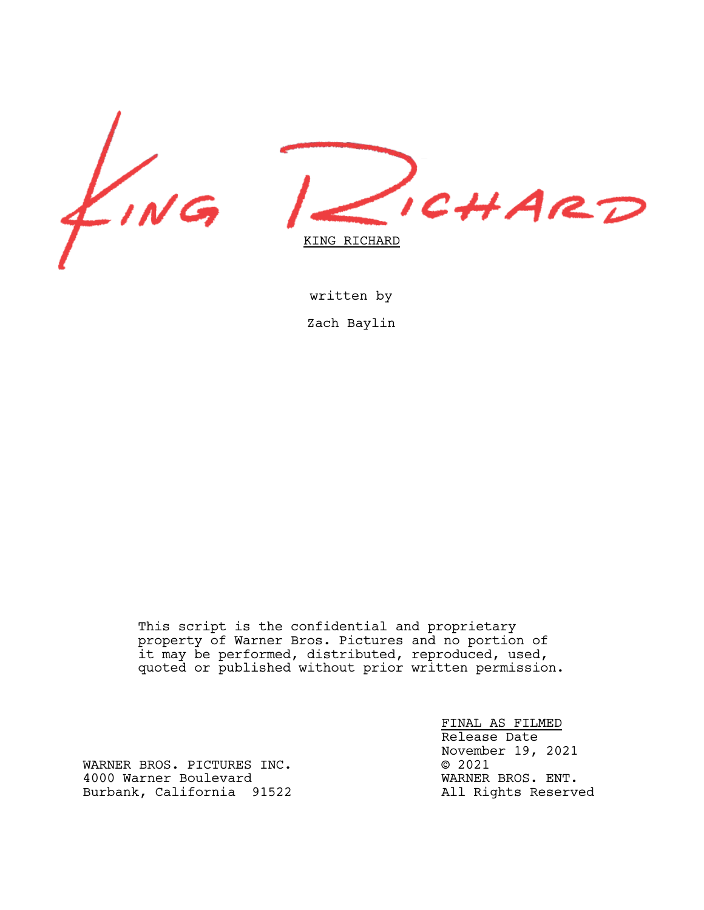



written by Zach Baylin

This script is the confidential and proprietary property of Warner Bros. Pictures and no portion of it may be performed, distributed, reproduced, used, quoted or published without prior written permission.

> FINAL AS FILMED Release Date November 19, 2021<br>© 2021

WARNER BROS. PICTURES INC.<br>4000 Warner Boulevard Games Communications (MARNER BROS. ENT. 4000 Warner Boulevard<br>Burbank, California 91522 MARNER BROS. ENT. Burbank, California 91522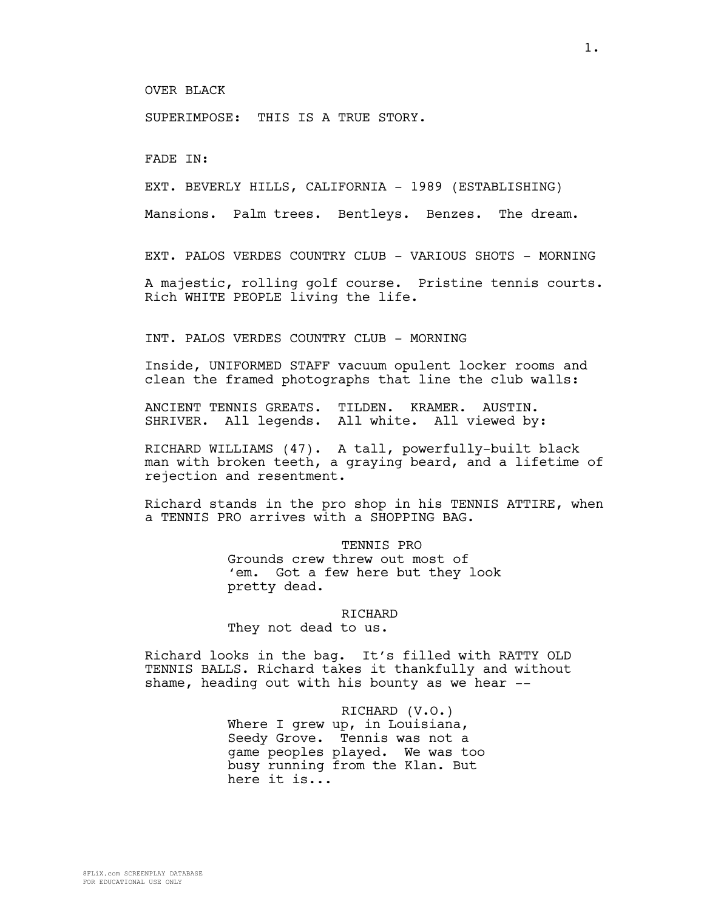OVER BLACK

SUPERIMPOSE: THIS IS A TRUE STORY.

FADE IN:

EXT. BEVERLY HILLS, CALIFORNIA - 1989 (ESTABLISHING)

Mansions. Palm trees. Bentleys. Benzes. The dream.

EXT. PALOS VERDES COUNTRY CLUB - VARIOUS SHOTS - MORNING

A majestic, rolling golf course. Pristine tennis courts. Rich WHITE PEOPLE living the life.

INT. PALOS VERDES COUNTRY CLUB - MORNING

Inside, UNIFORMED STAFF vacuum opulent locker rooms and clean the framed photographs that line the club walls:

ANCIENT TENNIS GREATS. TILDEN. KRAMER. AUSTIN. SHRIVER. All legends. All white. All viewed by:

RICHARD WILLIAMS (47). A tall, powerfully-built black man with broken teeth, a graying beard, and a lifetime of rejection and resentment.

Richard stands in the pro shop in his TENNIS ATTIRE, when a TENNIS PRO arrives with a SHOPPING BAG.

> TENNIS PRO Grounds crew threw out most of 'em. Got a few here but they look pretty dead.

RICHARD They not dead to us.

Richard looks in the bag. It's filled with RATTY OLD TENNIS BALLS. Richard takes it thankfully and without shame, heading out with his bounty as we hear  $-$ -

> RICHARD (V.O.) Where I grew up, in Louisiana, Seedy Grove. Tennis was not a game peoples played. We was too busy running from the Klan. But here it is...

8FLiX.com SCREENPLAY DATABASE FOR EDUCATIONAL USE ONLY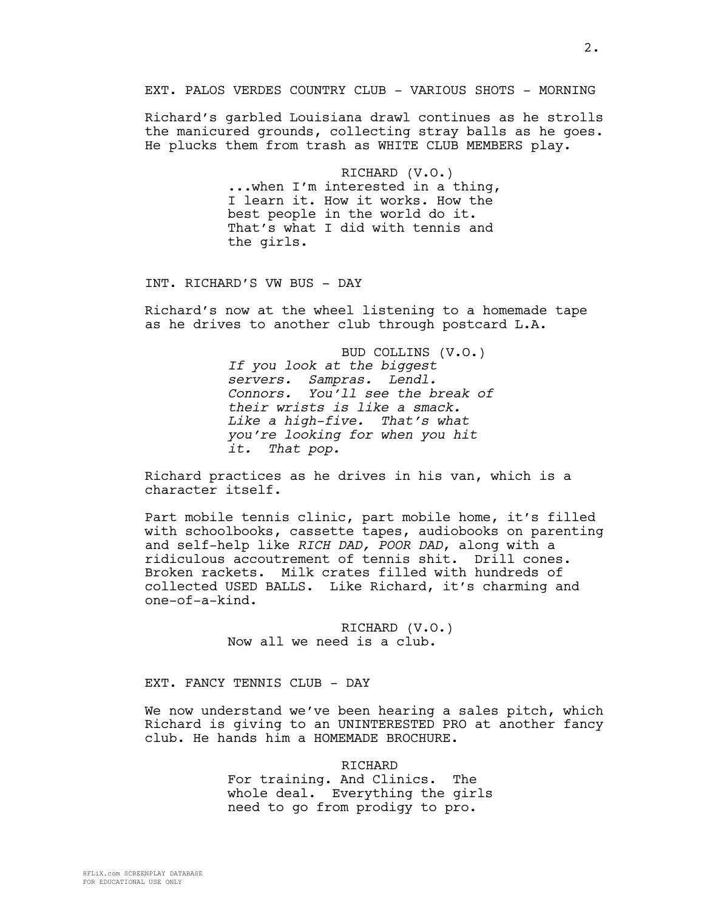Richard's garbled Louisiana drawl continues as he strolls the manicured grounds, collecting stray balls as he goes. He plucks them from trash as WHITE CLUB MEMBERS play.

> RICHARD (V.O.) ...when I'm interested in a thing, I learn it. How it works. How the best people in the world do it. That's what I did with tennis and the girls.

INT. RICHARD'S VW BUS - DAY

Richard's now at the wheel listening to a homemade tape as he drives to another club through postcard L.A.

> BUD COLLINS (V.O.) *If you look at the biggest servers. Sampras. Lendl. Connors. You'll see the break of their wrists is like a smack. Like a high-five. That's what you're looking for when you hit it. That pop.*

Richard practices as he drives in his van, which is a character itself.

Part mobile tennis clinic, part mobile home, it's filled with schoolbooks, cassette tapes, audiobooks on parenting and self-help like *RICH DAD, POOR DAD*, along with a ridiculous accoutrement of tennis shit. Drill cones. Broken rackets. Milk crates filled with hundreds of collected USED BALLS. Like Richard, it's charming and one-of-a-kind.

> RICHARD (V.O.) Now all we need is a club.

EXT. FANCY TENNIS CLUB - DAY

We now understand we've been hearing a sales pitch, which Richard is giving to an UNINTERESTED PRO at another fancy club. He hands him a HOMEMADE BROCHURE.

> RICHARD For training. And Clinics. The whole deal. Everything the girls need to go from prodigy to pro.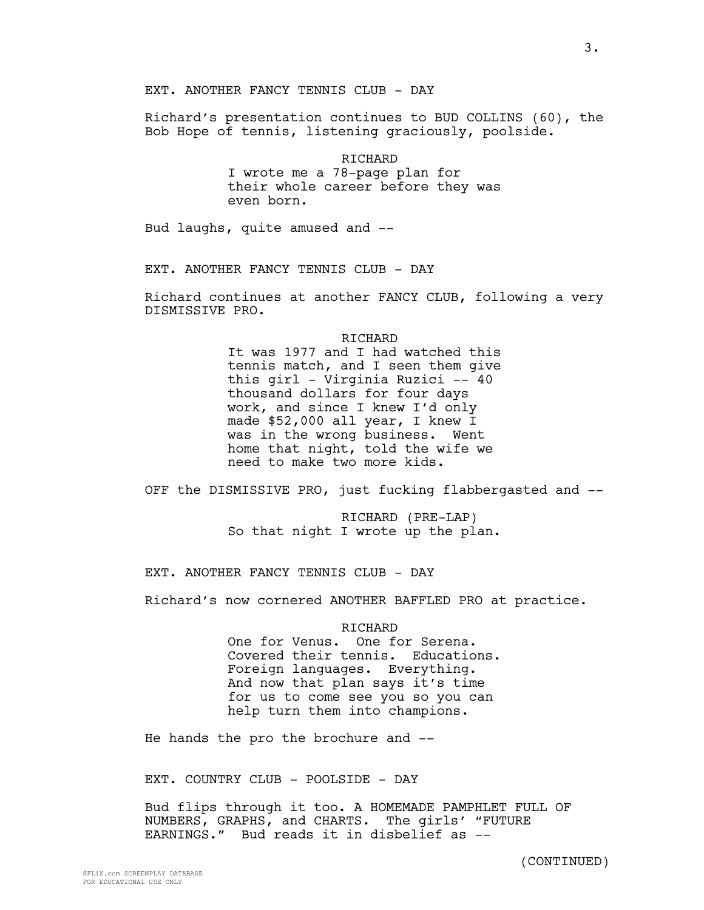Richard's presentation continues to BUD COLLINS (60), the Bob Hope of tennis, listening graciously, poolside.

> RICHARD I wrote me a 78-page plan for their whole career before they was even born.

Bud laughs, quite amused and --

EXT. ANOTHER FANCY TENNIS CLUB - DAY

Richard continues at another FANCY CLUB, following a very DISMISSIVE PRO.

RICHARD

It was 1977 and I had watched this tennis match, and I seen them give this girl - Virginia Ruzici -- 40 thousand dollars for four days work, and since I knew I'd only made \$52,000 all year, I knew I was in the wrong business. Went home that night, told the wife we need to make two more kids.

OFF the DISMISSIVE PRO, just fucking flabbergasted and --

RICHARD (PRE-LAP) So that night I wrote up the plan.

EXT. ANOTHER FANCY TENNIS CLUB - DAY

Richard's now cornered ANOTHER BAFFLED PRO at practice.

#### RICHARD

One for Venus. One for Serena. Covered their tennis. Educations. Foreign languages. Everything. And now that plan says it's time for us to come see you so you can help turn them into champions.

He hands the pro the brochure and --

EXT. COUNTRY CLUB - POOLSIDE - DAY

Bud flips through it too. A HOMEMADE PAMPHLET FULL OF NUMBERS, GRAPHS, and CHARTS. The girls' "FUTURE EARNINGS." Bud reads it in disbelief as --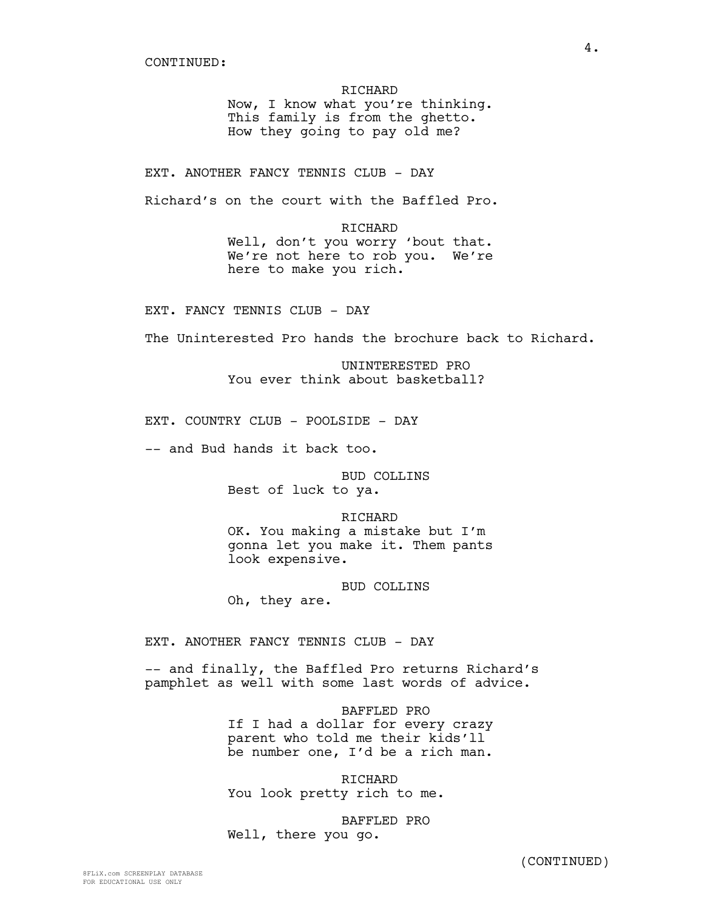RICHARD Now, I know what you're thinking. This family is from the ghetto. How they going to pay old me?

EXT. ANOTHER FANCY TENNIS CLUB - DAY

Richard's on the court with the Baffled Pro.

RICHARD Well, don't you worry 'bout that. We're not here to rob you. We're here to make you rich.

EXT. FANCY TENNIS CLUB - DAY

The Uninterested Pro hands the brochure back to Richard.

UNINTERESTED PRO You ever think about basketball?

EXT. COUNTRY CLUB - POOLSIDE - DAY

-- and Bud hands it back too.

BUD COLLINS Best of luck to ya.

RICHARD OK. You making a mistake but I'm gonna let you make it. Them pants look expensive.

BUD COLLINS Oh, they are.

EXT. ANOTHER FANCY TENNIS CLUB - DAY

-- and finally, the Baffled Pro returns Richard's pamphlet as well with some last words of advice.

> BAFFLED PRO If I had a dollar for every crazy parent who told me their kids'll be number one, I'd be a rich man.

RICHARD You look pretty rich to me.

BAFFLED PRO Well, there you go.

(CONTINUED)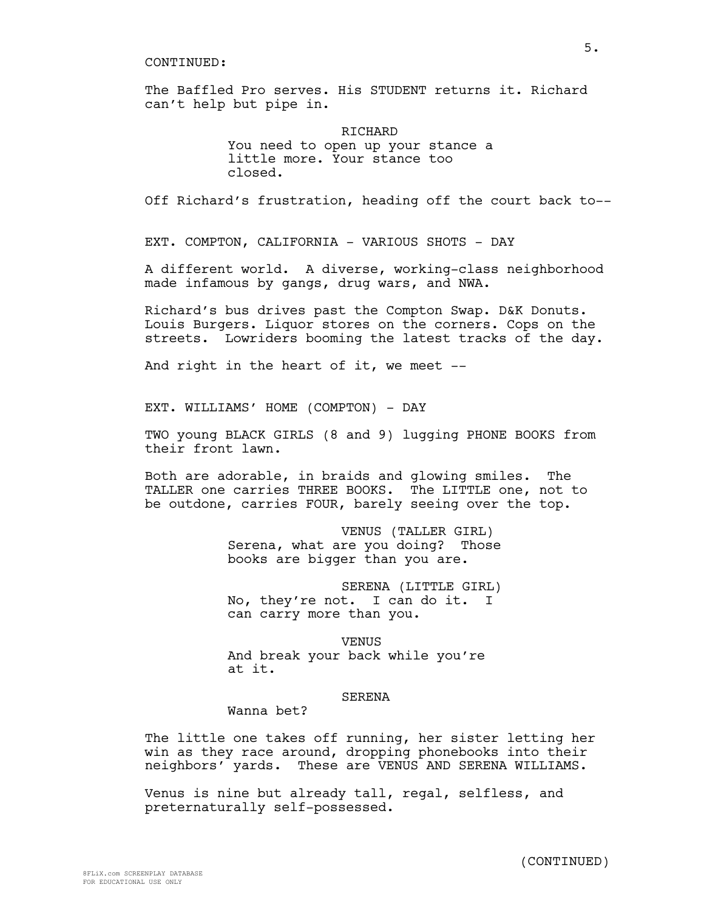The Baffled Pro serves. His STUDENT returns it. Richard can't help but pipe in.

> **RICHARD** You need to open up your stance a little more. Your stance too closed.

Off Richard's frustration, heading off the court back to--

EXT. COMPTON, CALIFORNIA - VARIOUS SHOTS - DAY

A different world. A diverse, working-class neighborhood made infamous by gangs, drug wars, and NWA.

Richard's bus drives past the Compton Swap. D&K Donuts. Louis Burgers. Liquor stores on the corners. Cops on the streets. Lowriders booming the latest tracks of the day.

And right in the heart of it, we meet --

EXT. WILLIAMS' HOME (COMPTON) - DAY

TWO young BLACK GIRLS (8 and 9) lugging PHONE BOOKS from their front lawn.

Both are adorable, in braids and glowing smiles. The TALLER one carries THREE BOOKS. The LITTLE one, not to be outdone, carries FOUR, barely seeing over the top.

> VENUS (TALLER GIRL) Serena, what are you doing? Those books are bigger than you are.

> SERENA (LITTLE GIRL) No, they're not. I can do it. I can carry more than you.

VENUS And break your back while you're at it.

#### SERENA

Wanna bet?

The little one takes off running, her sister letting her win as they race around, dropping phonebooks into their neighbors' yards. These are VENUS AND SERENA WILLIAMS.

Venus is nine but already tall, regal, selfless, and preternaturally self-possessed.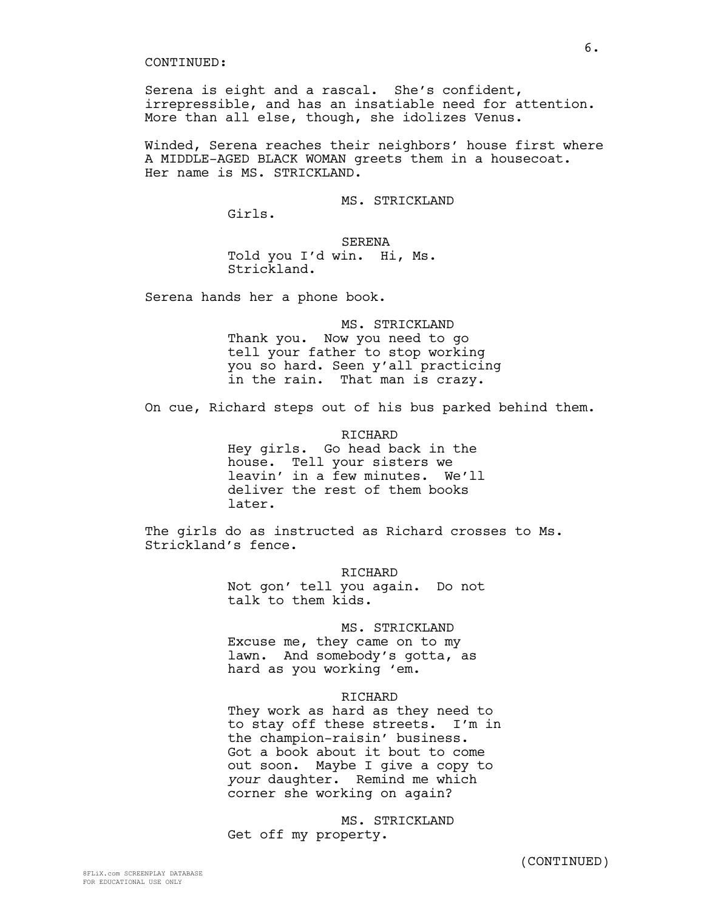Serena is eight and a rascal. She's confident, irrepressible, and has an insatiable need for attention. More than all else, though, she idolizes Venus.

Winded, Serena reaches their neighbors' house first where A MIDDLE-AGED BLACK WOMAN greets them in a housecoat. Her name is MS. STRICKLAND.

MS. STRICKLAND

Girls.

SERENA Told you I'd win. Hi, Ms. Strickland.

Serena hands her a phone book.

MS. STRICKLAND Thank you. Now you need to go tell your father to stop working you so hard. Seen y'all practicing in the rain. That man is crazy.

On cue, Richard steps out of his bus parked behind them.

RICHARD Hey girls. Go head back in the house. Tell your sisters we leavin' in a few minutes. We'll deliver the rest of them books later.

The girls do as instructed as Richard crosses to Ms. Strickland's fence.

> RICHARD Not gon' tell you again. Do not talk to them kids.

### MS. STRICKLAND

Excuse me, they came on to my lawn. And somebody's gotta, as hard as you working 'em.

#### RICHARD

They work as hard as they need to to stay off these streets. I'm in the champion-raisin' business. Got a book about it bout to come out soon. Maybe I give a copy to *your* daughter. Remind me which corner she working on again?

MS. STRICKLAND Get off my property.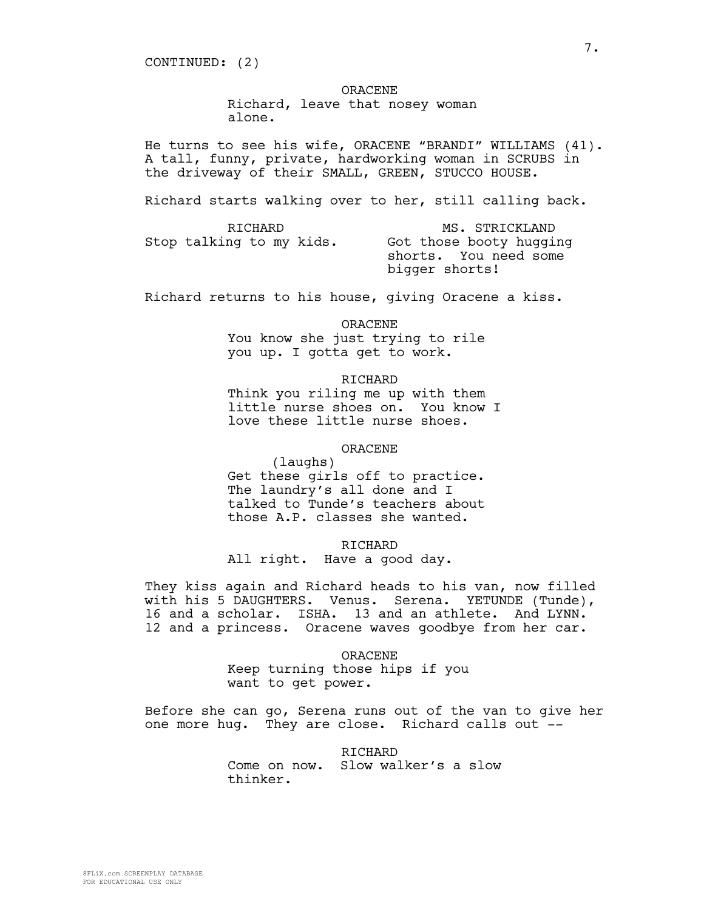CONTINUED: (2)

ORACENE

Richard, leave that nosey woman

alone.

He turns to see his wife, ORACENE "BRANDI" WILLIAMS (41). A tall, funny, private, hardworking woman in SCRUBS in the driveway of their SMALL, GREEN, STUCCO HOUSE.

Richard starts walking over to her, still calling back.

| RICHARD                  | MS. STRICKLAND                                                     |
|--------------------------|--------------------------------------------------------------------|
| Stop talking to my kids. | Got those booty hugging<br>shorts. You need some<br>bigger shorts! |

Richard returns to his house, giving Oracene a kiss.

ORACENE You know she just trying to rile you up. I gotta get to work.

RICHARD

Think you riling me up with them little nurse shoes on. You know I love these little nurse shoes.

ORACENE

(laughs) Get these girls off to practice. The laundry's all done and I talked to Tunde's teachers about those A.P. classes she wanted.

RICHARD

All right. Have a good day.

They kiss again and Richard heads to his van, now filled with his 5 DAUGHTERS. Venus. Serena. YETUNDE (Tunde), 16 and a scholar. ISHA. 13 and an athlete. And LYNN. 12 and a princess. Oracene waves goodbye from her car.

ORACENE

Keep turning those hips if you want to get power.

Before she can go, Serena runs out of the van to give her one more hug. They are close. Richard calls out --

> RICHARD Come on now. Slow walker's a slow thinker.

7.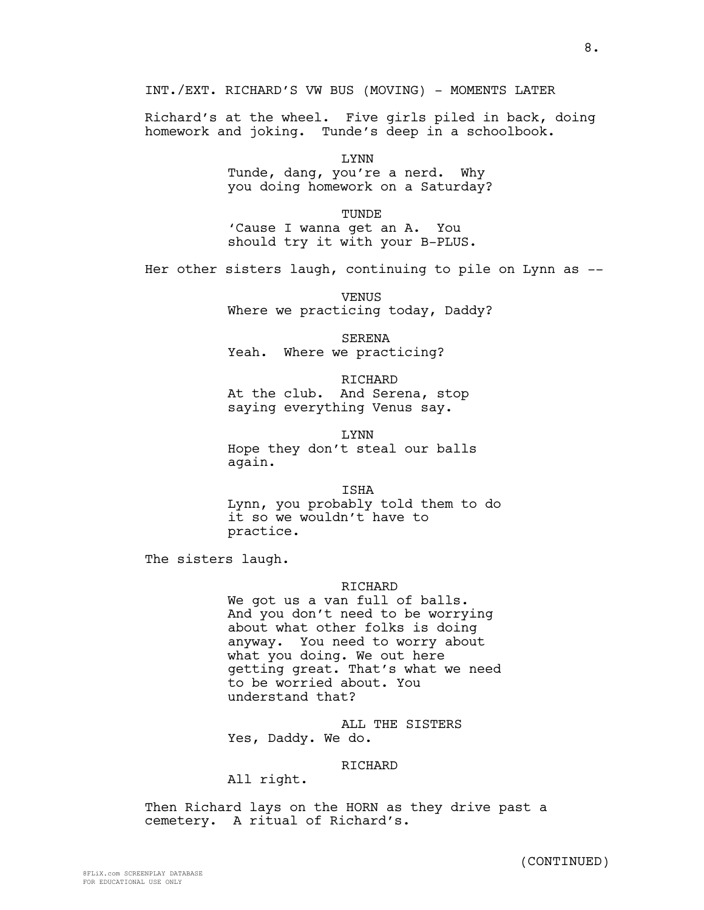INT./EXT. RICHARD'S VW BUS (MOVING) - MOMENTS LATER

Richard's at the wheel. Five girls piled in back, doing homework and joking. Tunde's deep in a schoolbook.

> LYNN Tunde, dang, you're a nerd. Why you doing homework on a Saturday?

TUNDE 'Cause I wanna get an A. You should try it with your B-PLUS.

Her other sisters laugh, continuing to pile on Lynn as --

VENUS Where we practicing today, Daddy?

SERENA Yeah. Where we practicing?

RICHARD At the club. And Serena, stop saying everything Venus say.

LYNN Hope they don't steal our balls again.

ISHA Lynn, you probably told them to do it so we wouldn't have to practice.

The sisters laugh.

#### **RICHARD**

We got us a van full of balls. And you don't need to be worrying about what other folks is doing anyway. You need to worry about what you doing. We out here getting great. That's what we need to be worried about. You understand that?

ALL THE SISTERS Yes, Daddy. We do.

### RICHARD

All right.

Then Richard lays on the HORN as they drive past a cemetery. A ritual of Richard's.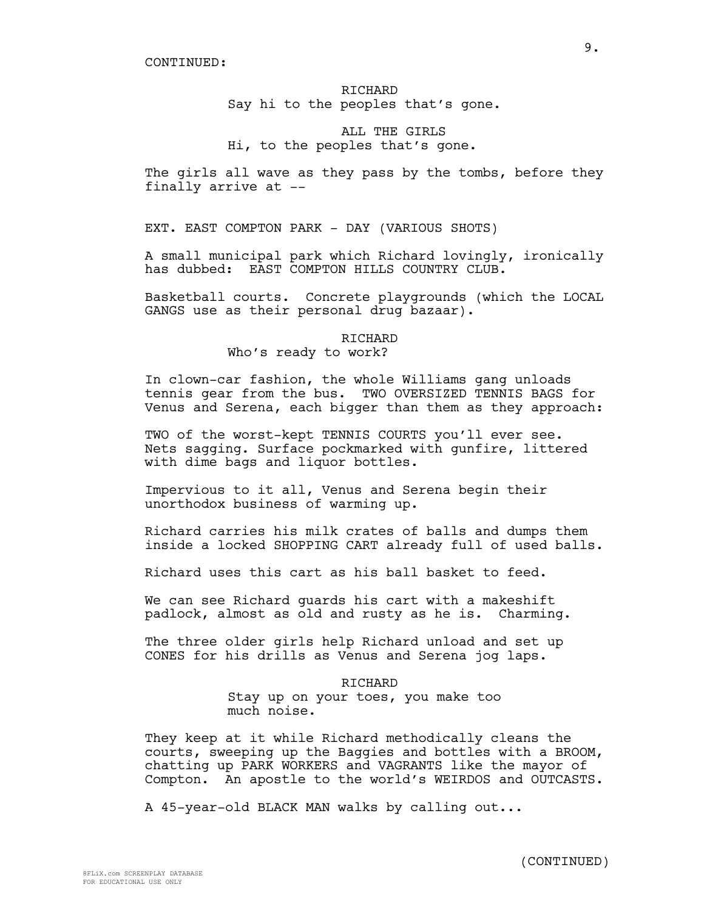# RICHARD Say hi to the peoples that's gone.

# ALL THE GIRLS Hi, to the peoples that's gone.

The girls all wave as they pass by the tombs, before they finally arrive at --

EXT. EAST COMPTON PARK - DAY (VARIOUS SHOTS)

A small municipal park which Richard lovingly, ironically has dubbed: EAST COMPTON HILLS COUNTRY CLUB.

Basketball courts. Concrete playgrounds (which the LOCAL GANGS use as their personal drug bazaar).

## RICHARD Who's ready to work?

In clown-car fashion, the whole Williams gang unloads tennis gear from the bus. TWO OVERSIZED TENNIS BAGS for Venus and Serena, each bigger than them as they approach:

TWO of the worst-kept TENNIS COURTS you'll ever see. Nets sagging. Surface pockmarked with gunfire, littered with dime bags and liquor bottles.

Impervious to it all, Venus and Serena begin their unorthodox business of warming up.

Richard carries his milk crates of balls and dumps them inside a locked SHOPPING CART already full of used balls.

Richard uses this cart as his ball basket to feed.

We can see Richard guards his cart with a makeshift padlock, almost as old and rusty as he is. Charming.

The three older girls help Richard unload and set up CONES for his drills as Venus and Serena jog laps.

### RICHARD

Stay up on your toes, you make too much noise.

They keep at it while Richard methodically cleans the courts, sweeping up the Baggies and bottles with a BROOM, chatting up PARK WORKERS and VAGRANTS like the mayor of Compton. An apostle to the world's WEIRDOS and OUTCASTS.

A 45-year-old BLACK MAN walks by calling out...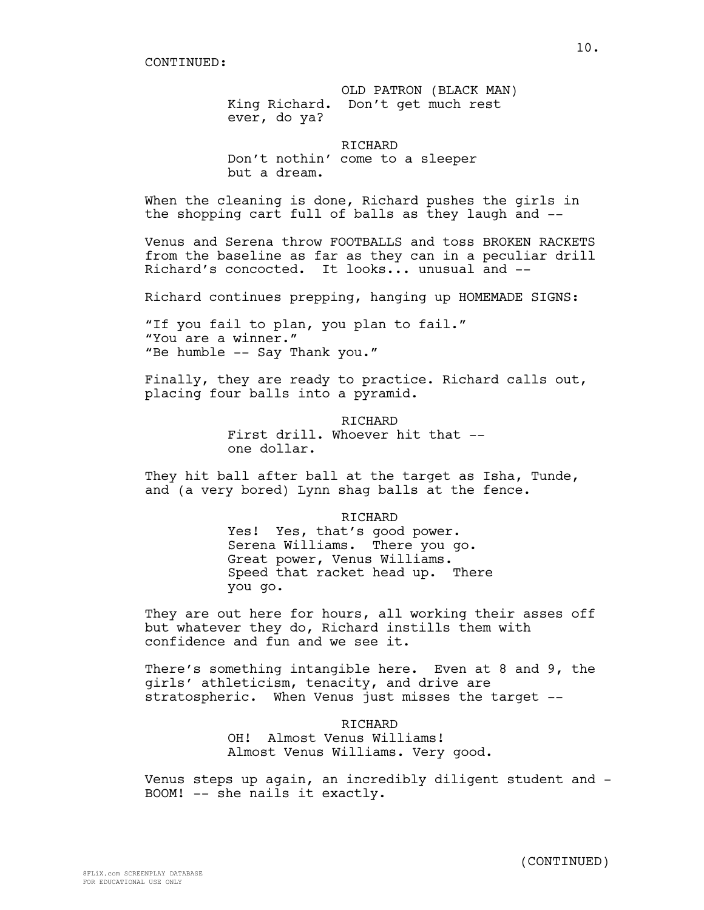OLD PATRON (BLACK MAN) King Richard. Don't get much rest ever, do ya?

RICHARD Don't nothin' come to a sleeper but a dream.

When the cleaning is done, Richard pushes the girls in the shopping cart full of balls as they laugh and --

Venus and Serena throw FOOTBALLS and toss BROKEN RACKETS from the baseline as far as they can in a peculiar drill Richard's concocted. It looks... unusual and --

Richard continues prepping, hanging up HOMEMADE SIGNS:

"If you fail to plan, you plan to fail." "You are a winner." "Be humble -- Say Thank you."

Finally, they are ready to practice. Richard calls out, placing four balls into a pyramid.

> RICHARD First drill. Whoever hit that -one dollar.

They hit ball after ball at the target as Isha, Tunde, and (a very bored) Lynn shag balls at the fence.

> RICHARD Yes! Yes, that's good power. Serena Williams. There you go. Great power, Venus Williams. Speed that racket head up. There you go.

They are out here for hours, all working their asses off but whatever they do, Richard instills them with confidence and fun and we see it.

There's something intangible here. Even at 8 and 9, the girls' athleticism, tenacity, and drive are stratospheric. When Venus just misses the target --

> RICHARD OH! Almost Venus Williams! Almost Venus Williams. Very good.

Venus steps up again, an incredibly diligent student and - BOOM! -- she nails it exactly.

10.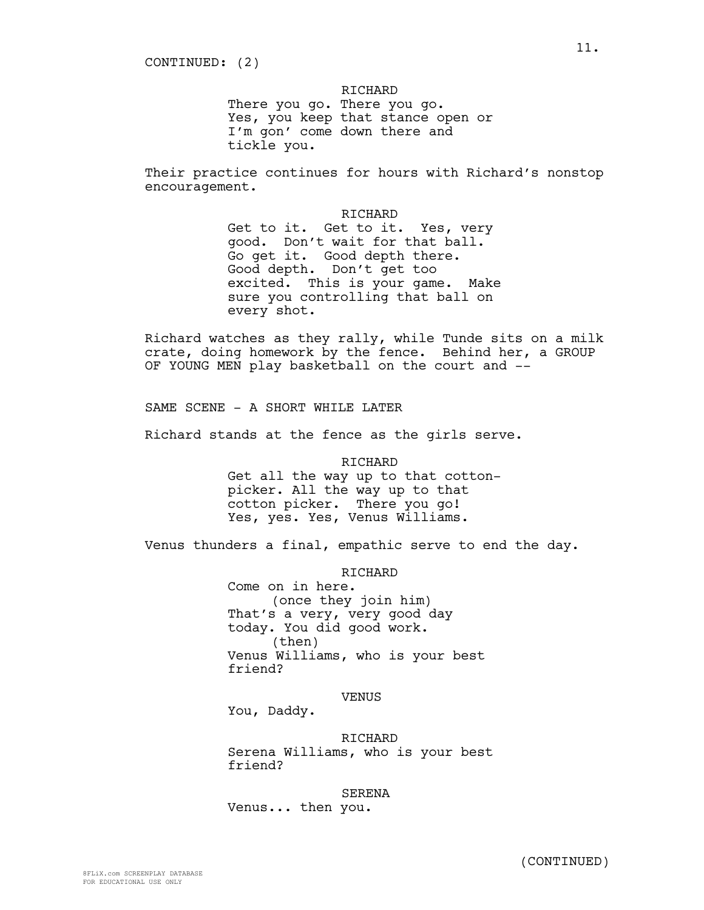RICHARD There you go. There you go. Yes, you keep that stance open or I'm gon' come down there and tickle you.

Their practice continues for hours with Richard's nonstop encouragement.

> RICHARD Get to it. Get to it. Yes, very good. Don't wait for that ball. Go get it. Good depth there. Good depth. Don't get too excited. This is your game. Make sure you controlling that ball on every shot.

Richard watches as they rally, while Tunde sits on a milk crate, doing homework by the fence. Behind her, a GROUP OF YOUNG MEN play basketball on the court and --

SAME SCENE - A SHORT WHILE LATER

Richard stands at the fence as the girls serve.

RICHARD Get all the way up to that cottonpicker. All the way up to that cotton picker. There you go! Yes, yes. Yes, Venus Williams.

Venus thunders a final, empathic serve to end the day.

RICHARD

Come on in here. (once they join him) That's a very, very good day today. You did good work. (then) Venus Williams, who is your best friend?

VENUS

You, Daddy.

RICHARD

Serena Williams, who is your best friend?

SERENA Venus... then you.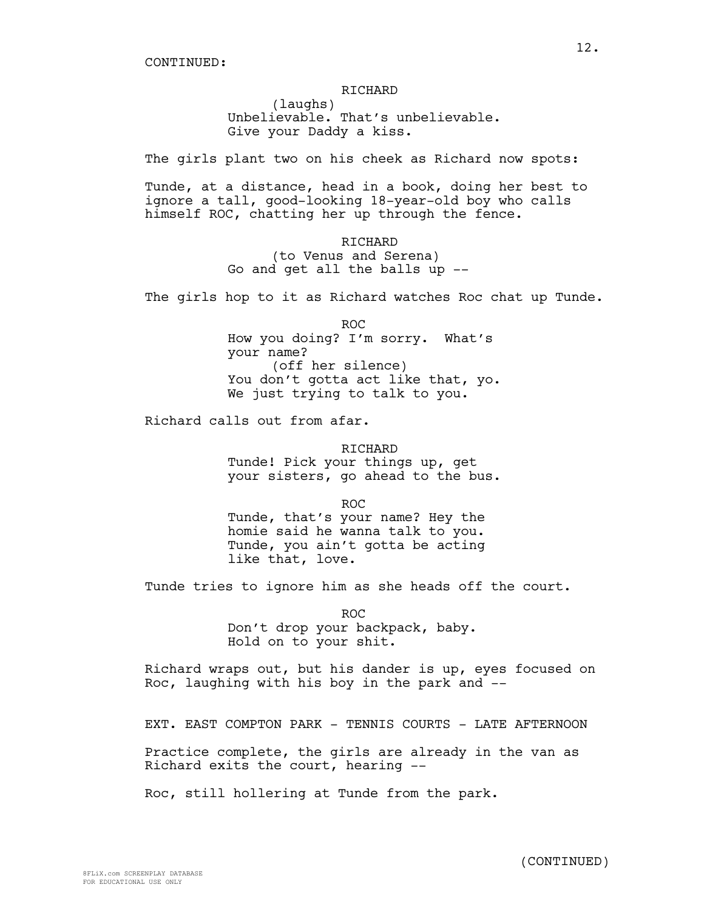(laughs) Unbelievable. That's unbelievable. Give your Daddy a kiss.

The girls plant two on his cheek as Richard now spots:

Tunde, at a distance, head in a book, doing her best to ignore a tall, good-looking 18-year-old boy who calls himself ROC, chatting her up through the fence.

> RICHARD (to Venus and Serena) Go and get all the balls up --

The girls hop to it as Richard watches Roc chat up Tunde.

ROC How you doing? I'm sorry. What's your name? (off her silence) You don't gotta act like that, yo. We just trying to talk to you.

Richard calls out from afar.

RICHARD Tunde! Pick your things up, get your sisters, go ahead to the bus.

ROC

Tunde, that's your name? Hey the homie said he wanna talk to you. Tunde, you ain't gotta be acting like that, love.

Tunde tries to ignore him as she heads off the court.

ROC Don't drop your backpack, baby. Hold on to your shit.

Richard wraps out, but his dander is up, eyes focused on Roc, laughing with his boy in the park and --

EXT. EAST COMPTON PARK - TENNIS COURTS - LATE AFTERNOON

Practice complete, the girls are already in the van as Richard exits the court, hearing --

Roc, still hollering at Tunde from the park.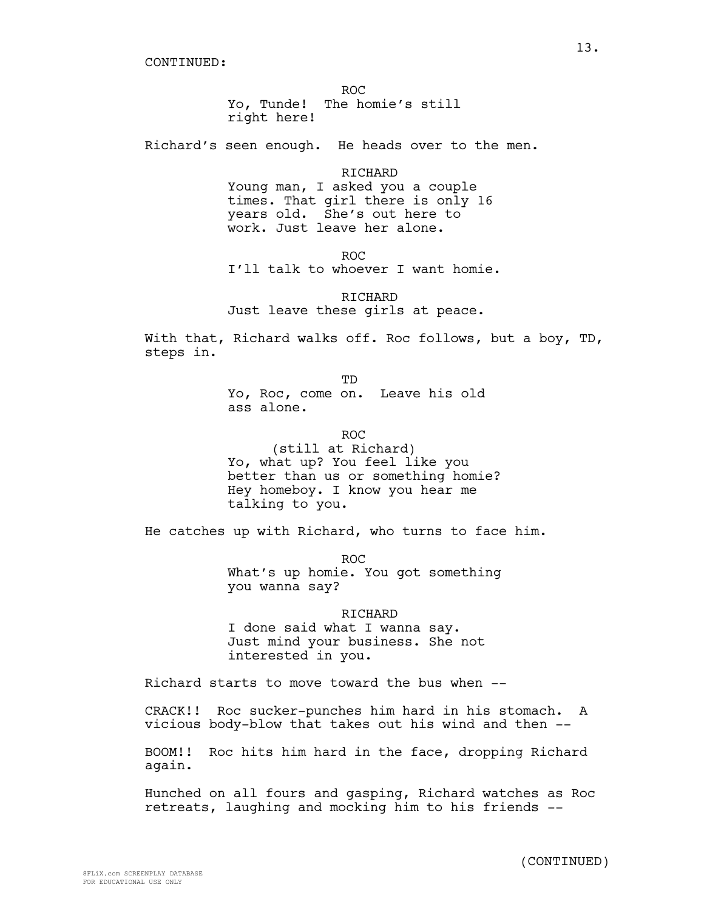ROC Yo, Tunde! The homie's still right here!

Richard's seen enough. He heads over to the men.

RICHARD Young man, I asked you a couple times. That girl there is only 16 years old. She's out here to work. Just leave her alone.

ROC

I'll talk to whoever I want homie.

RICHARD Just leave these girls at peace.

With that, Richard walks off. Roc follows, but a boy, TD, steps in.

> TD Yo, Roc, come on. Leave his old ass alone.

> > ROC

(still at Richard) Yo, what up? You feel like you better than us or something homie? Hey homeboy. I know you hear me talking to you.

He catches up with Richard, who turns to face him.

ROC What's up homie. You got something you wanna say?

RICHARD I done said what I wanna say. Just mind your business. She not interested in you.

Richard starts to move toward the bus when --

CRACK!! Roc sucker-punches him hard in his stomach. A vicious body-blow that takes out his wind and then --

BOOM!! Roc hits him hard in the face, dropping Richard again.

Hunched on all fours and gasping, Richard watches as Roc retreats, laughing and mocking him to his friends --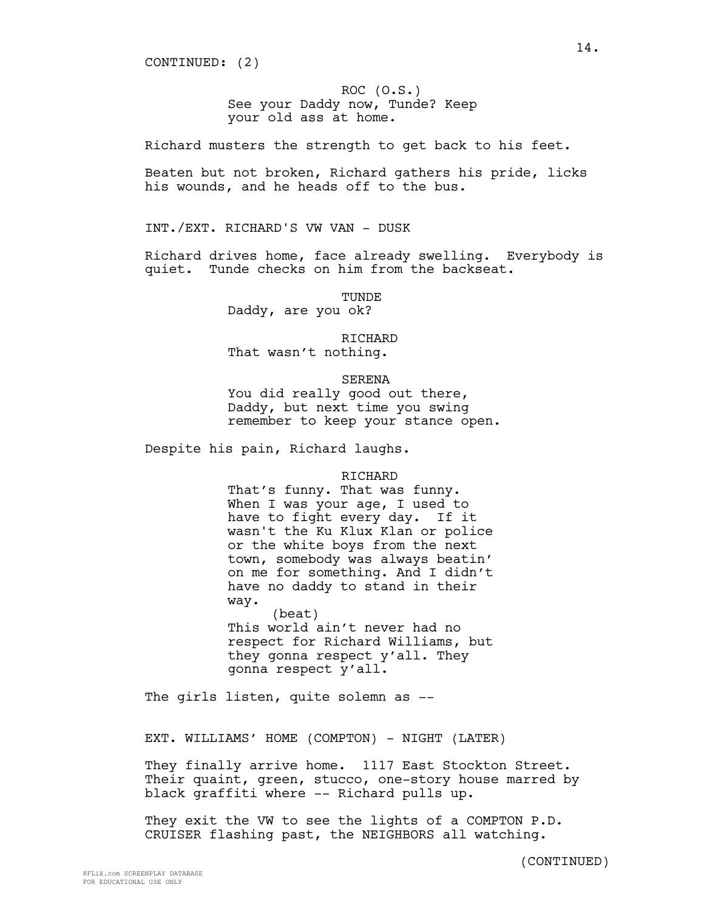CONTINUED: (2)

ROC (O.S.) See your Daddy now, Tunde? Keep your old ass at home.

Richard musters the strength to get back to his feet.

Beaten but not broken, Richard gathers his pride, licks his wounds, and he heads off to the bus.

INT./EXT. RICHARD'S VW VAN - DUSK

Richard drives home, face already swelling. Everybody is quiet. Tunde checks on him from the backseat.

TUNDE

Daddy, are you ok?

RICHARD

That wasn't nothing.

SERENA

You did really good out there, Daddy, but next time you swing remember to keep your stance open.

Despite his pain, Richard laughs.

RICHARD

That's funny. That was funny. When I was your age, I used to have to fight every day. If it wasn't the Ku Klux Klan or police or the white boys from the next town, somebody was always beatin' on me for something. And I didn't have no daddy to stand in their way.

(beat) This world ain't never had no respect for Richard Williams, but they gonna respect y'all. They gonna respect y'all.

The girls listen, quite solemn as --

EXT. WILLIAMS' HOME (COMPTON) - NIGHT (LATER)

They finally arrive home. 1117 East Stockton Street. Their quaint, green, stucco, one-story house marred by black graffiti where -- Richard pulls up.

They exit the VW to see the lights of a COMPTON P.D. CRUISER flashing past, the NEIGHBORS all watching.

(CONTINUED)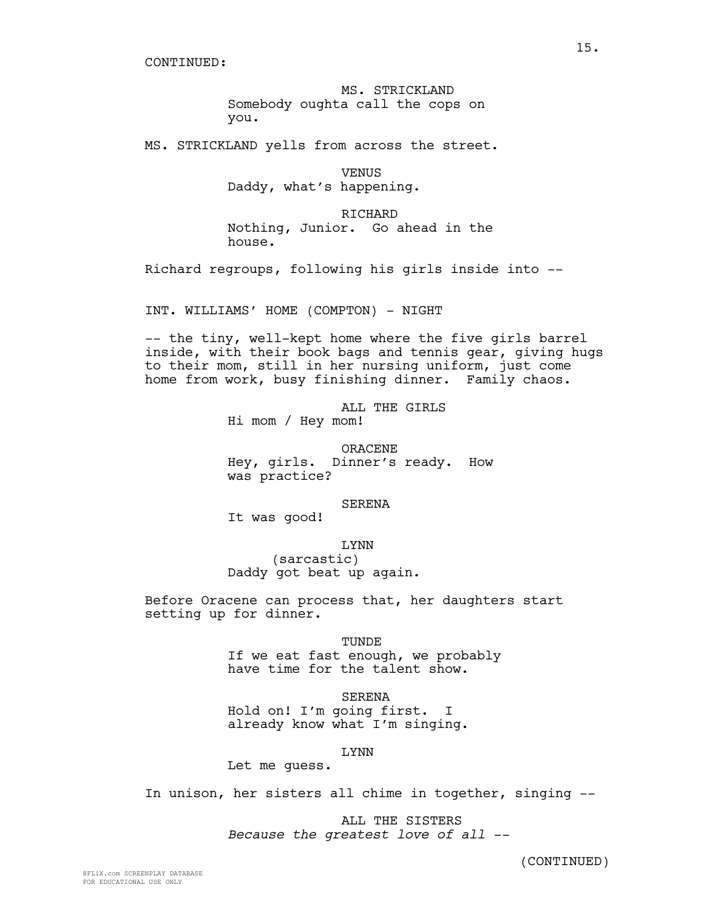MS. STRICKLAND Somebody oughta call the cops on you.

MS. STRICKLAND yells from across the street.

VENUS Daddy, what's happening.

RICHARD Nothing, Junior. Go ahead in the house.

Richard regroups, following his girls inside into --

INT. WILLIAMS' HOME (COMPTON) - NIGHT

-- the tiny, well-kept home where the five girls barrel inside, with their book bags and tennis gear, giving hugs to their mom, still in her nursing uniform, just come home from work, busy finishing dinner. Family chaos.

> ALL THE GIRLS Hi mom / Hey mom!

ORACENE Hey, girls. Dinner's ready. How was practice?

SERENA

It was good!

LYNN

(sarcastic) Daddy got beat up again.

Before Oracene can process that, her daughters start setting up for dinner.

**TUNDE** 

If we eat fast enough, we probably have time for the talent show.

SERENA Hold on! I'm going first. I already know what I'm singing.

LYNN

Let me guess.

In unison, her sisters all chime in together, singing --

ALL THE SISTERS *Because the greatest love of all --*

(CONTINUED)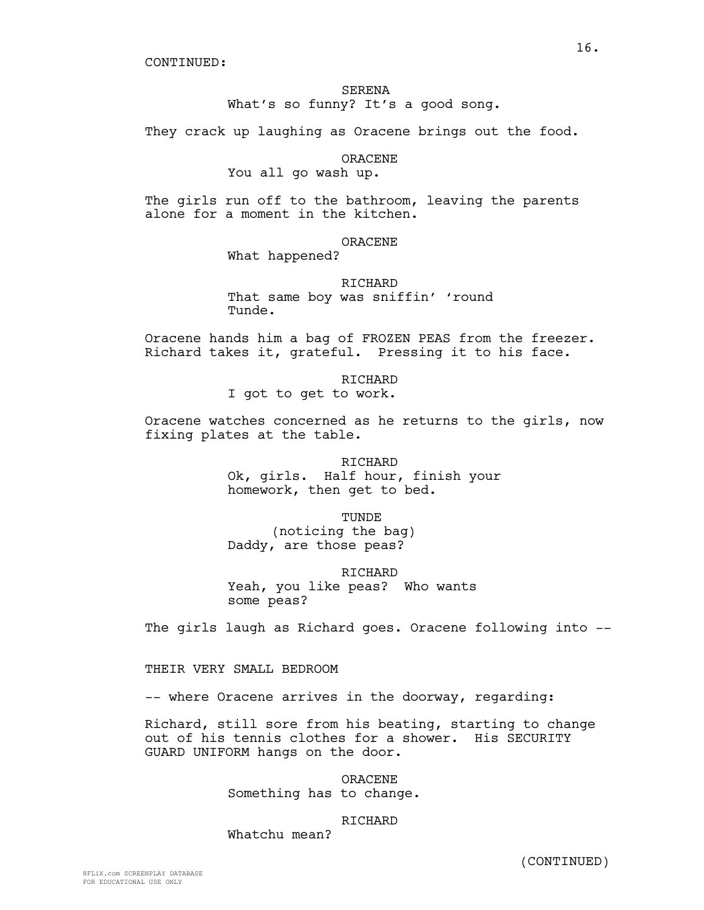# SERENA

What's so funny? It's a good song.

They crack up laughing as Oracene brings out the food.

ORACENE

You all go wash up.

The girls run off to the bathroom, leaving the parents alone for a moment in the kitchen.

ORACENE

What happened?

RICHARD That same boy was sniffin' 'round Tunde.

Oracene hands him a bag of FROZEN PEAS from the freezer. Richard takes it, grateful. Pressing it to his face.

> RICHARD I got to get to work.

Oracene watches concerned as he returns to the girls, now fixing plates at the table.

> RICHARD Ok, girls. Half hour, finish your homework, then get to bed.

> > TUNDE

(noticing the bag) Daddy, are those peas?

RICHARD Yeah, you like peas? Who wants some peas?

The girls laugh as Richard goes. Oracene following into --

THEIR VERY SMALL BEDROOM

-- where Oracene arrives in the doorway, regarding:

Richard, still sore from his beating, starting to change out of his tennis clothes for a shower. His SECURITY GUARD UNIFORM hangs on the door.

> ORACENE Something has to change.

> > RICHARD

Whatchu mean?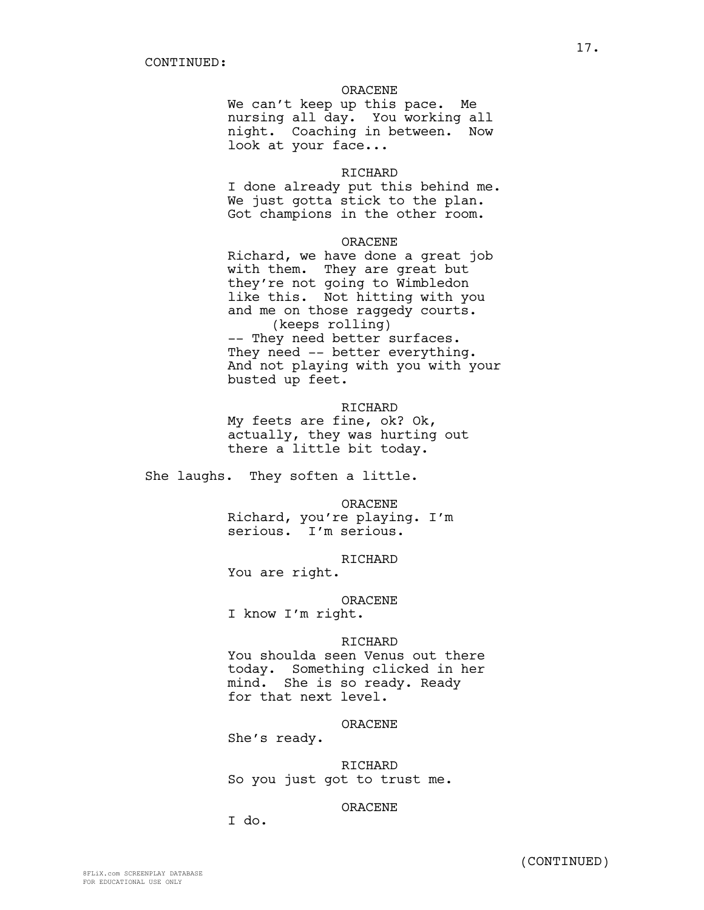### ORACENE

We can't keep up this pace. Me nursing all day. You working all night. Coaching in between. Now look at your face...

### RICHARD

I done already put this behind me. We just gotta stick to the plan. Got champions in the other room.

### ORACENE

Richard, we have done a great job with them. They are great but they're not going to Wimbledon like this. Not hitting with you and me on those raggedy courts. (keeps rolling) -- They need better surfaces. They need -- better everything.

And not playing with you with your busted up feet.

### RICHARD

My feets are fine, ok? Ok, actually, they was hurting out there a little bit today.

She laughs. They soften a little.

#### ORACENE

Richard, you're playing. I'm serious. I'm serious.

#### RICHARD

You are right.

### ORACENE

I know I'm right.

#### RICHARD

You shoulda seen Venus out there today. Something clicked in her mind. She is so ready. Ready for that next level.

### ORACENE

She's ready.

RICHARD So you just got to trust me.

### ORACENE

I do.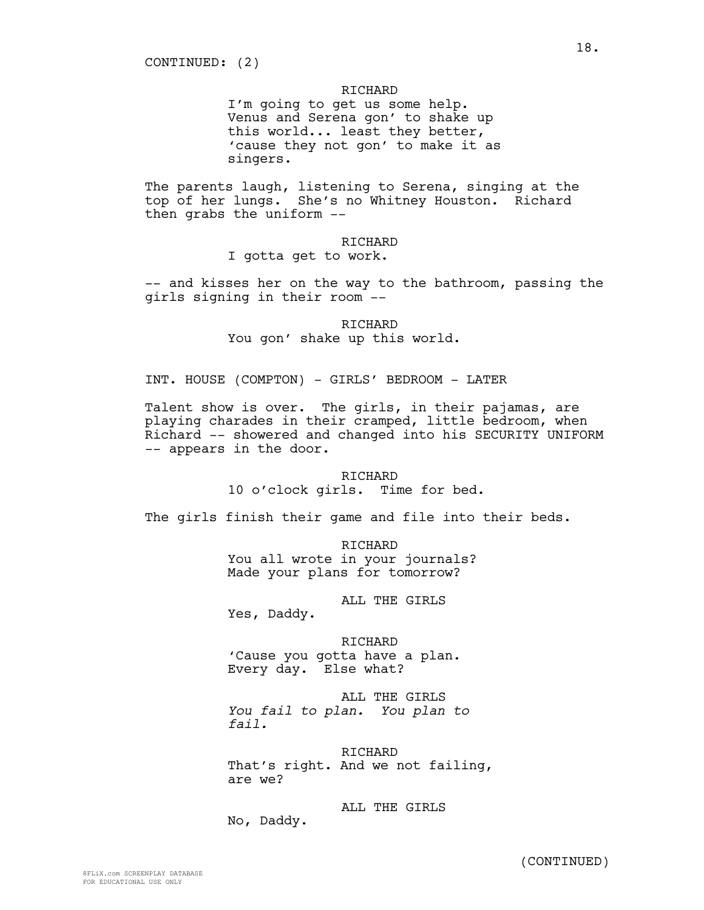I'm going to get us some help. Venus and Serena gon' to shake up this world... least they better, 'cause they not gon' to make it as singers.

The parents laugh, listening to Serena, singing at the top of her lungs. She's no Whitney Houston. Richard then grabs the uniform --

RICHARD

I gotta get to work.

-- and kisses her on the way to the bathroom, passing the girls signing in their room --

> RICHARD You gon' shake up this world.

INT. HOUSE (COMPTON) - GIRLS' BEDROOM - LATER

Talent show is over. The girls, in their pajamas, are playing charades in their cramped, little bedroom, when Richard -- showered and changed into his SECURITY UNIFORM -- appears in the door.

> RICHARD 10 o'clock girls. Time for bed.

The girls finish their game and file into their beds.

RICHARD You all wrote in your journals? Made your plans for tomorrow?

ALL THE GIRLS

Yes, Daddy.

RICHARD 'Cause you gotta have a plan. Every day. Else what?

ALL THE GIRLS *You fail to plan. You plan to fail.*

RICHARD That's right. And we not failing, are we?

ALL THE GIRLS No, Daddy.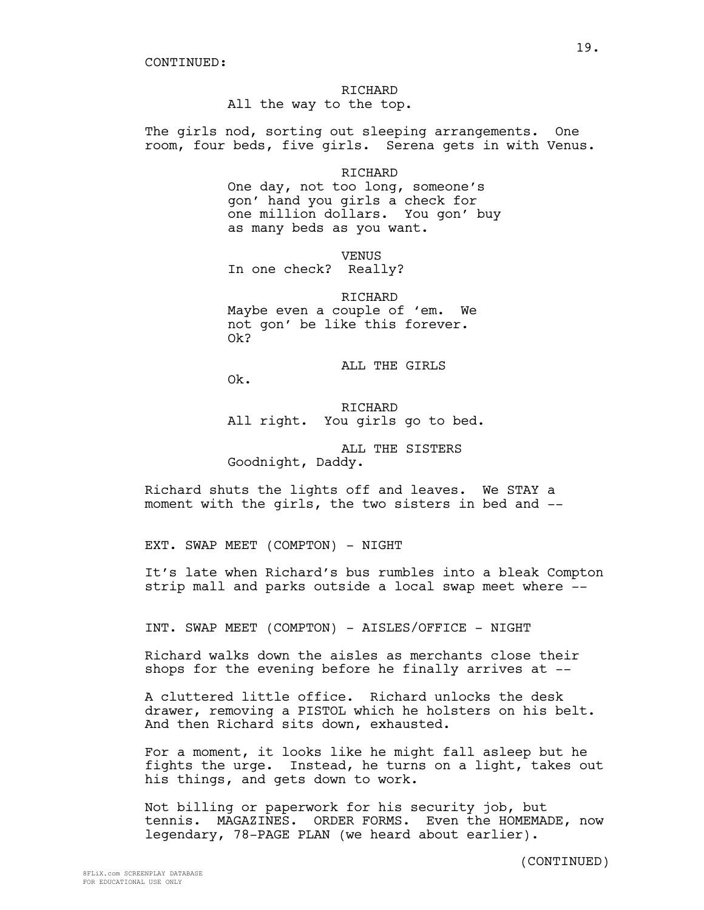All the way to the top.

The girls nod, sorting out sleeping arrangements. One room, four beds, five girls. Serena gets in with Venus.

RICHARD

One day, not too long, someone's gon' hand you girls a check for one million dollars. You gon' buy as many beds as you want.

VENUS

In one check? Really?

RICHARD Maybe even a couple of 'em. We not gon' be like this forever. Ok?

ALL THE GIRLS

Ok.

RICHARD All right. You girls go to bed.

ALL THE SISTERS Goodnight, Daddy.

Richard shuts the lights off and leaves. We STAY a moment with the girls, the two sisters in bed and --

EXT. SWAP MEET (COMPTON) - NIGHT

It's late when Richard's bus rumbles into a bleak Compton strip mall and parks outside a local swap meet where --

INT. SWAP MEET (COMPTON) - AISLES/OFFICE - NIGHT

Richard walks down the aisles as merchants close their shops for the evening before he finally arrives at --

A cluttered little office. Richard unlocks the desk drawer, removing a PISTOL which he holsters on his belt. And then Richard sits down, exhausted.

For a moment, it looks like he might fall asleep but he fights the urge. Instead, he turns on a light, takes out his things, and gets down to work.

Not billing or paperwork for his security job, but tennis. MAGAZINES. ORDER FORMS. Even the HOMEMADE, now legendary, 78-PAGE PLAN (we heard about earlier).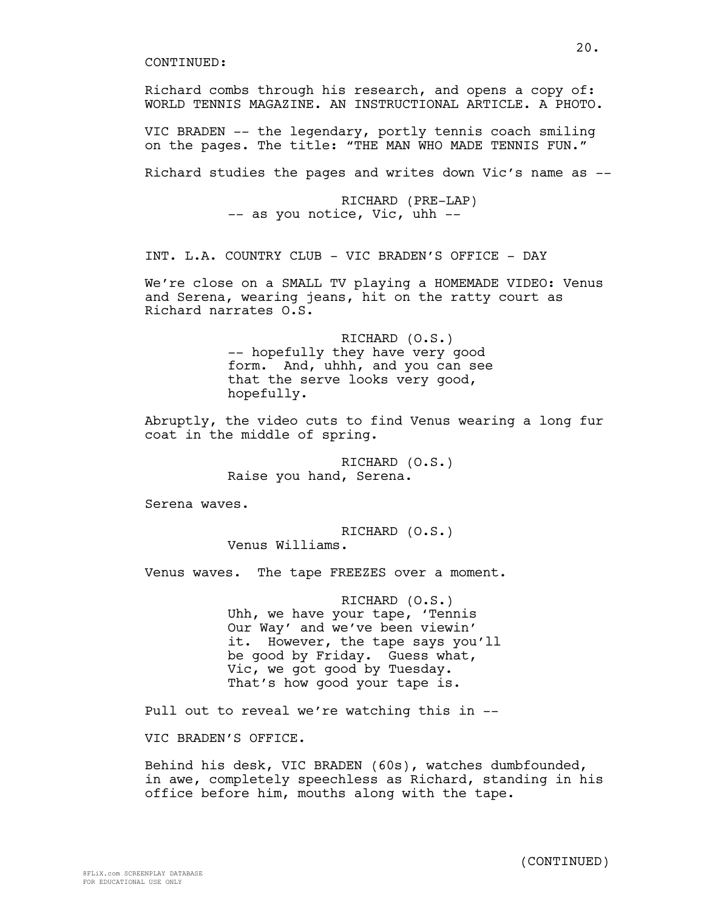WORLD TENNIS MAGAZINE. AN INSTRUCTIONAL ARTICLE. A PHOTO. VIC BRADEN -- the legendary, portly tennis coach smiling on the pages. The title: "THE MAN WHO MADE TENNIS FUN." Richard studies the pages and writes down Vic's name as -- RICHARD (PRE-LAP) -- as you notice, Vic, uhh -- INT. L.A. COUNTRY CLUB - VIC BRADEN'S OFFICE - DAY We're close on a SMALL TV playing a HOMEMADE VIDEO: Venus and Serena, wearing jeans, hit on the ratty court as Richard narrates O.S. RICHARD (O.S.) -- hopefully they have very good form. And, uhhh, and you can see that the serve looks very good, hopefully. Abruptly, the video cuts to find Venus wearing a long fur coat in the middle of spring.

Richard combs through his research, and opens a copy of:

RICHARD (O.S.) Raise you hand, Serena.

Serena waves.

RICHARD (O.S.) Venus Williams.

Venus waves. The tape FREEZES over a moment.

RICHARD (O.S.) Uhh, we have your tape, 'Tennis Our Way' and we've been viewin' it. However, the tape says you'll be good by Friday. Guess what, Vic, we got good by Tuesday. That's how good your tape is.

Pull out to reveal we're watching this in --

VIC BRADEN'S OFFICE.

Behind his desk, VIC BRADEN (60s), watches dumbfounded, in awe, completely speechless as Richard, standing in his office before him, mouths along with the tape.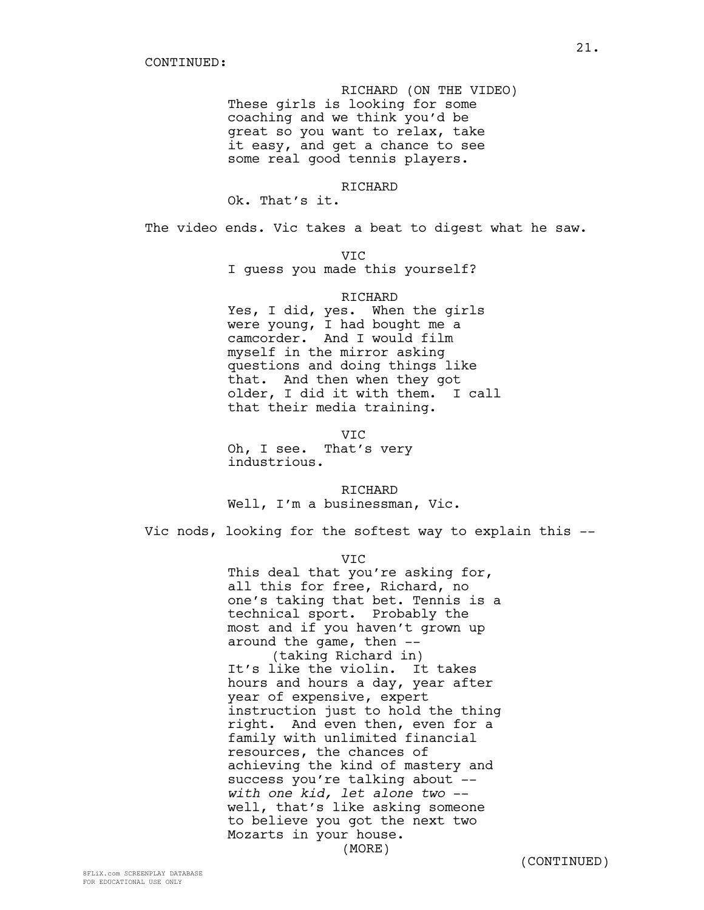RICHARD (ON THE VIDEO) These girls is looking for some coaching and we think you'd be great so you want to relax, take it easy, and get a chance to see some real good tennis players.

RICHARD

Ok. That's it.

The video ends. Vic takes a beat to digest what he saw.

VIC

I guess you made this yourself?

### RICHARD

Yes, I did, yes. When the girls were young, I had bought me a camcorder. And I would film myself in the mirror asking questions and doing things like that. And then when they got older, I did it with them. I call that their media training.

VIC Oh, I see. That's very industrious.

RICHARD Well, I'm a businessman, Vic.

Vic nods, looking for the softest way to explain this --

VIC

This deal that you're asking for, all this for free, Richard, no one's taking that bet. Tennis is a technical sport. Probably the most and if you haven't grown up around the game, then -- (taking Richard in) It's like the violin. It takes hours and hours a day, year after year of expensive, expert instruction just to hold the thing right. And even then, even for a family with unlimited financial resources, the chances of achieving the kind of mastery and success you're talking about - *with one kid, let alone two* - well, that's like asking someone to believe you got the next two Mozarts in your house. (MORE)

8FLiX.com SCREENPLAY DATABASE FOR EDUCATIONAL USE ONLY

(CONTINUED)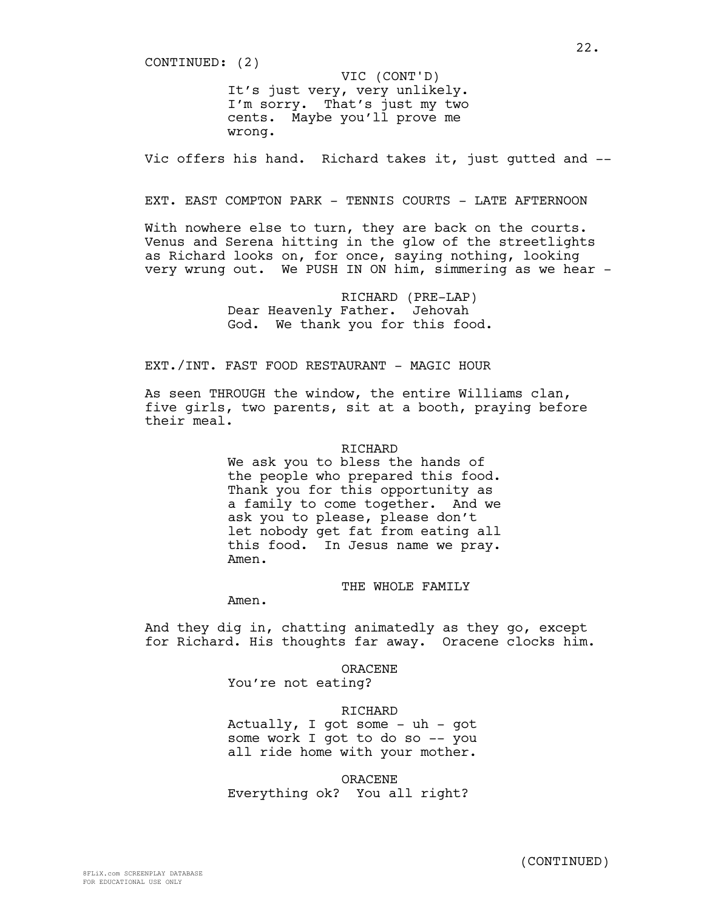CONTINUED: (2)

It's just very, very unlikely. I'm sorry. That's just my two cents. Maybe you'll prove me wrong. VIC (CONT'D)

Vic offers his hand. Richard takes it, just gutted and --

### EXT. EAST COMPTON PARK - TENNIS COURTS - LATE AFTERNOON

With nowhere else to turn, they are back on the courts. Venus and Serena hitting in the glow of the streetlights as Richard looks on, for once, saying nothing, looking very wrung out. We PUSH IN ON him, simmering as we hear -

> RICHARD (PRE-LAP) Dear Heavenly Father. Jehovah God. We thank you for this food.

EXT./INT. FAST FOOD RESTAURANT - MAGIC HOUR

As seen THROUGH the window, the entire Williams clan, five girls, two parents, sit at a booth, praying before their meal.

#### RICHARD

We ask you to bless the hands of the people who prepared this food. Thank you for this opportunity as a family to come together. And we ask you to please, please don't let nobody get fat from eating all this food. In Jesus name we pray. Amen.

### THE WHOLE FAMILY

Amen.

And they dig in, chatting animatedly as they go, except for Richard. His thoughts far away. Oracene clocks him.

> ORACENE You're not eating?

### **RICHARD**

Actually, I got some  $-$  uh  $-$  got some work I got to do so -- you all ride home with your mother.

ORACENE Everything ok? You all right?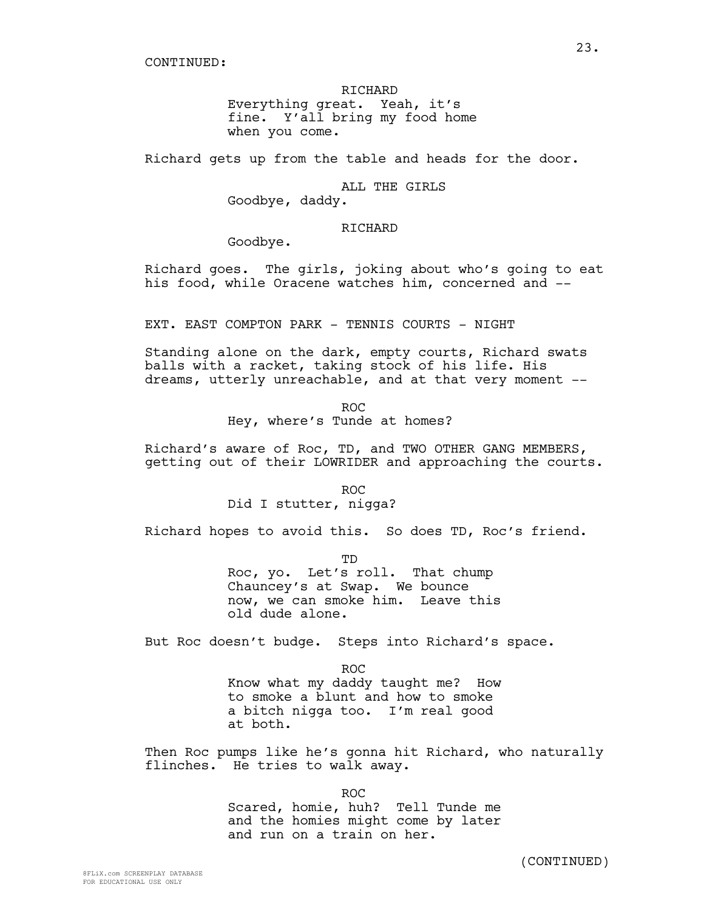Everything great. Yeah, it's fine. Y'all bring my food home when you come.

Richard gets up from the table and heads for the door.

### ALL THE GIRLS

Goodbye, daddy.

# RICHARD

Goodbye.

Richard goes. The girls, joking about who's going to eat his food, while Oracene watches him, concerned and --

EXT. EAST COMPTON PARK - TENNIS COURTS - NIGHT

Standing alone on the dark, empty courts, Richard swats balls with a racket, taking stock of his life. His dreams, utterly unreachable, and at that very moment --

> ROC Hey, where's Tunde at homes?

Richard's aware of Roc, TD, and TWO OTHER GANG MEMBERS, getting out of their LOWRIDER and approaching the courts.

> ROC Did I stutter, nigga?

Richard hopes to avoid this. So does TD, Roc's friend.

TD

Roc, yo. Let's roll. That chump Chauncey's at Swap. We bounce now, we can smoke him. Leave this old dude alone.

But Roc doesn't budge. Steps into Richard's space.

ROC Know what my daddy taught me? How to smoke a blunt and how to smoke a bitch nigga too. I'm real good at both.

Then Roc pumps like he's gonna hit Richard, who naturally flinches. He tries to walk away.

ROC

Scared, homie, huh? Tell Tunde me and the homies might come by later and run on a train on her.

(CONTINUED)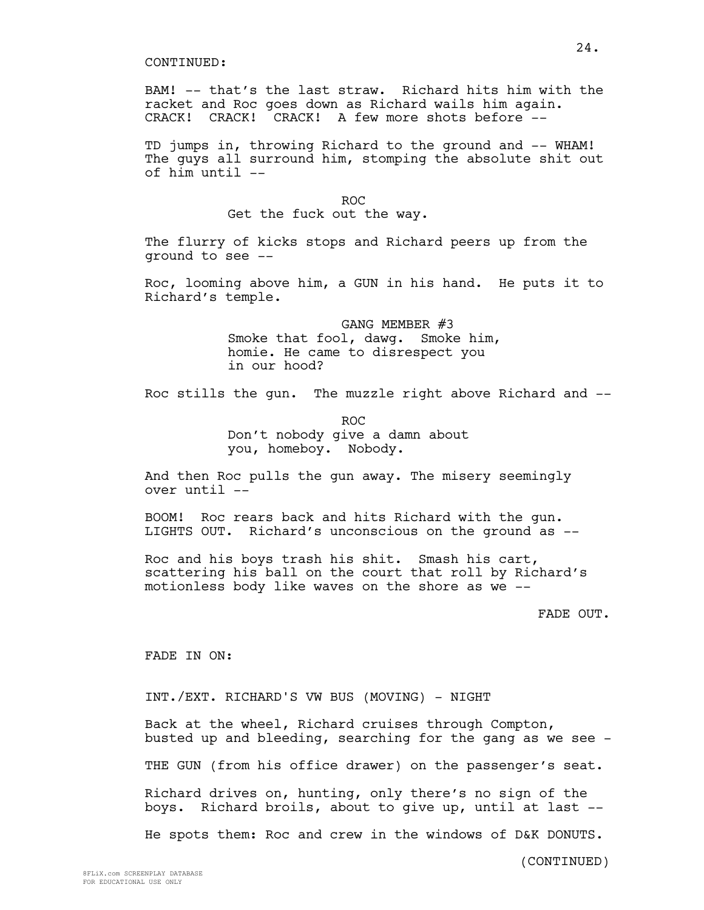BAM! -- that's the last straw. Richard hits him with the racket and Roc goes down as Richard wails him again. CRACK! CRACK! CRACK! A few more shots before --

TD jumps in, throwing Richard to the ground and -- WHAM! The guys all surround him, stomping the absolute shit out of him until --

ROC

Get the fuck out the way.

The flurry of kicks stops and Richard peers up from the ground to see --

Roc, looming above him, a GUN in his hand. He puts it to Richard's temple.

> GANG MEMBER #3 Smoke that fool, dawg. Smoke him, homie. He came to disrespect you in our hood?

Roc stills the gun. The muzzle right above Richard and --

ROC Don't nobody give a damn about you, homeboy. Nobody.

And then Roc pulls the gun away. The misery seemingly over until --

BOOM! Roc rears back and hits Richard with the gun. LIGHTS OUT. Richard's unconscious on the ground as --

Roc and his boys trash his shit. Smash his cart, scattering his ball on the court that roll by Richard's motionless body like waves on the shore as we --

FADE OUT.

FADE IN ON:

INT./EXT. RICHARD'S VW BUS (MOVING) - NIGHT

Back at the wheel, Richard cruises through Compton, busted up and bleeding, searching for the gang as we see -

THE GUN (from his office drawer) on the passenger's seat.

Richard drives on, hunting, only there's no sign of the boys. Richard broils, about to give up, until at last --

He spots them: Roc and crew in the windows of D&K DONUTS.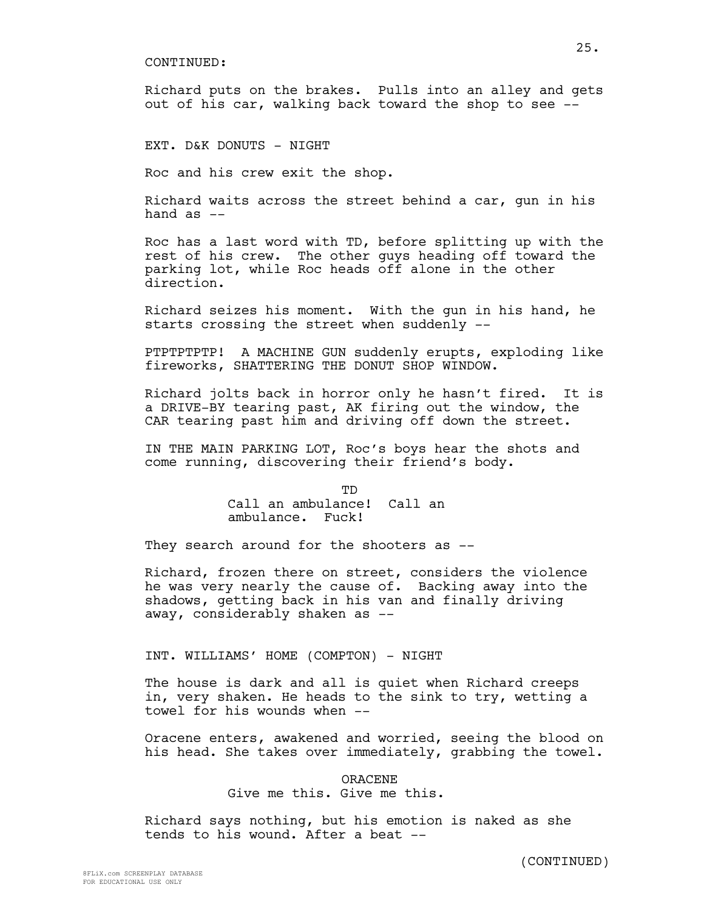Richard puts on the brakes. Pulls into an alley and gets out of his car, walking back toward the shop to see --

EXT. D&K DONUTS - NIGHT

Roc and his crew exit the shop.

Richard waits across the street behind a car, gun in his hand  $as$   $--$ 

Roc has a last word with TD, before splitting up with the rest of his crew. The other guys heading off toward the parking lot, while Roc heads off alone in the other direction.

Richard seizes his moment. With the gun in his hand, he starts crossing the street when suddenly --

PTPTPTPTP! A MACHINE GUN suddenly erupts, exploding like fireworks, SHATTERING THE DONUT SHOP WINDOW.

Richard jolts back in horror only he hasn't fired. It is a DRIVE-BY tearing past, AK firing out the window, the CAR tearing past him and driving off down the street.

IN THE MAIN PARKING LOT, Roc's boys hear the shots and come running, discovering their friend's body.

> **TD** Call an ambulance! Call an ambulance. Fuck!

They search around for the shooters as --

Richard, frozen there on street, considers the violence he was very nearly the cause of. Backing away into the shadows, getting back in his van and finally driving away, considerably shaken as --

INT. WILLIAMS' HOME (COMPTON) - NIGHT

The house is dark and all is quiet when Richard creeps in, very shaken. He heads to the sink to try, wetting a towel for his wounds when --

Oracene enters, awakened and worried, seeing the blood on his head. She takes over immediately, grabbing the towel.

> ORACENE Give me this. Give me this.

Richard says nothing, but his emotion is naked as she tends to his wound. After a beat --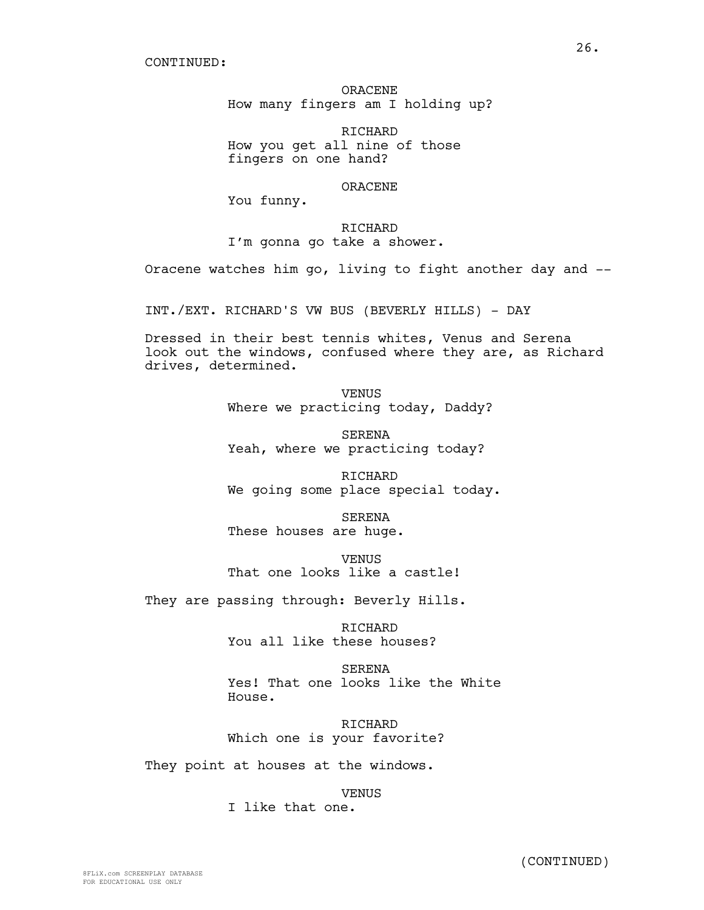ORACENE How many fingers am I holding up?

RICHARD How you get all nine of those fingers on one hand?

### ORACENE

You funny.

### RICHARD

I'm gonna go take a shower.

Oracene watches him go, living to fight another day and --

INT./EXT. RICHARD'S VW BUS (BEVERLY HILLS) - DAY

Dressed in their best tennis whites, Venus and Serena look out the windows, confused where they are, as Richard drives, determined.

> VENUS Where we practicing today, Daddy?

SERENA Yeah, where we practicing today?

RICHARD We going some place special today.

SERENA These houses are huge.

**VENUS** That one looks like a castle!

They are passing through: Beverly Hills.

RICHARD You all like these houses?

SERENA Yes! That one looks like the White House.

RICHARD Which one is your favorite?

They point at houses at the windows.

**VENUS** 

I like that one.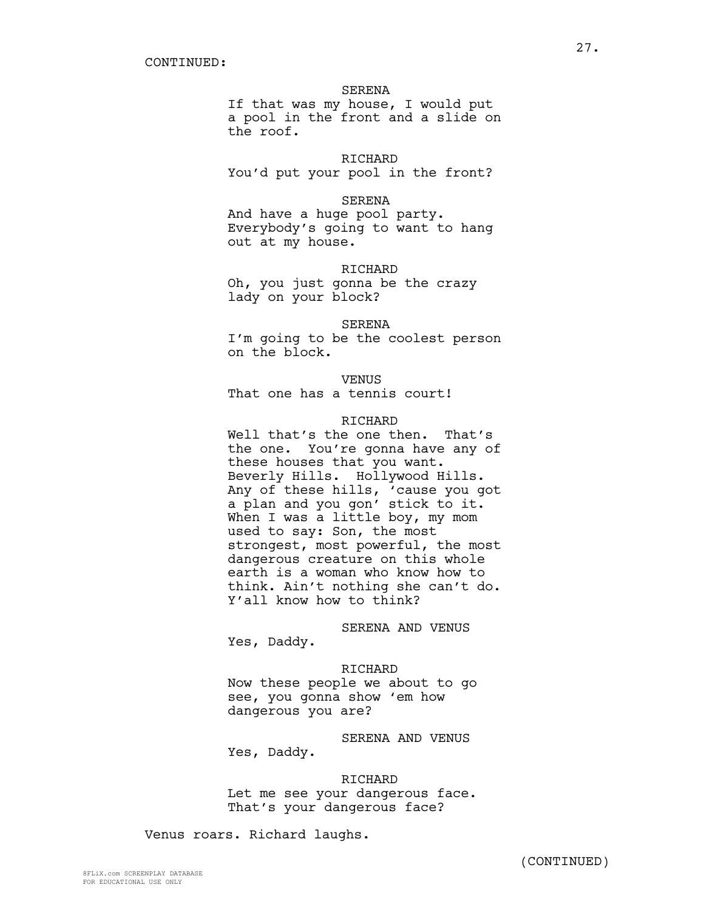### SERENA

If that was my house, I would put a pool in the front and a slide on the roof.

## RICHARD

You'd put your pool in the front?

#### SERENA

And have a huge pool party. Everybody's going to want to hang out at my house.

### RICHARD

Oh, you just gonna be the crazy lady on your block?

### SERENA

I'm going to be the coolest person on the block.

### VENUS

That one has a tennis court!

### RICHARD

Well that's the one then. That's the one. You're gonna have any of these houses that you want. Beverly Hills. Hollywood Hills. Any of these hills, 'cause you got a plan and you gon' stick to it. When I was a little boy, my mom used to say: Son, the most strongest, most powerful, the most dangerous creature on this whole earth is a woman who know how to think. Ain't nothing she can't do. Y'all know how to think?

SERENA AND VENUS

Yes, Daddy.

RICHARD Now these people we about to go see, you gonna show 'em how dangerous you are?

SERENA AND VENUS Yes, Daddy.

RICHARD Let me see your dangerous face. That's your dangerous face?

Venus roars. Richard laughs.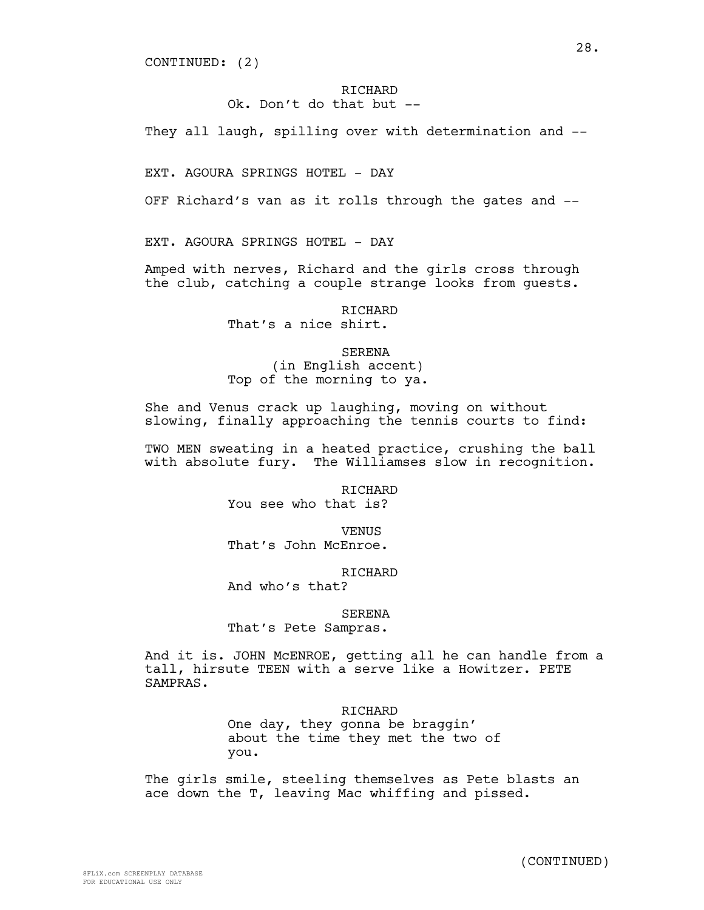CONTINUED: (2)

# RICHARD

# Ok. Don't do that but --

They all laugh, spilling over with determination and --

EXT. AGOURA SPRINGS HOTEL - DAY

OFF Richard's van as it rolls through the gates and --

EXT. AGOURA SPRINGS HOTEL - DAY

Amped with nerves, Richard and the girls cross through the club, catching a couple strange looks from guests.

> RICHARD That's a nice shirt.

SERENA (in English accent) Top of the morning to ya.

She and Venus crack up laughing, moving on without slowing, finally approaching the tennis courts to find:

TWO MEN sweating in a heated practice, crushing the ball with absolute fury. The Williamses slow in recognition.

> **RICHARD** You see who that is?

**VENUS** That's John McEnroe.

RICHARD

And who's that?

SERENA

That's Pete Sampras.

And it is. JOHN McENROE, getting all he can handle from a tall, hirsute TEEN with a serve like a Howitzer. PETE SAMPRAS.

**RICHARD** 

One day, they gonna be braggin' about the time they met the two of you.

The girls smile, steeling themselves as Pete blasts an ace down the T, leaving Mac whiffing and pissed.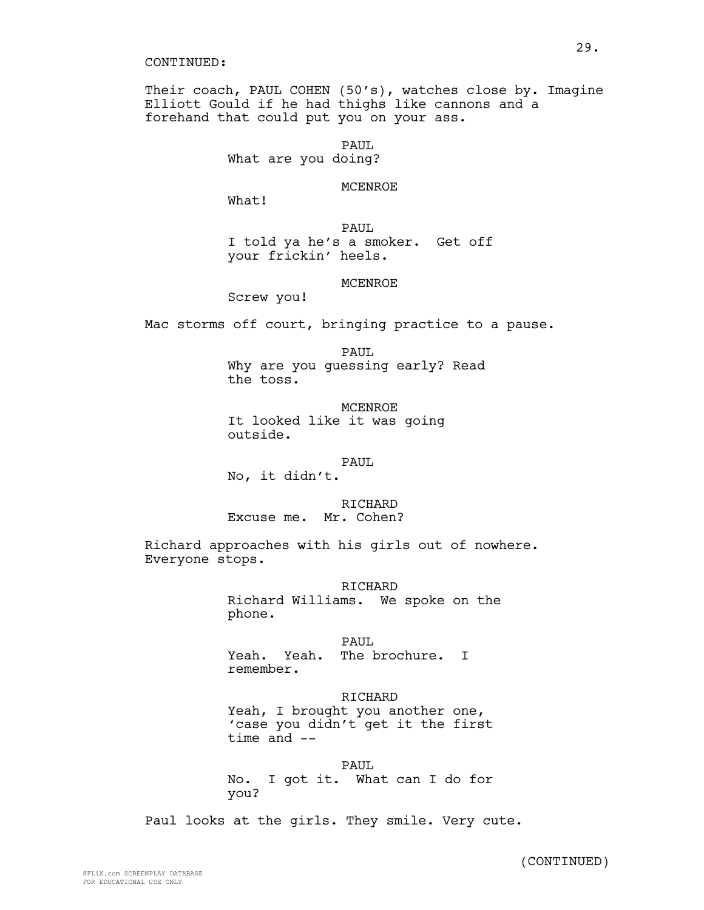Their coach, PAUL COHEN (50's), watches close by. Imagine Elliott Gould if he had thighs like cannons and a forehand that could put you on your ass.

PAUL

What are you doing?

# MCENROE

What!

PAUL I told ya he's a smoker. Get off your frickin' heels.

### MCENROE

Screw you!

Mac storms off court, bringing practice to a pause.

PAUL

Why are you guessing early? Read the toss.

MCENROE It looked like it was going outside.

### PAUL

No, it didn't.

RICHARD

Excuse me. Mr. Cohen?

Richard approaches with his girls out of nowhere. Everyone stops.

RICHARD

Richard Williams. We spoke on the phone.

PAUL. Yeah. Yeah. The brochure. I remember.

RICHARD Yeah, I brought you another one, 'case you didn't get it the first time and --

PAUL No. I got it. What can I do for you?

Paul looks at the girls. They smile. Very cute.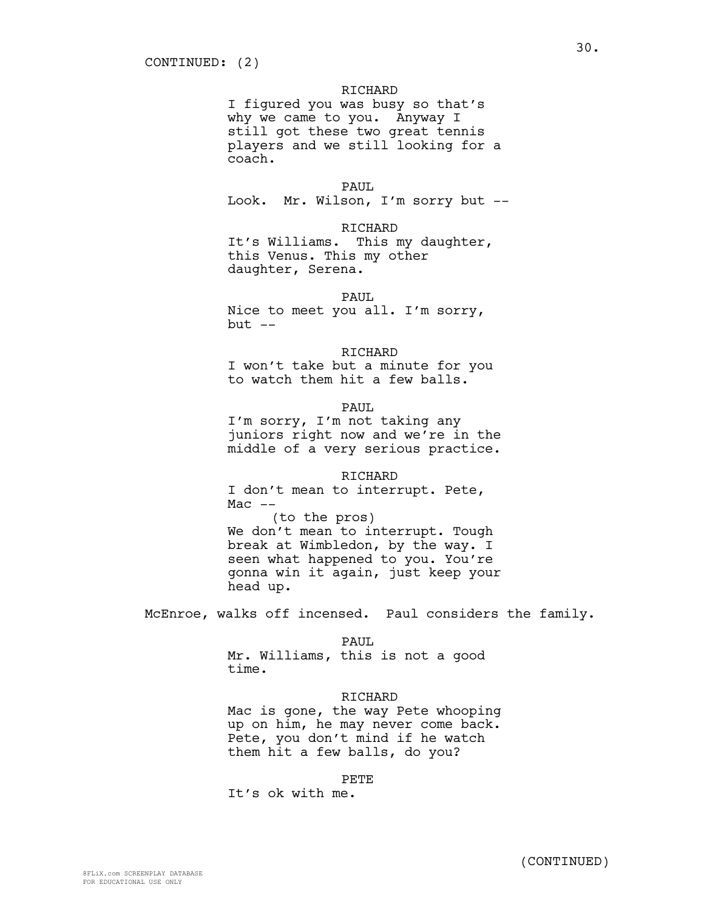I figured you was busy so that's why we came to you. Anyway I still got these two great tennis players and we still looking for a coach.

#### PAUL.

Look. Mr. Wilson, I'm sorry but --

### RICHARD

It's Williams. This my daughter, this Venus. This my other daughter, Serena.

#### PAUL

Nice to meet you all. I'm sorry,  $but --$ 

#### RICHARD

I won't take but a minute for you to watch them hit a few balls.

PAUL.

I'm sorry, I'm not taking any juniors right now and we're in the middle of a very serious practice.

#### RICHARD

I don't mean to interrupt. Pete,  $Mac$   $--$ 

(to the pros) We don't mean to interrupt. Tough break at Wimbledon, by the way. I seen what happened to you. You're gonna win it again, just keep your head up.

McEnroe, walks off incensed. Paul considers the family.

PAUL

Mr. Williams, this is not a good time.

#### RICHARD

Mac is gone, the way Pete whooping up on him, he may never come back. Pete, you don't mind if he watch them hit a few balls, do you?

#### PETE

It's ok with me.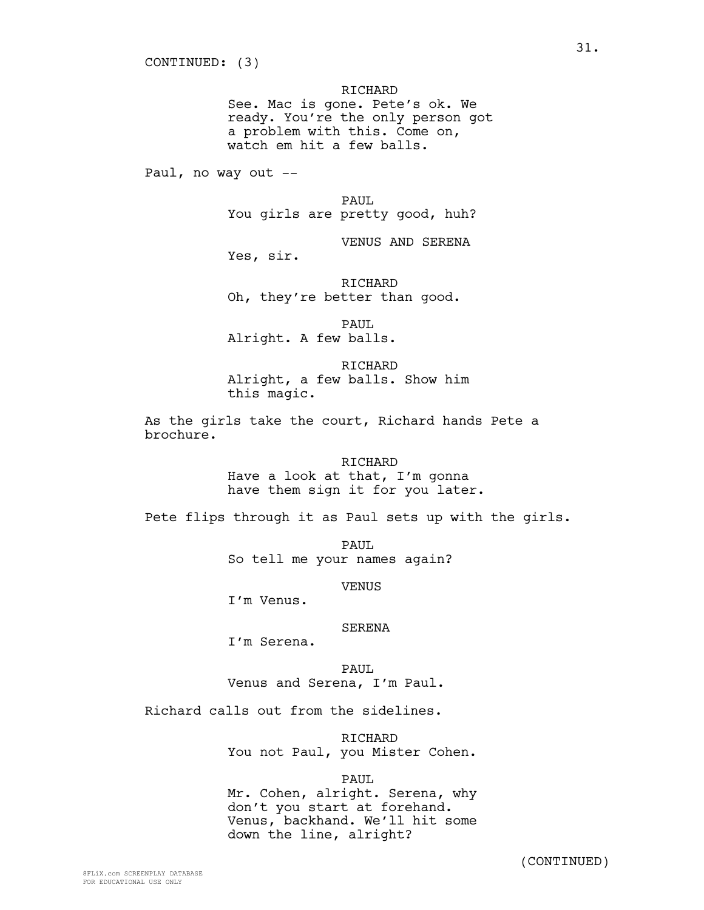See. Mac is gone. Pete's ok. We ready. You're the only person got a problem with this. Come on, watch em hit a few balls.

Paul, no way out --

PAUL

You girls are pretty good, huh?

VENUS AND SERENA

Yes, sir.

RICHARD Oh, they're better than good.

PAUL Alright. A few balls.

RICHARD Alright, a few balls. Show him this magic.

As the girls take the court, Richard hands Pete a brochure.

> RICHARD Have a look at that, I'm gonna have them sign it for you later.

Pete flips through it as Paul sets up with the girls.

PAUL So tell me your names again?

**VENUS** 

I'm Venus.

## SERENA

I'm Serena.

PAUL Venus and Serena, I'm Paul.

Richard calls out from the sidelines.

RICHARD You not Paul, you Mister Cohen.

PAUL

Mr. Cohen, alright. Serena, why don't you start at forehand. Venus, backhand. We'll hit some down the line, alright?

(CONTINUED)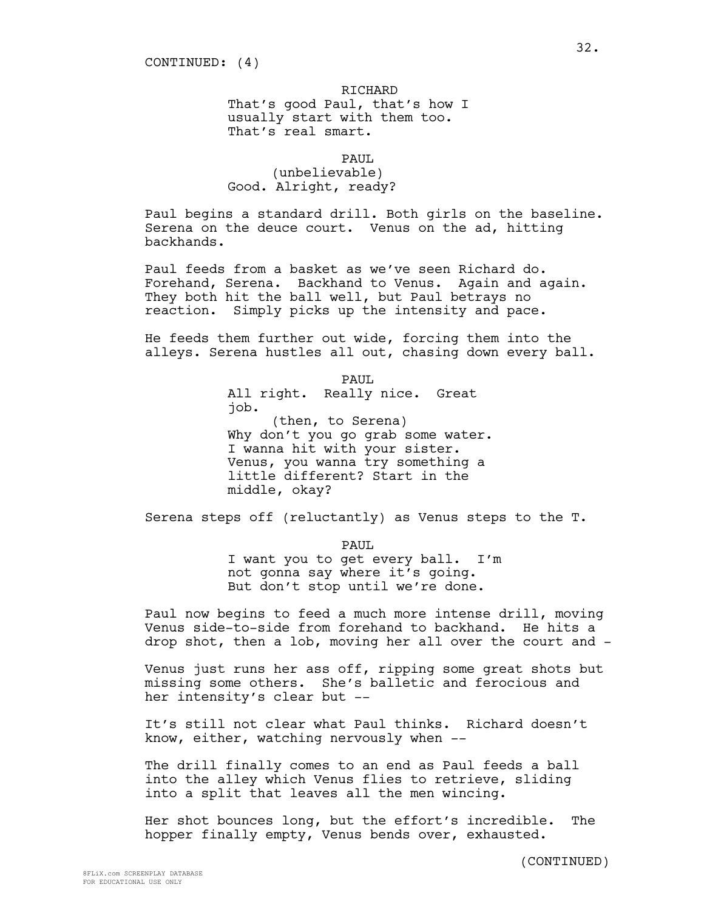That's good Paul, that's how I usually start with them too. That's real smart.

PAUL.

(unbelievable) Good. Alright, ready?

Paul begins a standard drill. Both girls on the baseline. Serena on the deuce court. Venus on the ad, hitting backhands.

Paul feeds from a basket as we've seen Richard do. Forehand, Serena. Backhand to Venus. Again and again. They both hit the ball well, but Paul betrays no reaction. Simply picks up the intensity and pace.

He feeds them further out wide, forcing them into the alleys. Serena hustles all out, chasing down every ball.

> PAUL All right. Really nice. Great job. (then, to Serena) Why don't you go grab some water. I wanna hit with your sister. Venus, you wanna try something a little different? Start in the middle, okay?

Serena steps off (reluctantly) as Venus steps to the T.

PAUL

I want you to get every ball. I'm not gonna say where it's going. But don't stop until we're done.

Paul now begins to feed a much more intense drill, moving Venus side-to-side from forehand to backhand. He hits a drop shot, then a lob, moving her all over the court and -

Venus just runs her ass off, ripping some great shots but missing some others. She's balletic and ferocious and her intensity's clear but --

It's still not clear what Paul thinks. Richard doesn't know, either, watching nervously when --

The drill finally comes to an end as Paul feeds a ball into the alley which Venus flies to retrieve, sliding into a split that leaves all the men wincing.

Her shot bounces long, but the effort's incredible. The hopper finally empty, Venus bends over, exhausted.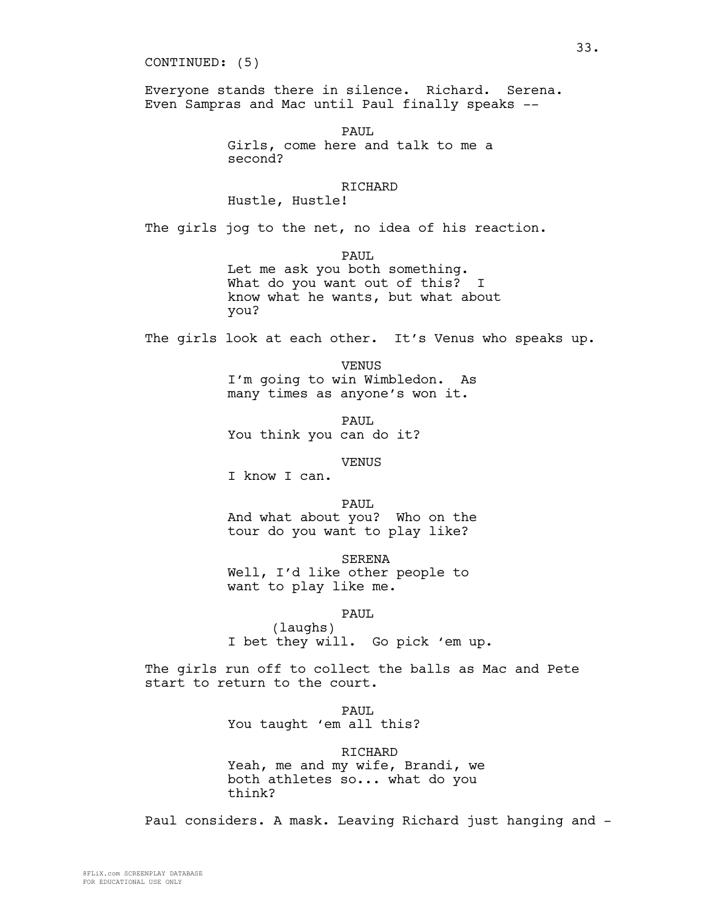CONTINUED: (5)

Everyone stands there in silence. Richard. Serena. Even Sampras and Mac until Paul finally speaks --

> PAUL. Girls, come here and talk to me a second?

> > **RICHARD**

Hustle, Hustle!

The girls jog to the net, no idea of his reaction.

PAUL.

Let me ask you both something. What do you want out of this? I know what he wants, but what about you?

The girls look at each other. It's Venus who speaks up.

VENUS I'm going to win Wimbledon. As many times as anyone's won it.

PAUL You think you can do it?

VENUS

I know I can.

PAUL And what about you? Who on the tour do you want to play like?

SERENA Well, I'd like other people to want to play like me.

PAUL

(laughs) I bet they will. Go pick 'em up.

The girls run off to collect the balls as Mac and Pete start to return to the court.

> PAUL. You taught 'em all this?

RICHARD Yeah, me and my wife, Brandi, we both athletes so... what do you think?

Paul considers. A mask. Leaving Richard just hanging and -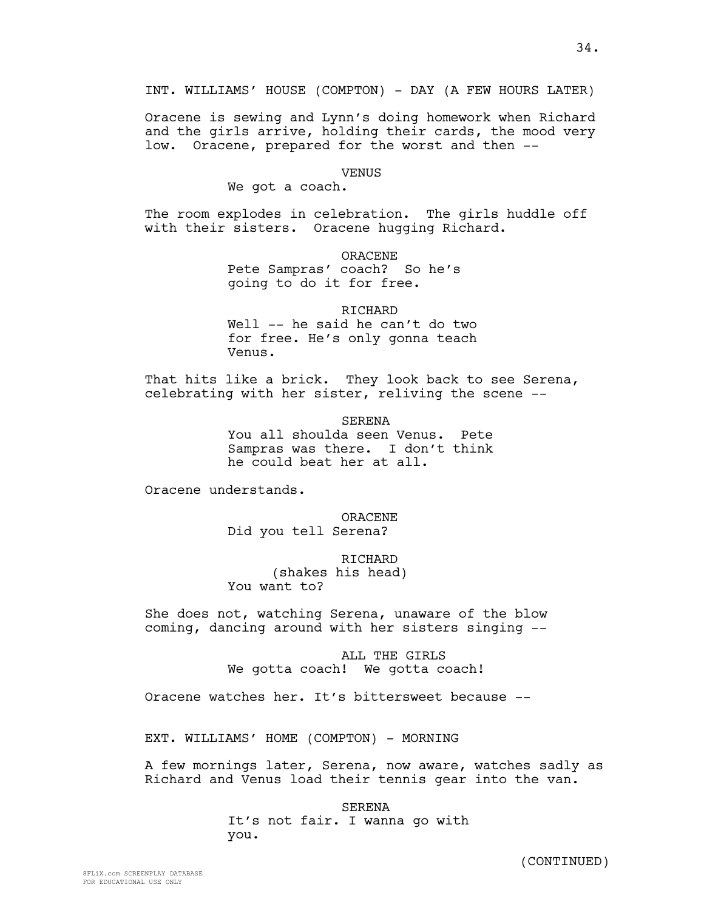INT. WILLIAMS' HOUSE (COMPTON) - DAY (A FEW HOURS LATER)

Oracene is sewing and Lynn's doing homework when Richard and the girls arrive, holding their cards, the mood very low. Oracene, prepared for the worst and then --

#### VENUS

We got a coach.

The room explodes in celebration. The girls huddle off with their sisters. Oracene hugging Richard.

ORACENE

Pete Sampras' coach? So he's going to do it for free.

**RICHARD** 

Well -- he said he can't do two for free. He's only gonna teach Venus.

That hits like a brick. They look back to see Serena, celebrating with her sister, reliving the scene --

> SERENA You all shoulda seen Venus. Pete Sampras was there. I don't think he could beat her at all.

Oracene understands.

ORACENE Did you tell Serena?

**RICHARD** (shakes his head) You want to?

She does not, watching Serena, unaware of the blow coming, dancing around with her sisters singing --

> ALL THE GIRLS We gotta coach! We gotta coach!

Oracene watches her. It's bittersweet because --

EXT. WILLIAMS' HOME (COMPTON) - MORNING

A few mornings later, Serena, now aware, watches sadly as Richard and Venus load their tennis gear into the van.

> SERENA It's not fair. I wanna go with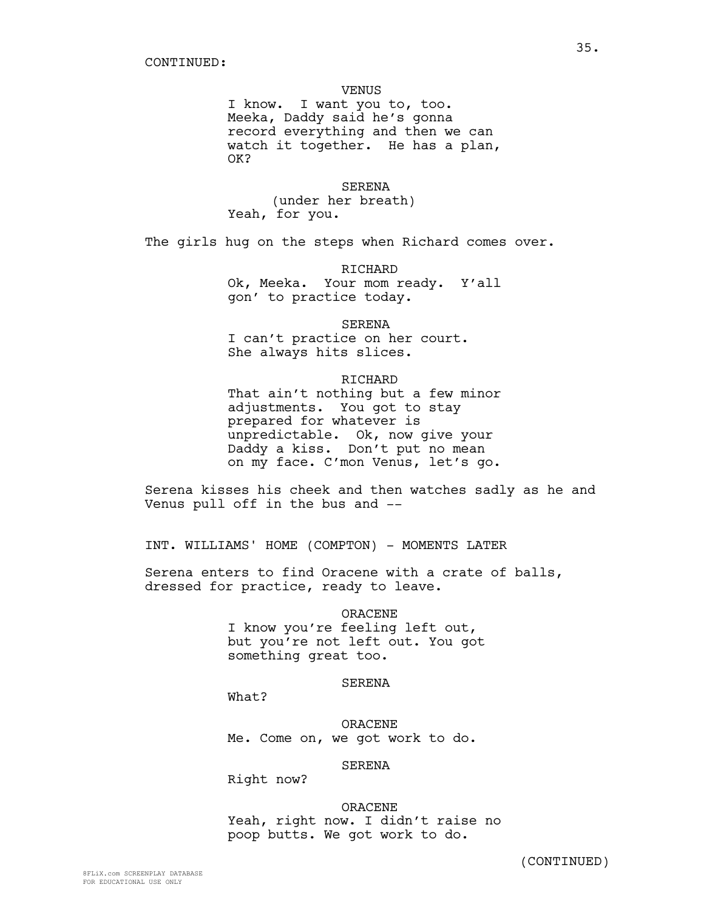### VENUS

I know. I want you to, too. Meeka, Daddy said he's gonna record everything and then we can watch it together. He has a plan, OK?

#### SERENA

(under her breath) Yeah, for you.

The girls hug on the steps when Richard comes over.

RICHARD

Ok, Meeka. Your mom ready. Y'all gon' to practice today.

SERENA

I can't practice on her court. She always hits slices.

### RICHARD

That ain't nothing but a few minor adjustments. You got to stay prepared for whatever is unpredictable. Ok, now give your Daddy a kiss. Don't put no mean on my face. C'mon Venus, let's go.

Serena kisses his cheek and then watches sadly as he and Venus pull off in the bus and --

INT. WILLIAMS' HOME (COMPTON) - MOMENTS LATER

Serena enters to find Oracene with a crate of balls, dressed for practice, ready to leave.

> ORACENE I know you're feeling left out, but you're not left out. You got something great too.

### SERENA

What?

ORACENE Me. Come on, we got work to do.

# SERENA

Right now?

ORACENE Yeah, right now. I didn't raise no poop butts. We got work to do.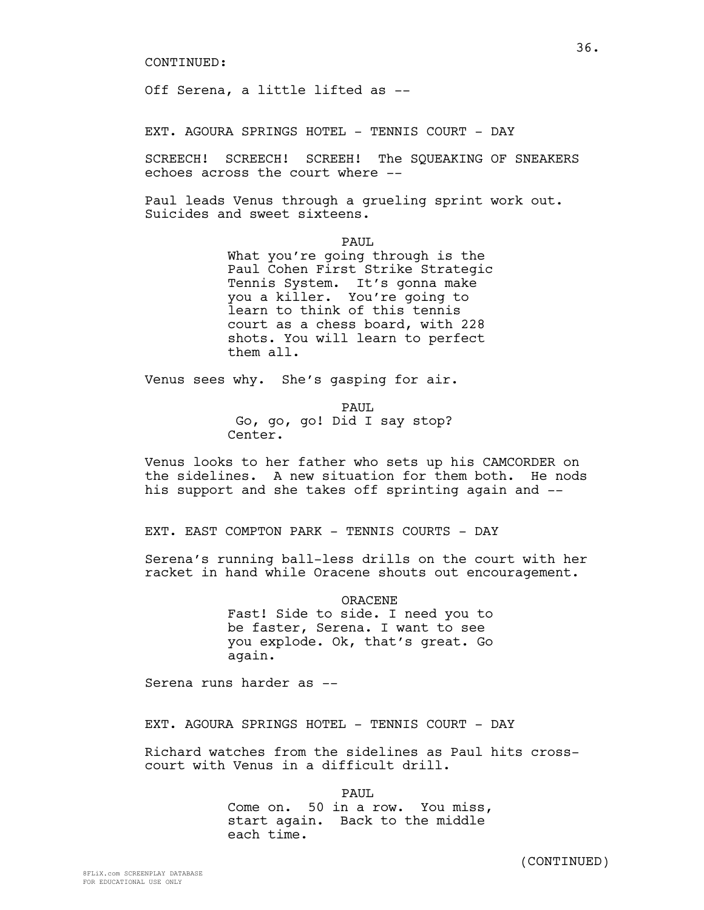Off Serena, a little lifted as --

EXT. AGOURA SPRINGS HOTEL - TENNIS COURT - DAY

SCREECH! SCREECH! SCREEH! The SQUEAKING OF SNEAKERS echoes across the court where --

Paul leads Venus through a grueling sprint work out. Suicides and sweet sixteens.

PAUL

What you're going through is the Paul Cohen First Strike Strategic Tennis System. It's gonna make you a killer. You're going to learn to think of this tennis court as a chess board, with 228 shots. You will learn to perfect them all.

Venus sees why. She's gasping for air.

PAUL. Go, go, go! Did I say stop? Center.

Venus looks to her father who sets up his CAMCORDER on the sidelines. A new situation for them both. He nods his support and she takes off sprinting again and --

EXT. EAST COMPTON PARK - TENNIS COURTS - DAY

Serena's running ball-less drills on the court with her racket in hand while Oracene shouts out encouragement.

> ORACENE Fast! Side to side. I need you to be faster, Serena. I want to see you explode. Ok, that's great. Go again.

Serena runs harder as --

EXT. AGOURA SPRINGS HOTEL - TENNIS COURT - DAY

Richard watches from the sidelines as Paul hits crosscourt with Venus in a difficult drill.

PAUL.

Come on. 50 in a row. You miss, start again. Back to the middle each time.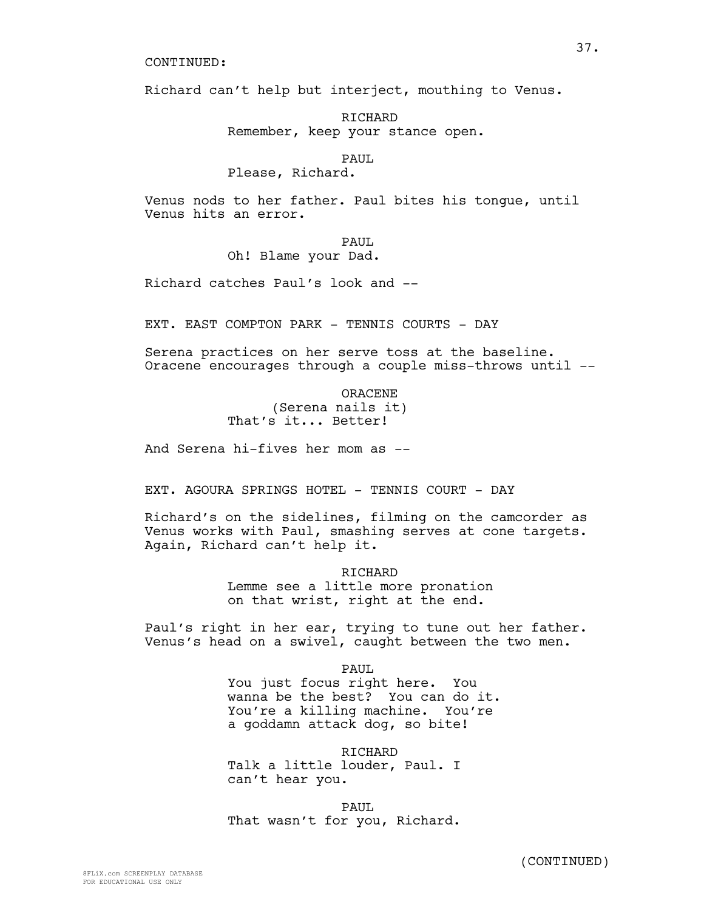Richard can't help but interject, mouthing to Venus.

RICHARD Remember, keep your stance open.

PAUL

Please, Richard.

Venus nods to her father. Paul bites his tongue, until Venus hits an error.

PAUL

Oh! Blame your Dad.

Richard catches Paul's look and --

EXT. EAST COMPTON PARK - TENNIS COURTS - DAY

Serena practices on her serve toss at the baseline. Oracene encourages through a couple miss-throws until --

> ORACENE (Serena nails it) That's it... Better!

And Serena hi-fives her mom as --

EXT. AGOURA SPRINGS HOTEL - TENNIS COURT - DAY

Richard's on the sidelines, filming on the camcorder as Venus works with Paul, smashing serves at cone targets. Again, Richard can't help it.

> RICHARD Lemme see a little more pronation on that wrist, right at the end.

Paul's right in her ear, trying to tune out her father. Venus's head on a swivel, caught between the two men.

> PAUL You just focus right here. You wanna be the best? You can do it. You're a killing machine. You're a goddamn attack dog, so bite!

RICHARD Talk a little louder, Paul. I can't hear you.

PAUL That wasn't for you, Richard.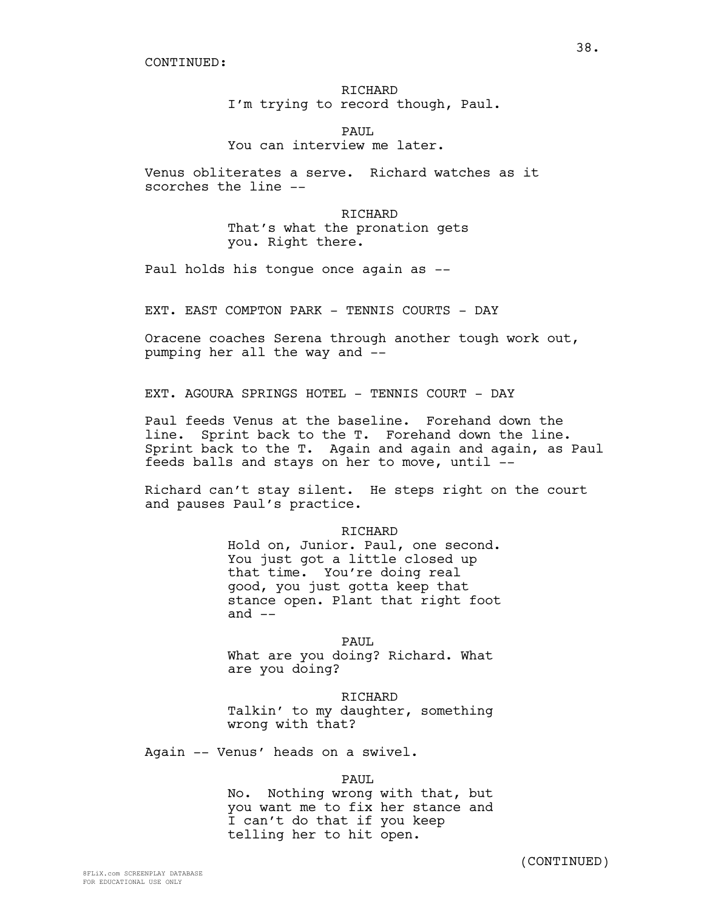# RICHARD I'm trying to record though, Paul.

PAUL. You can interview me later.

Venus obliterates a serve. Richard watches as it scorches the line --

> RICHARD That's what the pronation gets you. Right there.

Paul holds his tongue once again as --

EXT. EAST COMPTON PARK - TENNIS COURTS - DAY

Oracene coaches Serena through another tough work out, pumping her all the way and --

EXT. AGOURA SPRINGS HOTEL - TENNIS COURT - DAY

Paul feeds Venus at the baseline. Forehand down the line. Sprint back to the T. Forehand down the line. Sprint back to the T. Again and again and again, as Paul feeds balls and stays on her to move, until --

Richard can't stay silent. He steps right on the court and pauses Paul's practice.

## RICHARD

Hold on, Junior. Paul, one second. You just got a little closed up that time. You're doing real good, you just gotta keep that stance open. Plant that right foot and  $--$ 

PAUL. What are you doing? Richard. What are you doing?

RICHARD Talkin' to my daughter, something wrong with that?

Again -- Venus' heads on a swivel.

PAUL

No. Nothing wrong with that, but you want me to fix her stance and I can't do that if you keep telling her to hit open.

38.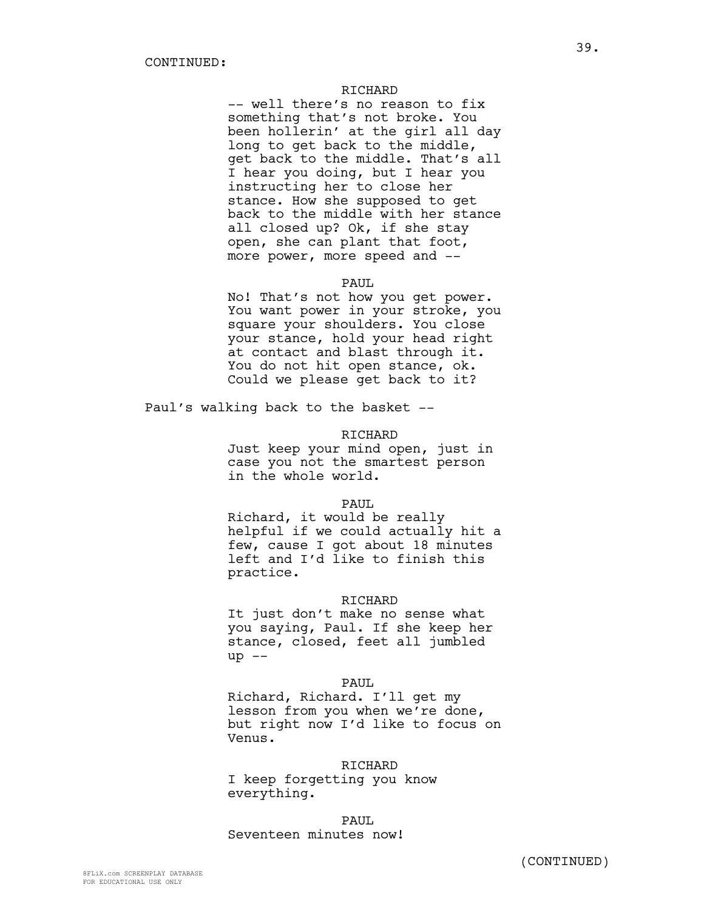#### RICHARD

-- well there's no reason to fix something that's not broke. You been hollerin' at the girl all day long to get back to the middle, get back to the middle. That's all I hear you doing, but I hear you instructing her to close her stance. How she supposed to get back to the middle with her stance all closed up? Ok, if she stay open, she can plant that foot, more power, more speed and --

## PAUL

No! That's not how you get power. You want power in your stroke, you square your shoulders. You close your stance, hold your head right at contact and blast through it. You do not hit open stance, ok. Could we please get back to it?

Paul's walking back to the basket --

# RICHARD

Just keep your mind open, just in case you not the smartest person in the whole world.

#### PAUL.

Richard, it would be really helpful if we could actually hit a few, cause I got about 18 minutes left and I'd like to finish this practice.

## RICHARD

It just don't make no sense what you saying, Paul. If she keep her stance, closed, feet all jumbled  $up$   $--$ 

#### PAUL

Richard, Richard. I'll get my lesson from you when we're done, but right now I'd like to focus on Venus.

# RICHARD

I keep forgetting you know everything.

PAUL. Seventeen minutes now!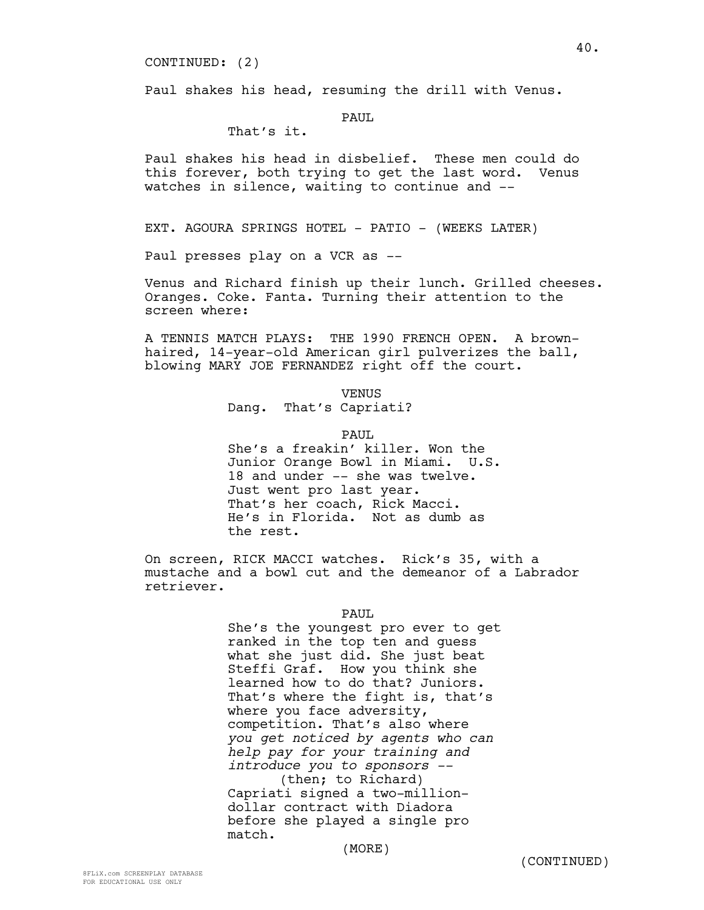CONTINUED: (2)

Paul shakes his head, resuming the drill with Venus.

# PAUL

# That's it.

Paul shakes his head in disbelief. These men could do this forever, both trying to get the last word. Venus watches in silence, waiting to continue and --

EXT. AGOURA SPRINGS HOTEL - PATIO - (WEEKS LATER)

Paul presses play on a VCR as --

Venus and Richard finish up their lunch. Grilled cheeses. Oranges. Coke. Fanta. Turning their attention to the screen where:

A TENNIS MATCH PLAYS: THE 1990 FRENCH OPEN. A brownhaired, 14-year-old American girl pulverizes the ball, blowing MARY JOE FERNANDEZ right off the court.

VENUS

# Dang. That's Capriati?

PAUL.

She's a freakin' killer. Won the Junior Orange Bowl in Miami. U.S. 18 and under -- she was twelve. Just went pro last year. That's her coach, Rick Macci. He's in Florida. Not as dumb as the rest.

On screen, RICK MACCI watches. Rick's 35, with a mustache and a bowl cut and the demeanor of a Labrador retriever.

# PAUL

She's the youngest pro ever to get ranked in the top ten and guess what she just did. She just beat Steffi Graf. How you think she learned how to do that? Juniors. That's where the fight is, that's where you face adversity, competition. That's also where *you get noticed by agents who can help pay for your training and introduce you to sponsors --* (then; to Richard) Capriati signed a two-milliondollar contract with Diadora before she played a single pro match.

(MORE)

40.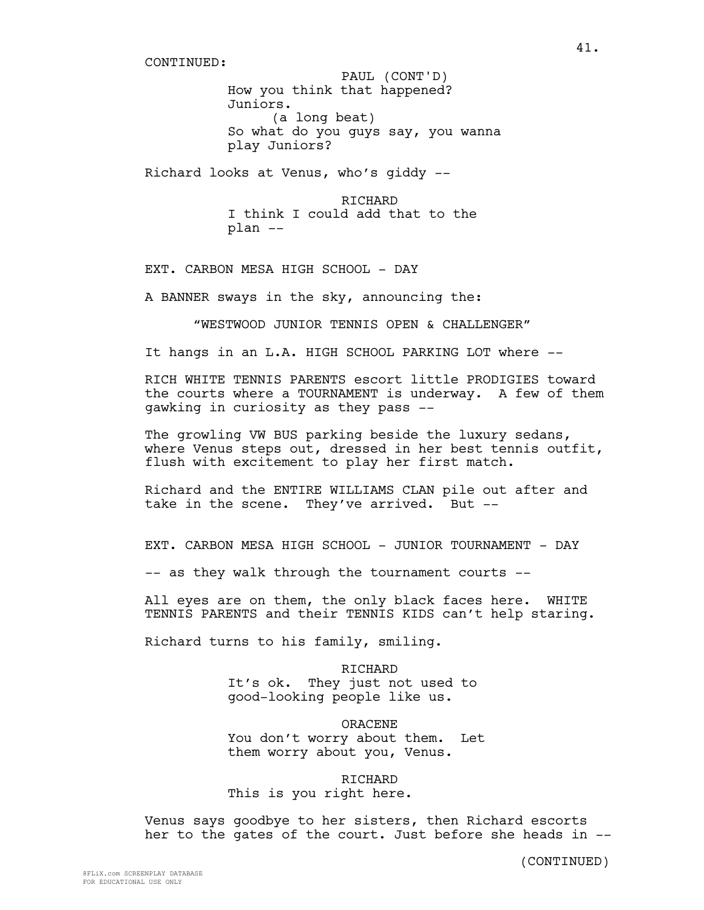How you think that happened? Juniors. (a long beat) So what do you guys say, you wanna play Juniors? PAUL (CONT'D)

Richard looks at Venus, who's giddy --

RICHARD I think I could add that to the plan --

EXT. CARBON MESA HIGH SCHOOL - DAY

A BANNER sways in the sky, announcing the:

"WESTWOOD JUNIOR TENNIS OPEN & CHALLENGER"

It hangs in an L.A. HIGH SCHOOL PARKING LOT where --

RICH WHITE TENNIS PARENTS escort little PRODIGIES toward the courts where a TOURNAMENT is underway. A few of them gawking in curiosity as they pass --

The growling VW BUS parking beside the luxury sedans, where Venus steps out, dressed in her best tennis outfit, flush with excitement to play her first match.

Richard and the ENTIRE WILLIAMS CLAN pile out after and take in the scene. They've arrived. But --

EXT. CARBON MESA HIGH SCHOOL - JUNIOR TOURNAMENT - DAY

-- as they walk through the tournament courts --

All eyes are on them, the only black faces here. WHITE TENNIS PARENTS and their TENNIS KIDS can't help staring.

Richard turns to his family, smiling.

RICHARD It's ok. They just not used to good-looking people like us.

ORACENE You don't worry about them. Let them worry about you, Venus.

RICHARD This is you right here.

Venus says goodbye to her sisters, then Richard escorts her to the gates of the court. Just before she heads in --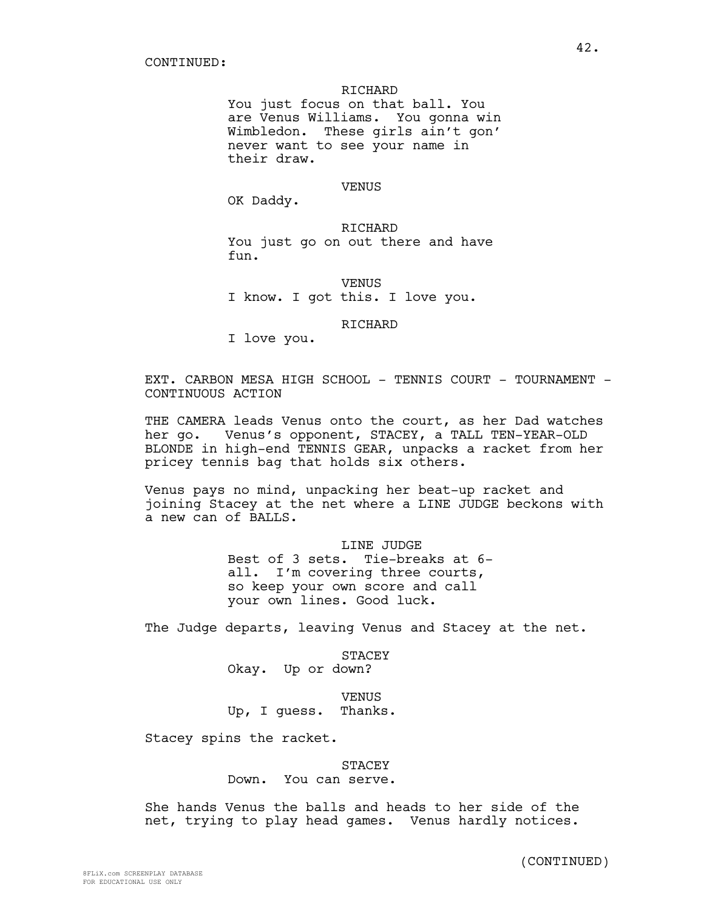## RICHARD

You just focus on that ball. You are Venus Williams. You gonna win Wimbledon. These girls ain't gon' never want to see your name in their draw.

# **VENUS**

OK Daddy.

RICHARD You just go on out there and have fun.

**VENUS** I know. I got this. I love you.

RICHARD

I love you.

EXT. CARBON MESA HIGH SCHOOL - TENNIS COURT - TOURNAMENT -CONTINUOUS ACTION

THE CAMERA leads Venus onto the court, as her Dad watches her go. Venus's opponent, STACEY, a TALL TEN-YEAR-OLD BLONDE in high-end TENNIS GEAR, unpacks a racket from her pricey tennis bag that holds six others.

Venus pays no mind, unpacking her beat-up racket and joining Stacey at the net where a LINE JUDGE beckons with a new can of BALLS.

> LINE JUDGE Best of 3 sets. Tie-breaks at 6 all. I'm covering three courts, so keep your own score and call your own lines. Good luck.

The Judge departs, leaving Venus and Stacey at the net.

STACEY Okay. Up or down?

VENUS Up, I guess. Thanks.

Stacey spins the racket.

# STACEY

Down. You can serve.

She hands Venus the balls and heads to her side of the net, trying to play head games. Venus hardly notices.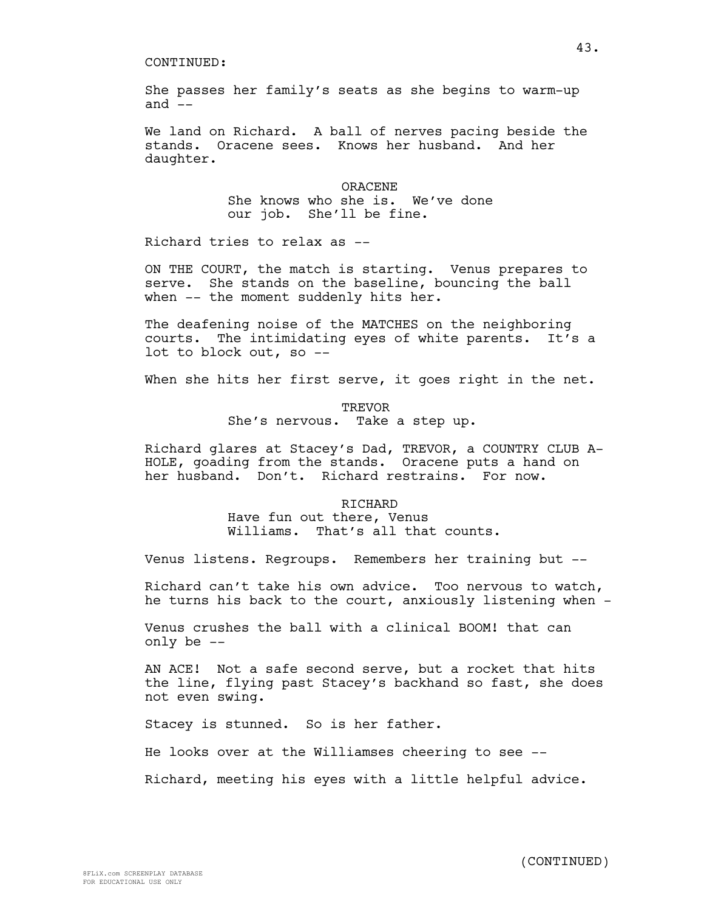She passes her family's seats as she begins to warm-up and  $--$ 

We land on Richard. A ball of nerves pacing beside the stands. Oracene sees. Knows her husband. And her daughter.

> ORACENE She knows who she is. We've done our job. She'll be fine.

Richard tries to relax as --

ON THE COURT, the match is starting. Venus prepares to serve. She stands on the baseline, bouncing the ball when -- the moment suddenly hits her.

The deafening noise of the MATCHES on the neighboring courts. The intimidating eyes of white parents. It's a lot to block out, so --

When she hits her first serve, it goes right in the net.

TREVOR She's nervous. Take a step up.

Richard glares at Stacey's Dad, TREVOR, a COUNTRY CLUB A-HOLE, goading from the stands. Oracene puts a hand on her husband. Don't. Richard restrains. For now.

# RICHARD Have fun out there, Venus Williams. That's all that counts.

Venus listens. Regroups. Remembers her training but --

Richard can't take his own advice. Too nervous to watch, he turns his back to the court, anxiously listening when -

Venus crushes the ball with a clinical BOOM! that can only be --

AN ACE! Not a safe second serve, but a rocket that hits the line, flying past Stacey's backhand so fast, she does not even swing.

Stacey is stunned. So is her father.

He looks over at the Williamses cheering to see --

Richard, meeting his eyes with a little helpful advice.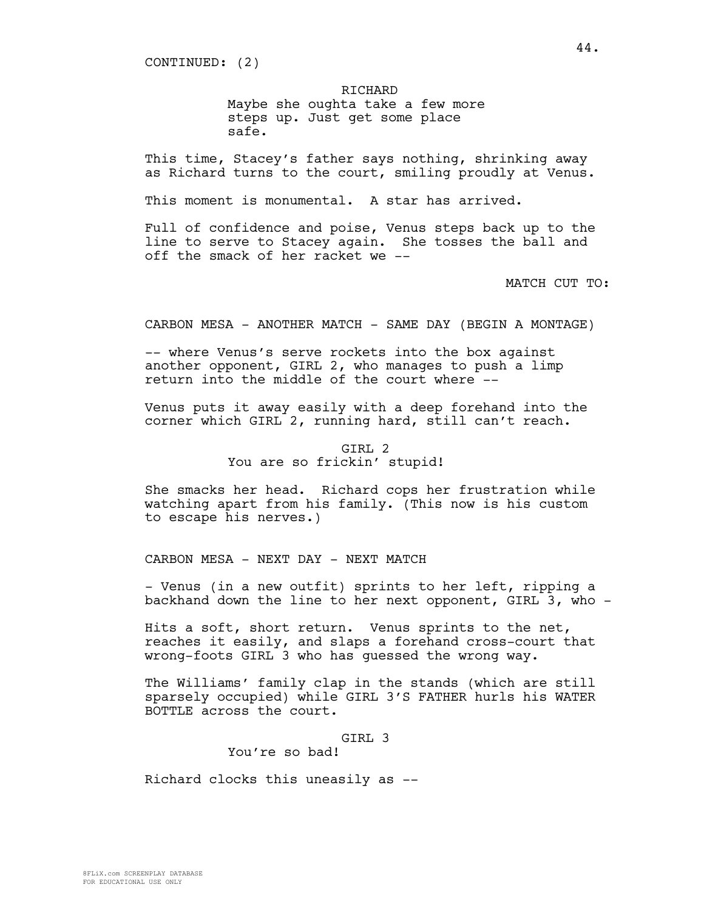CONTINUED: (2)

RICHARD

Maybe she oughta take a few more steps up. Just get some place safe.

This time, Stacey's father says nothing, shrinking away as Richard turns to the court, smiling proudly at Venus.

This moment is monumental. A star has arrived.

Full of confidence and poise, Venus steps back up to the line to serve to Stacey again. She tosses the ball and off the smack of her racket we --

MATCH CUT TO:

CARBON MESA - ANOTHER MATCH - SAME DAY (BEGIN A MONTAGE)

-- where Venus's serve rockets into the box against another opponent, GIRL 2, who manages to push a limp return into the middle of the court where --

Venus puts it away easily with a deep forehand into the corner which GIRL 2, running hard, still can't reach.

> GIRL 2 You are so frickin' stupid!

She smacks her head. Richard cops her frustration while watching apart from his family. (This now is his custom to escape his nerves.)

CARBON MESA - NEXT DAY - NEXT MATCH

- Venus (in a new outfit) sprints to her left, ripping a backhand down the line to her next opponent, GIRL 3, who -

Hits a soft, short return. Venus sprints to the net, reaches it easily, and slaps a forehand cross-court that wrong-foots GIRL 3 who has guessed the wrong way.

The Williams' family clap in the stands (which are still sparsely occupied) while GIRL 3'S FATHER hurls his WATER BOTTLE across the court.

GIRL 3

You're so bad!

Richard clocks this uneasily as --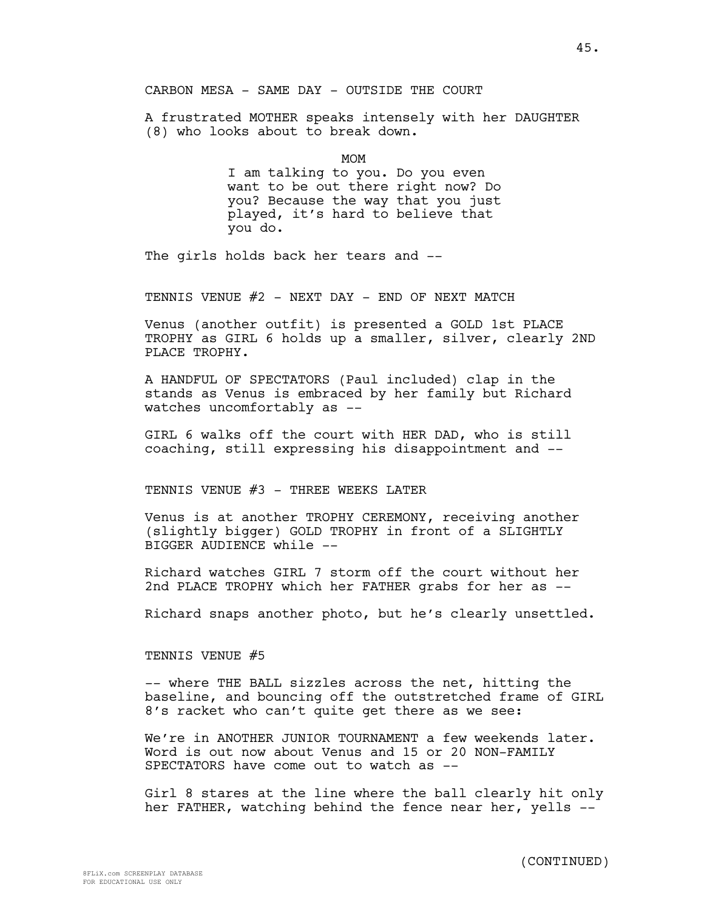CARBON MESA - SAME DAY - OUTSIDE THE COURT

A frustrated MOTHER speaks intensely with her DAUGHTER (8) who looks about to break down.

MOM

I am talking to you. Do you even want to be out there right now? Do you? Because the way that you just played, it's hard to believe that you do.

The girls holds back her tears and --

TENNIS VENUE #2 - NEXT DAY - END OF NEXT MATCH

Venus (another outfit) is presented a GOLD 1st PLACE TROPHY as GIRL 6 holds up a smaller, silver, clearly 2ND PLACE TROPHY.

A HANDFUL OF SPECTATORS (Paul included) clap in the stands as Venus is embraced by her family but Richard watches uncomfortably as --

GIRL 6 walks off the court with HER DAD, who is still coaching, still expressing his disappointment and --

TENNIS VENUE #3 - THREE WEEKS LATER

Venus is at another TROPHY CEREMONY, receiving another (slightly bigger) GOLD TROPHY in front of a SLIGHTLY BIGGER AUDIENCE while --

Richard watches GIRL 7 storm off the court without her 2nd PLACE TROPHY which her FATHER grabs for her as --

Richard snaps another photo, but he's clearly unsettled.

TENNIS VENUE #5

-- where THE BALL sizzles across the net, hitting the baseline, and bouncing off the outstretched frame of GIRL 8's racket who can't quite get there as we see:

We're in ANOTHER JUNIOR TOURNAMENT a few weekends later. Word is out now about Venus and 15 or 20 NON-FAMILY SPECTATORS have come out to watch as --

Girl 8 stares at the line where the ball clearly hit only her FATHER, watching behind the fence near her, yells --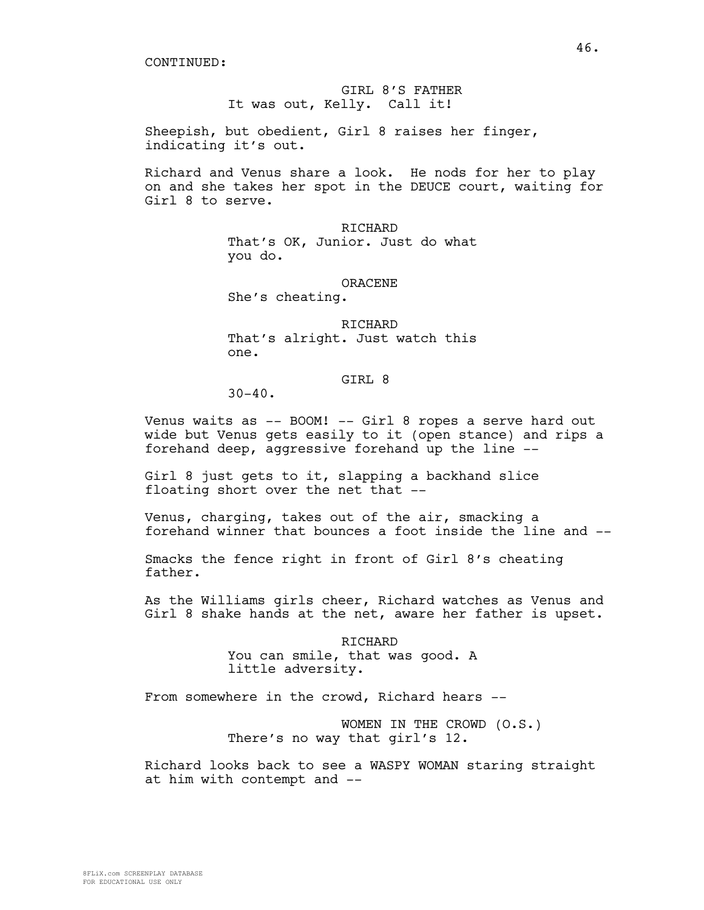GIRL 8'S FATHER It was out, Kelly. Call it!

Sheepish, but obedient, Girl 8 raises her finger, indicating it's out.

Richard and Venus share a look. He nods for her to play on and she takes her spot in the DEUCE court, waiting for Girl 8 to serve.

RICHARD

That's OK, Junior. Just do what you do.

ORACENE

She's cheating.

RICHARD That's alright. Just watch this one.

# GIRL 8

 $30 - 40$ .

Venus waits as -- BOOM! -- Girl 8 ropes a serve hard out wide but Venus gets easily to it (open stance) and rips a forehand deep, aggressive forehand up the line --

Girl 8 just gets to it, slapping a backhand slice floating short over the net that --

Venus, charging, takes out of the air, smacking a forehand winner that bounces a foot inside the line and --

Smacks the fence right in front of Girl 8's cheating father.

As the Williams girls cheer, Richard watches as Venus and Girl 8 shake hands at the net, aware her father is upset.

> RICHARD You can smile, that was good. A little adversity.

From somewhere in the crowd, Richard hears --

WOMEN IN THE CROWD (O.S.) There's no way that girl's 12.

Richard looks back to see a WASPY WOMAN staring straight at him with contempt and --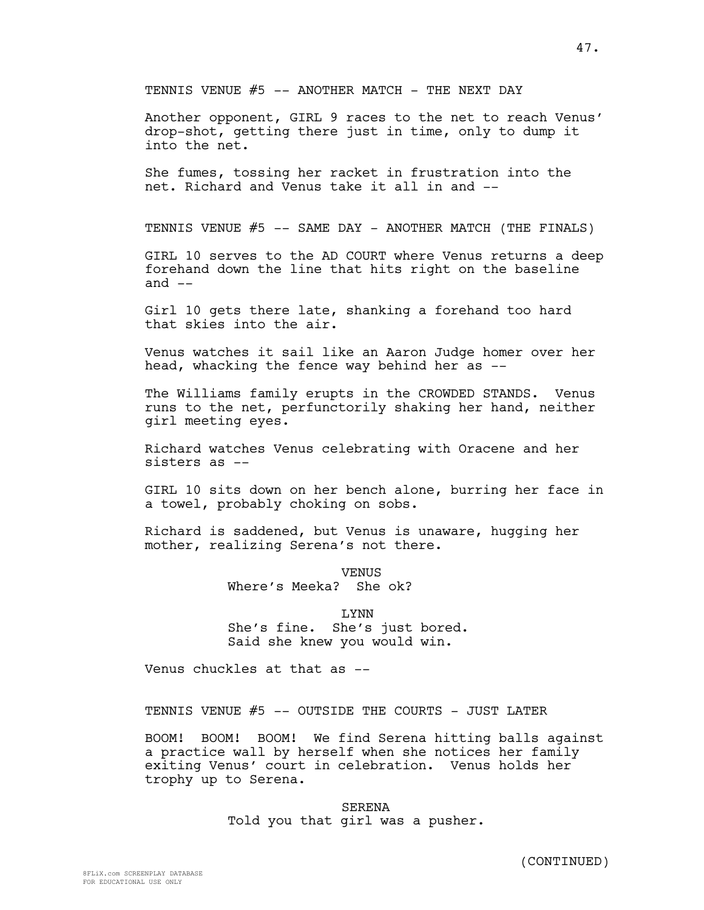TENNIS VENUE  $#5$  -- ANOTHER MATCH - THE NEXT DAY

Another opponent, GIRL 9 races to the net to reach Venus' drop-shot, getting there just in time, only to dump it into the net.

She fumes, tossing her racket in frustration into the net. Richard and Venus take it all in and --

TENNIS VENUE #5 -- SAME DAY - ANOTHER MATCH (THE FINALS)

GIRL 10 serves to the AD COURT where Venus returns a deep forehand down the line that hits right on the baseline and  $--$ 

Girl 10 gets there late, shanking a forehand too hard that skies into the air.

Venus watches it sail like an Aaron Judge homer over her head, whacking the fence way behind her as --

The Williams family erupts in the CROWDED STANDS. Venus runs to the net, perfunctorily shaking her hand, neither girl meeting eyes.

Richard watches Venus celebrating with Oracene and her sisters as --

GIRL 10 sits down on her bench alone, burring her face in a towel, probably choking on sobs.

Richard is saddened, but Venus is unaware, hugging her mother, realizing Serena's not there.

> VENUS Where's Meeka? She ok?

LYNN She's fine. She's just bored. Said she knew you would win.

Venus chuckles at that as --

TENNIS VENUE #5 -- OUTSIDE THE COURTS - JUST LATER

BOOM! BOOM! BOOM! We find Serena hitting balls against a practice wall by herself when she notices her family exiting Venus' court in celebration. Venus holds her trophy up to Serena.

> SERENA Told you that girl was a pusher.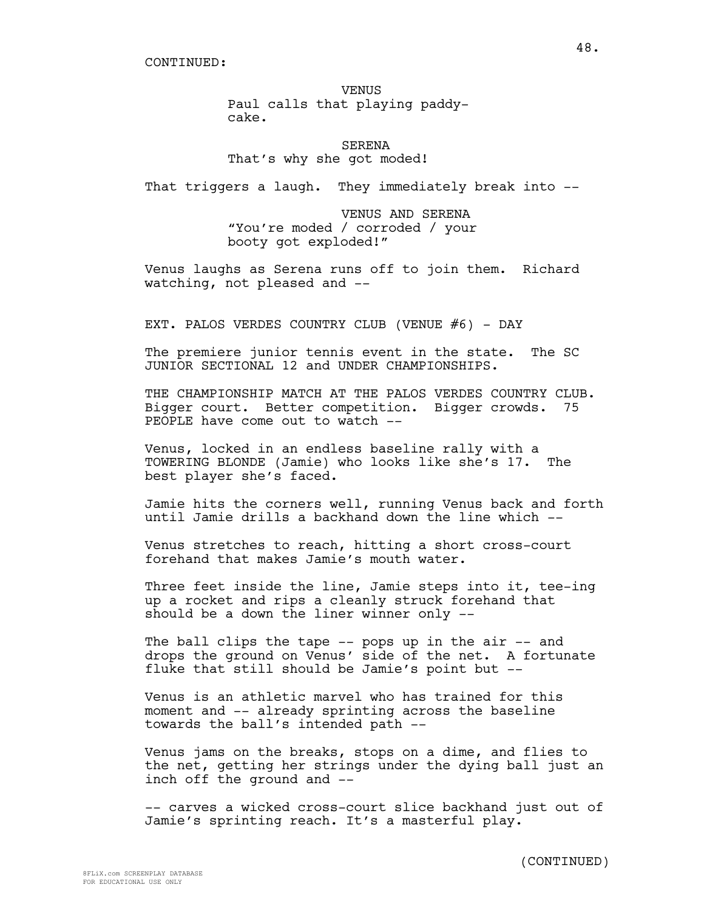SERENA That's why she got moded!

That triggers a laugh. They immediately break into --

VENUS AND SERENA "You're moded / corroded / your booty got exploded!"

Venus laughs as Serena runs off to join them. Richard watching, not pleased and --

EXT. PALOS VERDES COUNTRY CLUB (VENUE  $#6$ ) - DAY

The premiere junior tennis event in the state. The SC JUNIOR SECTIONAL 12 and UNDER CHAMPIONSHIPS.

THE CHAMPIONSHIP MATCH AT THE PALOS VERDES COUNTRY CLUB. Bigger court. Better competition. Bigger crowds. 75 PEOPLE have come out to watch --

Venus, locked in an endless baseline rally with a TOWERING BLONDE (Jamie) who looks like she's 17. The best player she's faced.

Jamie hits the corners well, running Venus back and forth until Jamie drills a backhand down the line which --

Venus stretches to reach, hitting a short cross-court forehand that makes Jamie's mouth water.

Three feet inside the line, Jamie steps into it, tee-ing up a rocket and rips a cleanly struck forehand that should be a down the liner winner only --

The ball clips the tape -- pops up in the air -- and drops the ground on Venus' side of the net. A fortunate fluke that still should be Jamie's point but --

Venus is an athletic marvel who has trained for this moment and -- already sprinting across the baseline towards the ball's intended path --

Venus jams on the breaks, stops on a dime, and flies to the net, getting her strings under the dying ball just an inch off the ground and --

-- carves a wicked cross-court slice backhand just out of Jamie's sprinting reach. It's a masterful play.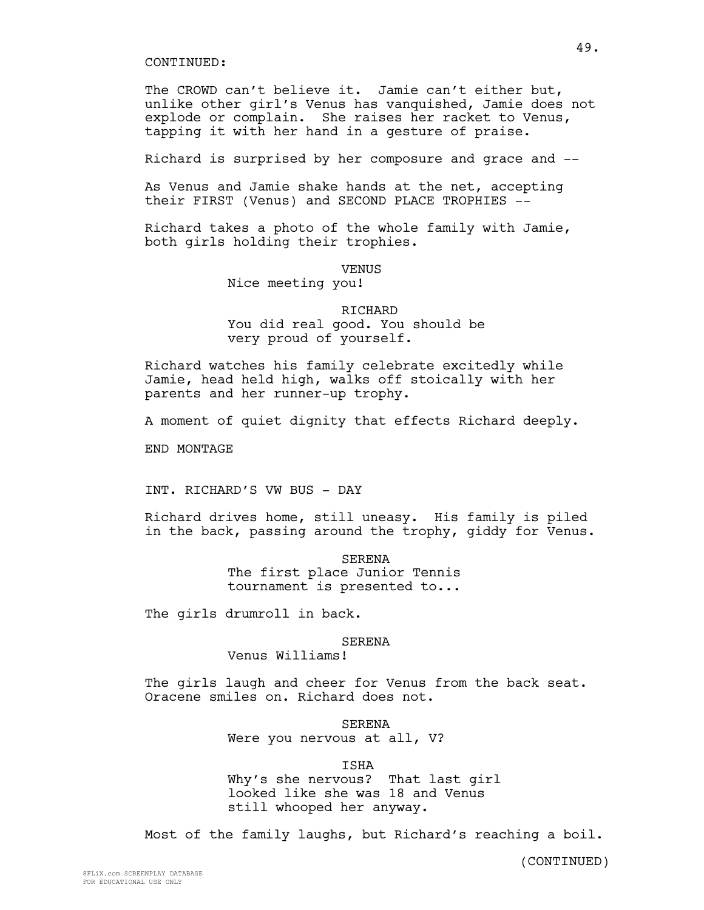The CROWD can't believe it. Jamie can't either but, unlike other girl's Venus has vanquished, Jamie does not explode or complain. She raises her racket to Venus, tapping it with her hand in a gesture of praise.

Richard is surprised by her composure and grace and --

As Venus and Jamie shake hands at the net, accepting their FIRST (Venus) and SECOND PLACE TROPHIES --

Richard takes a photo of the whole family with Jamie, both girls holding their trophies.

VENUS

Nice meeting you!

# RICHARD You did real good. You should be very proud of yourself.

Richard watches his family celebrate excitedly while Jamie, head held high, walks off stoically with her parents and her runner-up trophy.

A moment of quiet dignity that effects Richard deeply.

END MONTAGE

INT. RICHARD'S VW BUS - DAY

Richard drives home, still uneasy. His family is piled in the back, passing around the trophy, giddy for Venus.

> SERENA The first place Junior Tennis tournament is presented to...

The girls drumroll in back.

## SERENA

Venus Williams!

The girls laugh and cheer for Venus from the back seat. Oracene smiles on. Richard does not.

> SERENA Were you nervous at all, V?

ISHA Why's she nervous? That last girl looked like she was 18 and Venus still whooped her anyway.

Most of the family laughs, but Richard's reaching a boil.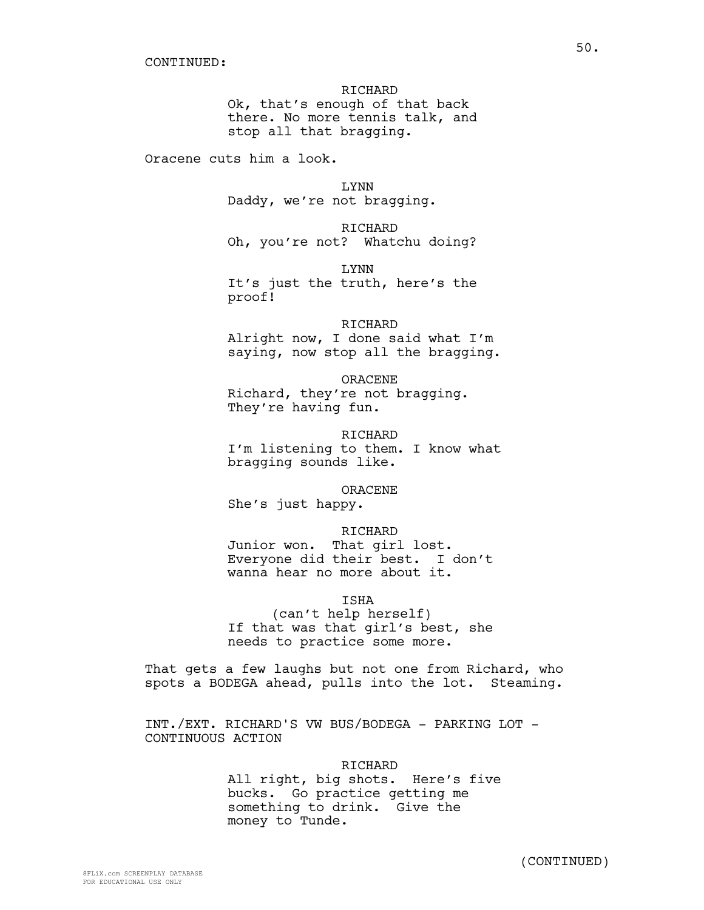RICHARD Ok, that's enough of that back there. No more tennis talk, and stop all that bragging.

Oracene cuts him a look.

LYNN Daddy, we're not bragging.

RICHARD Oh, you're not? Whatchu doing?

LYNN It's just the truth, here's the proof!

RICHARD Alright now, I done said what I'm saying, now stop all the bragging.

ORACENE Richard, they're not bragging. They're having fun.

RICHARD I'm listening to them. I know what bragging sounds like.

ORACENE She's just happy.

# RICHARD

Junior won. That girl lost. Everyone did their best. I don't wanna hear no more about it.

ISHA

(can't help herself) If that was that girl's best, she needs to practice some more.

That gets a few laughs but not one from Richard, who spots a BODEGA ahead, pulls into the lot. Steaming.

INT./EXT. RICHARD'S VW BUS/BODEGA - PARKING LOT - CONTINUOUS ACTION

> RICHARD All right, big shots. Here's five bucks. Go practice getting me something to drink. Give the money to Tunde.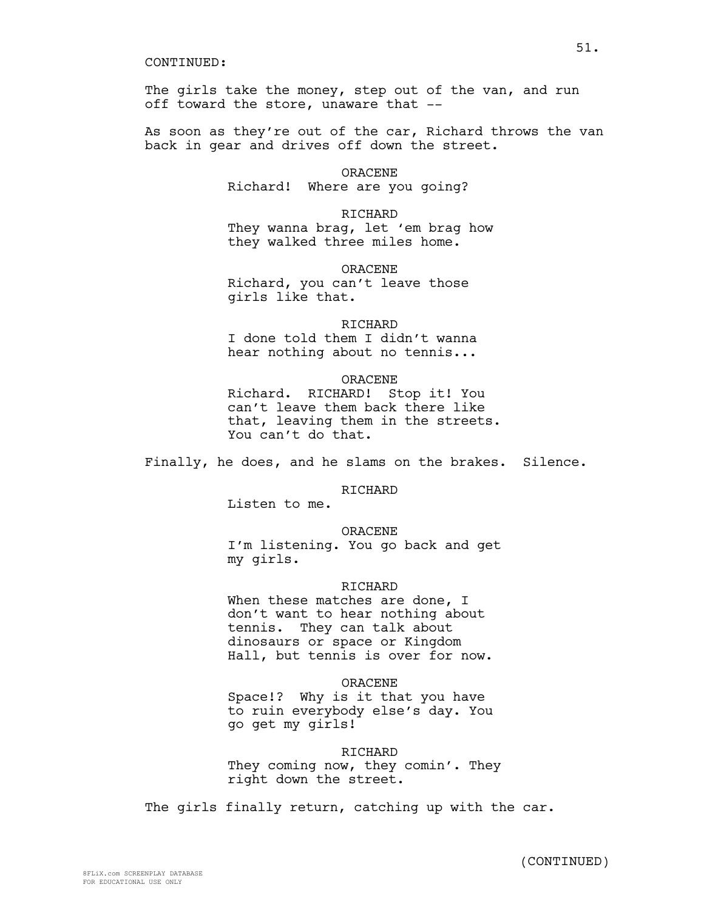The girls take the money, step out of the van, and run off toward the store, unaware that --

As soon as they're out of the car, Richard throws the van back in gear and drives off down the street.

> ORACENE Richard! Where are you going?

RICHARD They wanna brag, let 'em brag how they walked three miles home.

ORACENE Richard, you can't leave those girls like that.

#### RICHARD

I done told them I didn't wanna hear nothing about no tennis...

# ORACENE

Richard. RICHARD! Stop it! You can't leave them back there like that, leaving them in the streets. You can't do that.

Finally, he does, and he slams on the brakes. Silence.

**RICHARD** 

Listen to me.

#### ORACENE

I'm listening. You go back and get my girls.

# **RICHARD**

When these matches are done, I don't want to hear nothing about tennis. They can talk about dinosaurs or space or Kingdom Hall, but tennis is over for now.

# ORACENE

Space!? Why is it that you have to ruin everybody else's day. You go get my girls!

#### RICHARD

They coming now, they comin'. They right down the street.

The girls finally return, catching up with the car.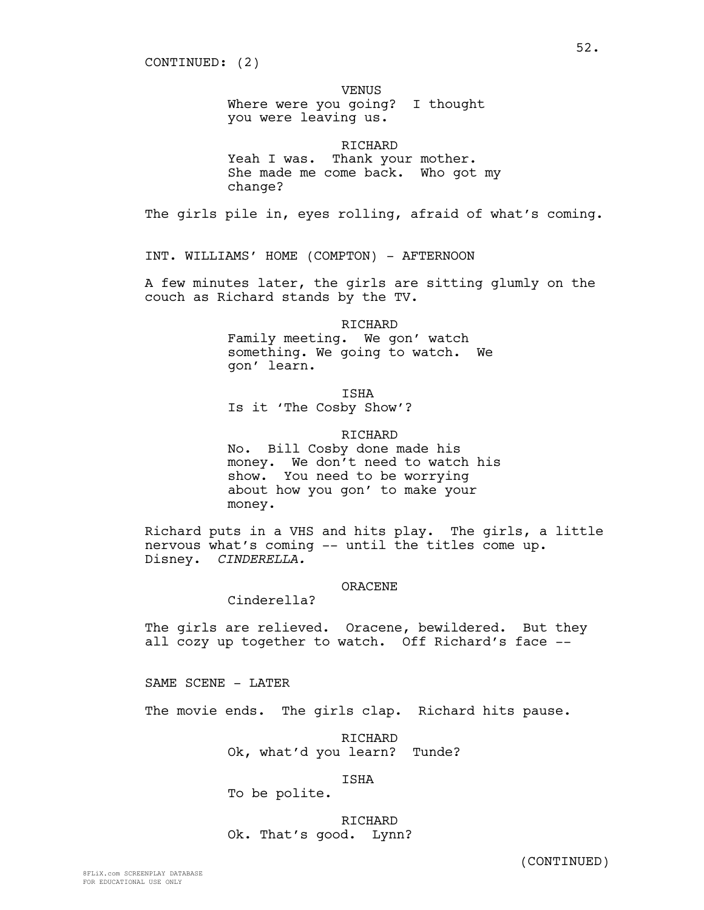# VENUS

Where were you going? I thought you were leaving us.

RICHARD Yeah I was. Thank your mother. She made me come back. Who got my change?

The girls pile in, eyes rolling, afraid of what's coming.

INT. WILLIAMS' HOME (COMPTON) - AFTERNOON

A few minutes later, the girls are sitting glumly on the couch as Richard stands by the TV.

RICHARD

Family meeting. We gon' watch something. We going to watch. We gon' learn.

ISHA

Is it 'The Cosby Show'?

RICHARD

No. Bill Cosby done made his money. We don't need to watch his show. You need to be worrying about how you gon' to make your money.

Richard puts in a VHS and hits play. The girls, a little nervous what's coming -- until the titles come up. Disney. *CINDERELLA.*

# ORACENE

Cinderella?

The girls are relieved. Oracene, bewildered. But they all cozy up together to watch. Off Richard's face --

SAME SCENE - LATER

The movie ends. The girls clap. Richard hits pause.

RICHARD Ok, what'd you learn? Tunde?

ISHA

To be polite.

RICHARD Ok. That's good. Lynn?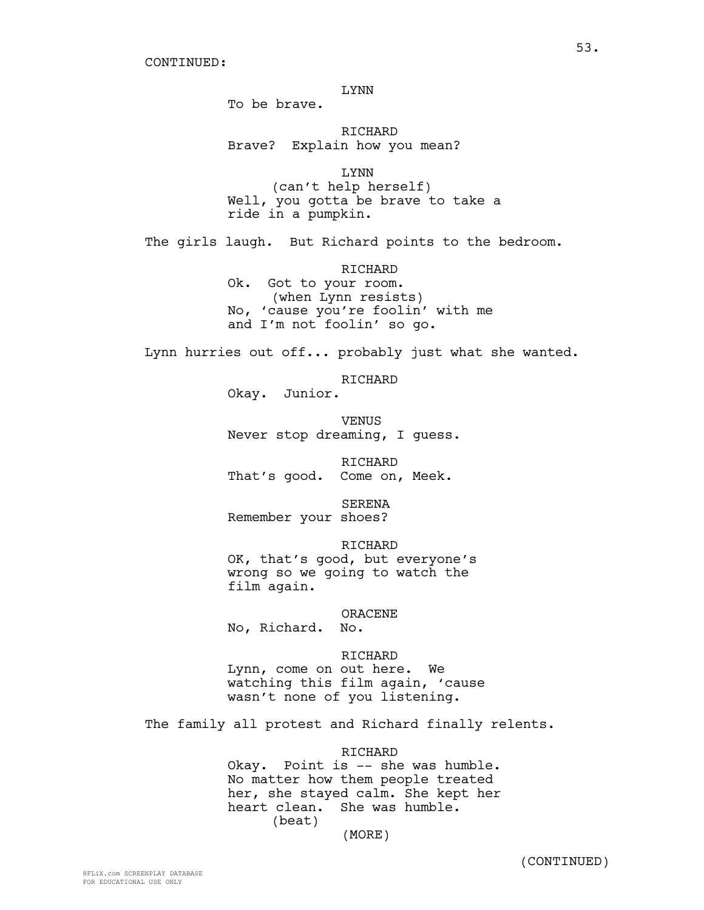LYNN

To be brave.

RICHARD Brave? Explain how you mean?

LYNN (can't help herself) Well, you gotta be brave to take a ride in a pumpkin.

The girls laugh. But Richard points to the bedroom.

RICHARD

Ok. Got to your room. (when Lynn resists) No, 'cause you're foolin' with me and I'm not foolin' so go.

Lynn hurries out off... probably just what she wanted.

RICHARD

Okay. Junior.

VENUS Never stop dreaming, I guess.

RICHARD That's good. Come on, Meek.

SERENA Remember your shoes?

RICHARD OK, that's good, but everyone's wrong so we going to watch the film again.

ORACENE

No, Richard. No.

RICHARD Lynn, come on out here. We watching this film again, 'cause wasn't none of you listening.

The family all protest and Richard finally relents.

RICHARD

Okay. Point is -- she was humble. No matter how them people treated her, she stayed calm. She kept her heart clean. She was humble. (beat)

(MORE)

(CONTINUED)

53.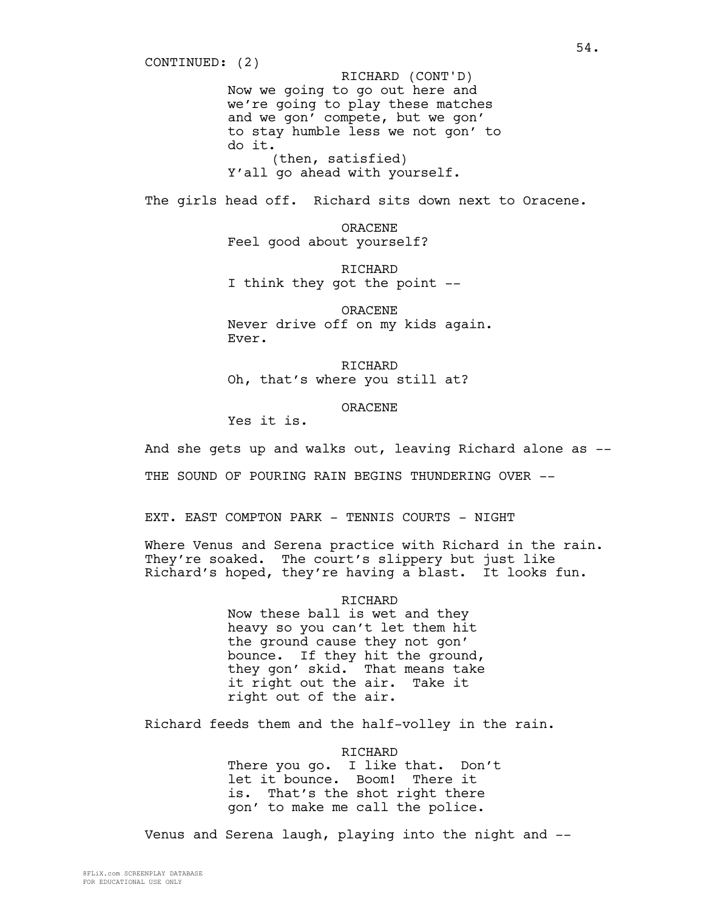Now we going to go out here and we're going to play these matches and we gon' compete, but we gon' to stay humble less we not gon' to do it. (then, satisfied) Y'all go ahead with yourself. CONTINUED: (2) RICHARD (CONT'D)

The girls head off. Richard sits down next to Oracene.

ORACENE Feel good about yourself?

RICHARD I think they got the point --

ORACENE Never drive off on my kids again. Ever.

RICHARD Oh, that's where you still at?

ORACENE

Yes it is.

And she gets up and walks out, leaving Richard alone as --

THE SOUND OF POURING RAIN BEGINS THUNDERING OVER --

EXT. EAST COMPTON PARK - TENNIS COURTS - NIGHT

Where Venus and Serena practice with Richard in the rain. They're soaked. The court's slippery but just like Richard's hoped, they're having a blast. It looks fun.

RICHARD

Now these ball is wet and they heavy so you can't let them hit the ground cause they not gon' bounce. If they hit the ground, they gon' skid. That means take it right out the air. Take it right out of the air.

Richard feeds them and the half-volley in the rain.

RICHARD

There you go. I like that. Don't let it bounce. Boom! There it is. That's the shot right there gon' to make me call the police.

Venus and Serena laugh, playing into the night and --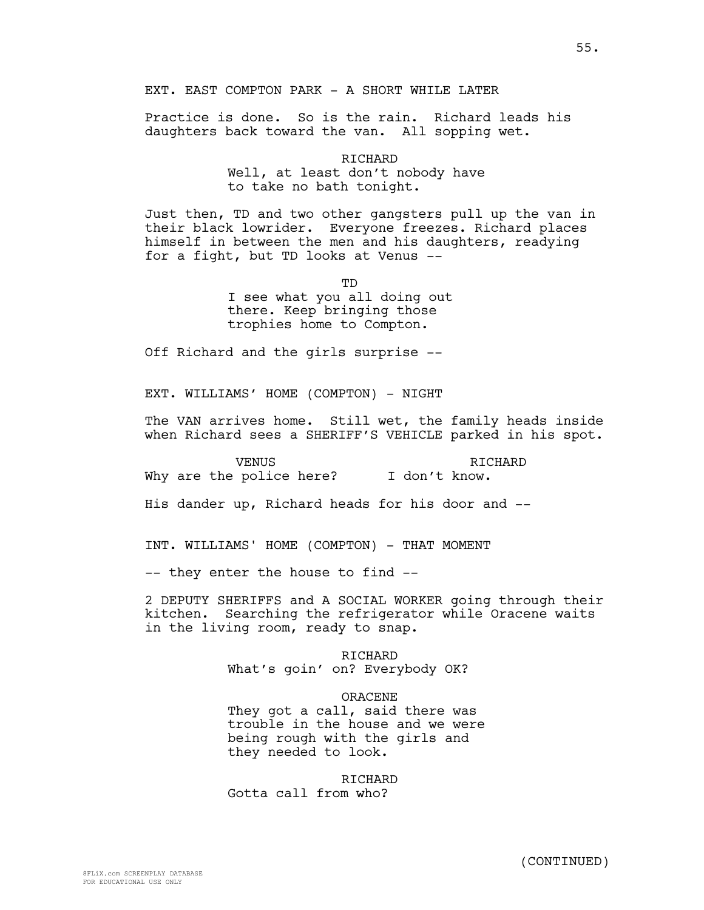EXT. EAST COMPTON PARK - A SHORT WHILE LATER

Practice is done. So is the rain. Richard leads his daughters back toward the van. All sopping wet.

> RICHARD Well, at least don't nobody have to take no bath tonight.

Just then, TD and two other gangsters pull up the van in their black lowrider. Everyone freezes. Richard places himself in between the men and his daughters, readying for a fight, but TD looks at Venus --

> mD I see what you all doing out there. Keep bringing those trophies home to Compton.

Off Richard and the girls surprise --

EXT. WILLIAMS' HOME (COMPTON) - NIGHT

The VAN arrives home. Still wet, the family heads inside when Richard sees a SHERIFF'S VEHICLE parked in his spot.

**VENUS** Why are the police here? I don't know. RICHARD

His dander up, Richard heads for his door and --

INT. WILLIAMS' HOME (COMPTON) - THAT MOMENT

-- they enter the house to find --

2 DEPUTY SHERIFFS and A SOCIAL WORKER going through their kitchen. Searching the refrigerator while Oracene waits in the living room, ready to snap.

> RICHARD What's goin' on? Everybody OK?

#### ORACENE

They got a call, said there was trouble in the house and we were being rough with the girls and they needed to look.

RICHARD Gotta call from who?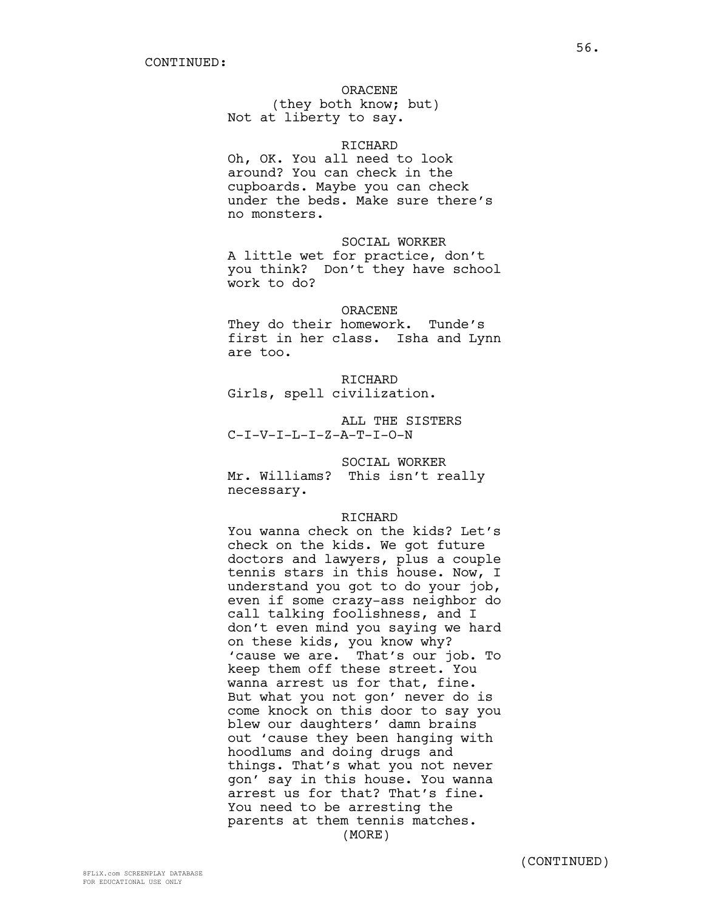# ORACENE

(they both know; but) Not at liberty to say.

# RICHARD

Oh, OK. You all need to look around? You can check in the cupboards. Maybe you can check under the beds. Make sure there's no monsters.

SOCIAL WORKER A little wet for practice, don't you think? Don't they have school work to do?

# ORACENE

They do their homework. Tunde's first in her class. Isha and Lynn are too.

# RICHARD

Girls, spell civilization.

ALL THE SISTERS C-I-V-I-L-I-Z-A-T-I-O-N

# SOCIAL WORKER

Mr. Williams? This isn't really necessary.

## RICHARD

You wanna check on the kids? Let's check on the kids. We got future doctors and lawyers, plus a couple tennis stars in this house. Now, I understand you got to do your job, even if some crazy-ass neighbor do call talking foolishness, and I don't even mind you saying we hard on these kids, you know why? 'cause we are. That's our job. To keep them off these street. You wanna arrest us for that, fine. But what you not gon' never do is come knock on this door to say you blew our daughters' damn brains out 'cause they been hanging with hoodlums and doing drugs and things. That's what you not never gon' say in this house. You wanna arrest us for that? That's fine. You need to be arresting the parents at them tennis matches. (MORE)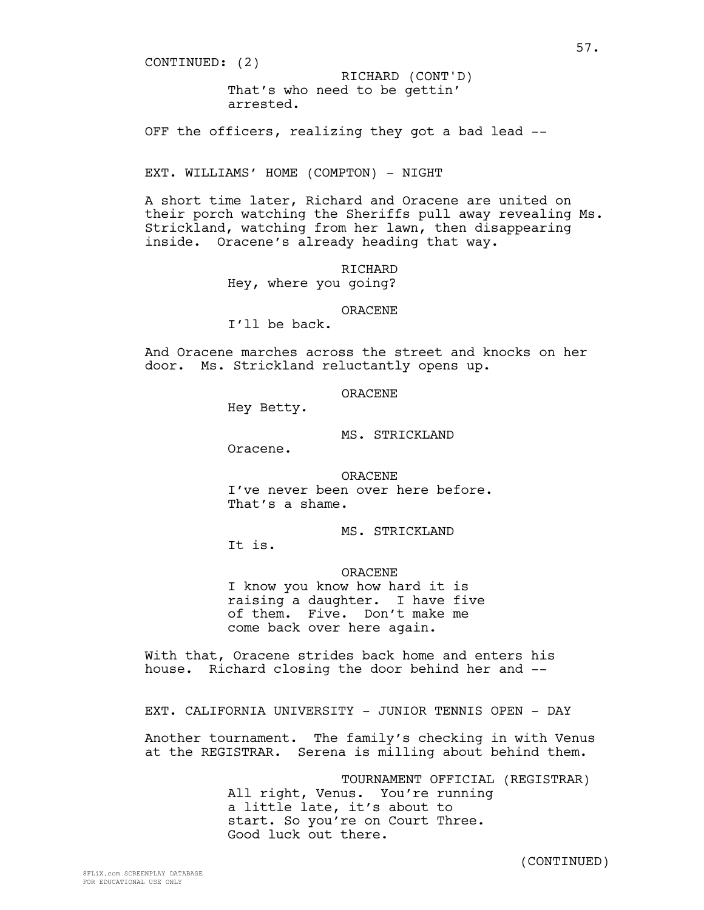CONTINUED: (2)

That's who need to be gettin' arrested. RICHARD (CONT'D)

OFF the officers, realizing they got a bad lead --

EXT. WILLIAMS' HOME (COMPTON) - NIGHT

A short time later, Richard and Oracene are united on their porch watching the Sheriffs pull away revealing Ms. Strickland, watching from her lawn, then disappearing inside. Oracene's already heading that way.

> RICHARD Hey, where you going?

> > ORACENE

I'll be back.

And Oracene marches across the street and knocks on her door. Ms. Strickland reluctantly opens up.

#### ORACENE

Hey Betty.

MS. STRICKLAND

Oracene.

ORACENE I've never been over here before. That's a shame.

MS. STRICKLAND

It is.

ORACENE

I know you know how hard it is raising a daughter. I have five of them. Five. Don't make me come back over here again.

With that, Oracene strides back home and enters his house. Richard closing the door behind her and --

EXT. CALIFORNIA UNIVERSITY - JUNIOR TENNIS OPEN - DAY

Another tournament. The family's checking in with Venus at the REGISTRAR. Serena is milling about behind them.

> TOURNAMENT OFFICIAL (REGISTRAR) All right, Venus. You're running a little late, it's about to start. So you're on Court Three. Good luck out there.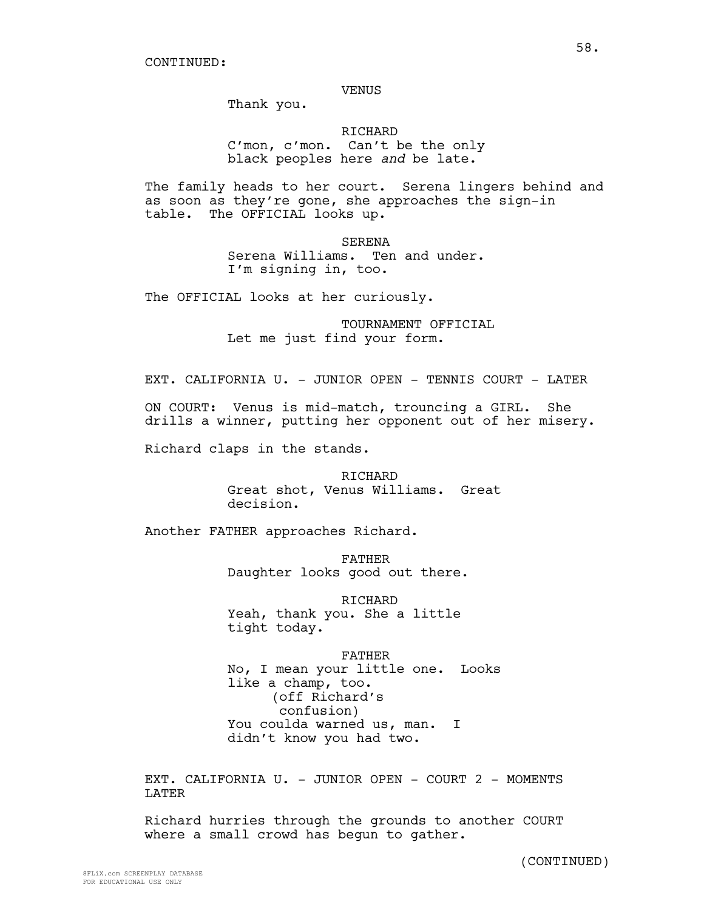## VENUS

Thank you.

RICHARD C'mon, c'mon. Can't be the only black peoples here *and* be late.

The family heads to her court. Serena lingers behind and as soon as they're gone, she approaches the sign-in table. The OFFICIAL looks up.

> SERENA Serena Williams. Ten and under. I'm signing in, too.

The OFFICIAL looks at her curiously.

TOURNAMENT OFFICIAL Let me just find your form.

EXT. CALIFORNIA U. - JUNIOR OPEN - TENNIS COURT - LATER

ON COURT: Venus is mid-match, trouncing a GIRL. She drills a winner, putting her opponent out of her misery.

Richard claps in the stands.

RICHARD Great shot, Venus Williams. Great decision.

Another FATHER approaches Richard.

FATHER Daughter looks good out there.

RICHARD Yeah, thank you. She a little tight today.

FATHER No, I mean your little one. Looks like a champ, too. (off Richard's confusion) You coulda warned us, man. I didn't know you had two.

EXT. CALIFORNIA U. - JUNIOR OPEN - COURT 2 - MOMENTS LATER

Richard hurries through the grounds to another COURT where a small crowd has begun to gather.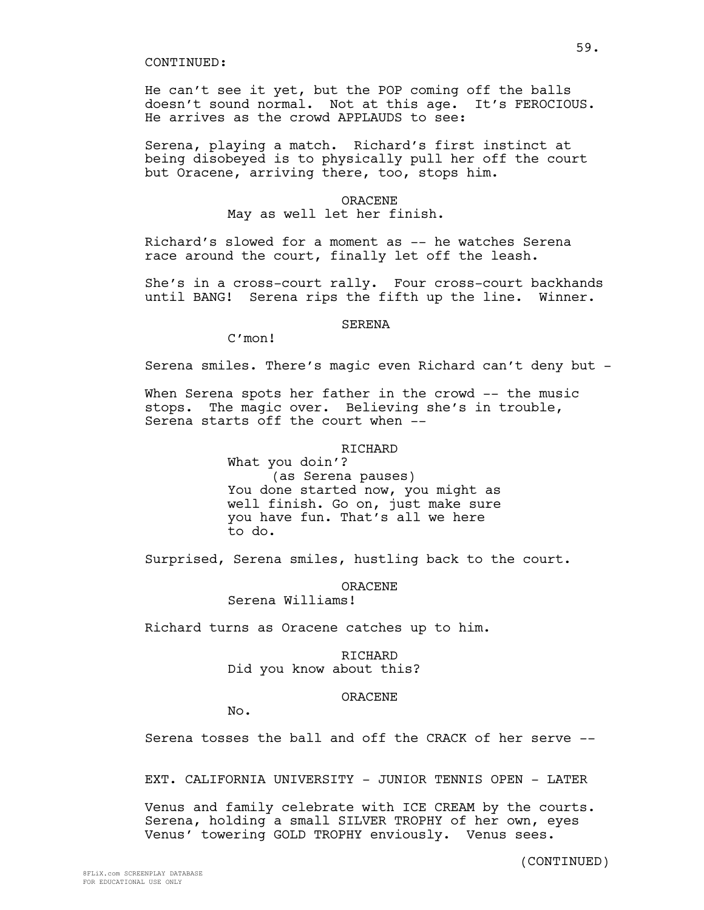He can't see it yet, but the POP coming off the balls doesn't sound normal. Not at this age. It's FEROCIOUS. He arrives as the crowd APPLAUDS to see:

Serena, playing a match. Richard's first instinct at being disobeyed is to physically pull her off the court but Oracene, arriving there, too, stops him.

#### ORACENE

# May as well let her finish.

Richard's slowed for a moment as -- he watches Serena race around the court, finally let off the leash.

She's in a cross-court rally. Four cross-court backhands until BANG! Serena rips the fifth up the line. Winner.

#### SERENA

C'mon!

Serena smiles. There's magic even Richard can't deny but -

When Serena spots her father in the crowd -- the music stops. The magic over. Believing she's in trouble, Serena starts off the court when --

# RICHARD

What you doin'? (as Serena pauses) You done started now, you might as well finish. Go on, just make sure you have fun. That's all we here to do.

Surprised, Serena smiles, hustling back to the court.

ORACENE

Serena Williams!

Richard turns as Oracene catches up to him.

RICHARD Did you know about this?

#### ORACENE

No.

Serena tosses the ball and off the CRACK of her serve --

EXT. CALIFORNIA UNIVERSITY - JUNIOR TENNIS OPEN - LATER

Venus and family celebrate with ICE CREAM by the courts. Serena, holding a small SILVER TROPHY of her own, eyes Venus' towering GOLD TROPHY enviously. Venus sees.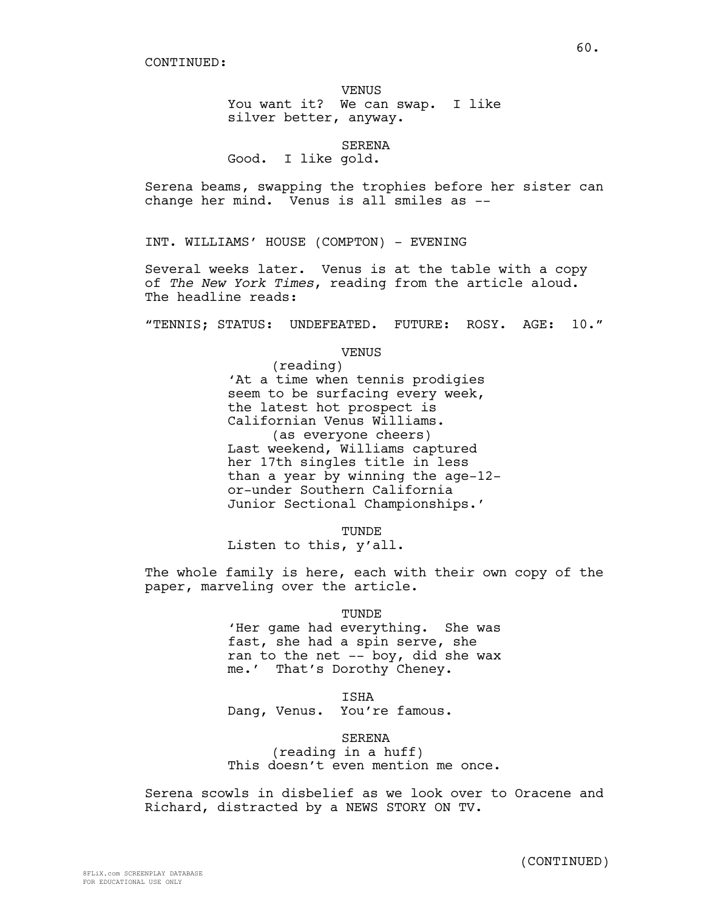# VENUS You want it? We can swap. I like

silver better, anyway.

# SERENA

Good. I like gold.

Serena beams, swapping the trophies before her sister can change her mind. Venus is all smiles as --

INT. WILLIAMS' HOUSE (COMPTON) - EVENING

Several weeks later. Venus is at the table with a copy of *The New York Times*, reading from the article aloud. The headline reads:

"TENNIS; STATUS: UNDEFEATED. FUTURE: ROSY. AGE: 10."

VENUS

(reading) 'At a time when tennis prodigies seem to be surfacing every week, the latest hot prospect is Californian Venus Williams. (as everyone cheers) Last weekend, Williams captured her 17th singles title in less than a year by winning the age-12 or-under Southern California Junior Sectional Championships.'

TUNDE

Listen to this, y'all.

The whole family is here, each with their own copy of the paper, marveling over the article.

TUNDE

'Her game had everything. She was fast, she had a spin serve, she ran to the net -- boy, did she wax me.' That's Dorothy Cheney.

ISHA

Dang, Venus. You're famous.

SERENA

(reading in a huff) This doesn't even mention me once.

Serena scowls in disbelief as we look over to Oracene and Richard, distracted by a NEWS STORY ON TV.

60.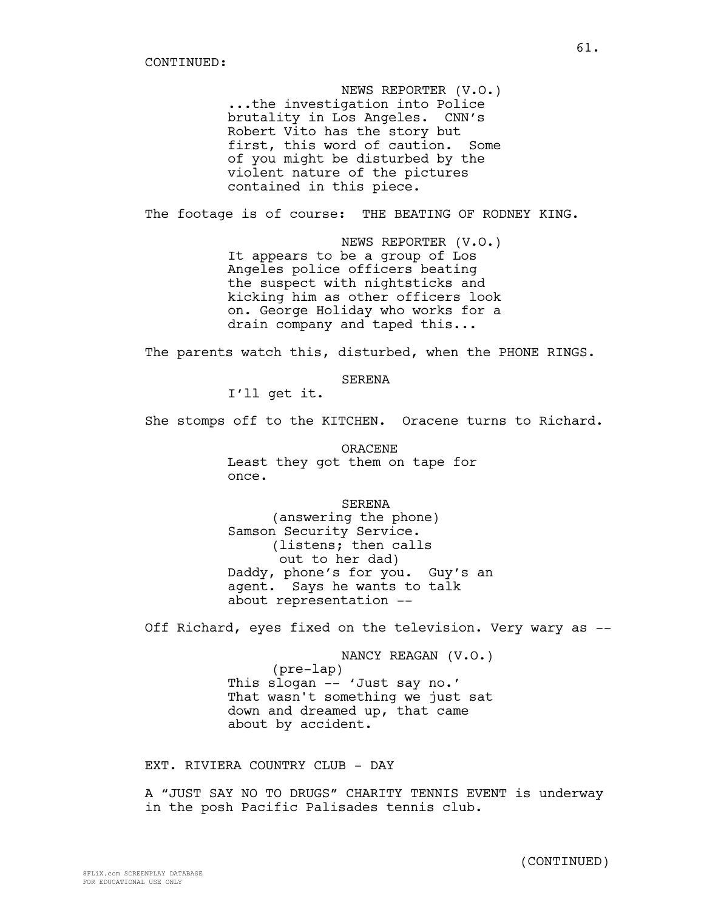NEWS REPORTER (V.O.) ...the investigation into Police brutality in Los Angeles. CNN's Robert Vito has the story but first, this word of caution. Some of you might be disturbed by the violent nature of the pictures contained in this piece.

The footage is of course: THE BEATING OF RODNEY KING.

NEWS REPORTER (V.O.) It appears to be a group of Los Angeles police officers beating the suspect with nightsticks and kicking him as other officers look on. George Holiday who works for a drain company and taped this...

The parents watch this, disturbed, when the PHONE RINGS.

SERENA

I'll get it.

She stomps off to the KITCHEN. Oracene turns to Richard.

ORACENE Least they got them on tape for once.

SERENA

(answering the phone) Samson Security Service. (listens; then calls out to her dad) Daddy, phone's for you. Guy's an agent. Says he wants to talk about representation --

Off Richard, eyes fixed on the television. Very wary as --

NANCY REAGAN (V.O.) (pre-lap) This slogan -- 'Just say no.' That wasn't something we just sat down and dreamed up, that came about by accident.

EXT. RIVIERA COUNTRY CLUB - DAY

A "JUST SAY NO TO DRUGS" CHARITY TENNIS EVENT is underway in the posh Pacific Palisades tennis club.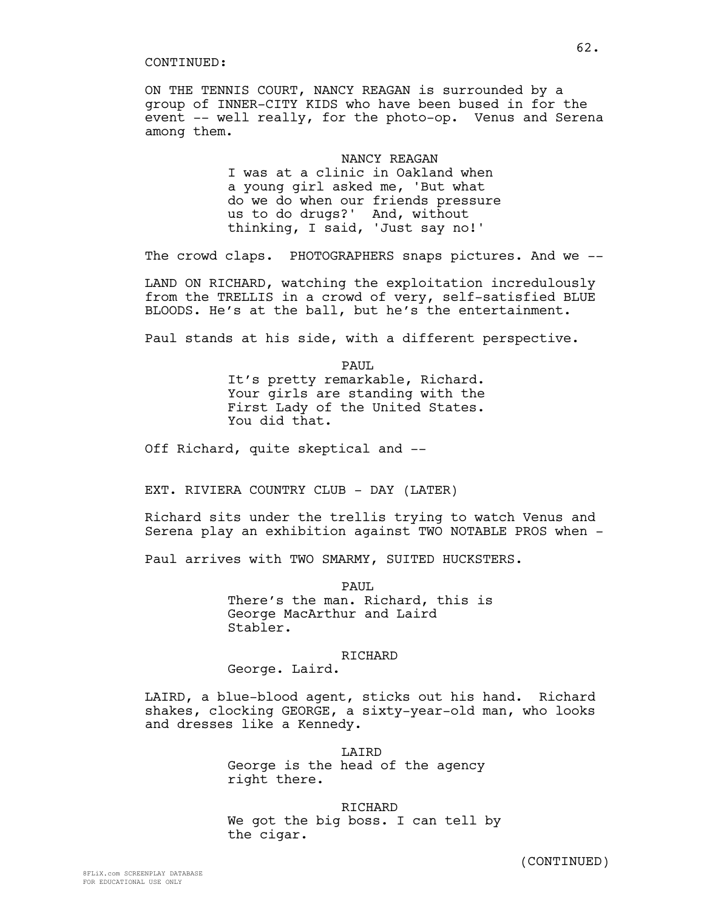ON THE TENNIS COURT, NANCY REAGAN is surrounded by a group of INNER-CITY KIDS who have been bused in for the event -- well really, for the photo-op. Venus and Serena among them.

> NANCY REAGAN I was at a clinic in Oakland when a young girl asked me, 'But what do we do when our friends pressure us to do drugs?' And, without thinking, I said, 'Just say no!'

The crowd claps. PHOTOGRAPHERS snaps pictures. And we --

LAND ON RICHARD, watching the exploitation incredulously from the TRELLIS in a crowd of very, self-satisfied BLUE BLOODS. He's at the ball, but he's the entertainment.

Paul stands at his side, with a different perspective.

PAUL It's pretty remarkable, Richard. Your girls are standing with the First Lady of the United States. You did that.

Off Richard, quite skeptical and --

EXT. RIVIERA COUNTRY CLUB - DAY (LATER)

Richard sits under the trellis trying to watch Venus and Serena play an exhibition against TWO NOTABLE PROS when -

Paul arrives with TWO SMARMY, SUITED HUCKSTERS.

PAUL.

There's the man. Richard, this is George MacArthur and Laird Stabler.

## RICHARD

George. Laird.

LAIRD, a blue-blood agent, sticks out his hand. Richard shakes, clocking GEORGE, a sixty-year-old man, who looks and dresses like a Kennedy.

> LAIRD George is the head of the agency right there.

RICHARD We got the big boss. I can tell by the cigar.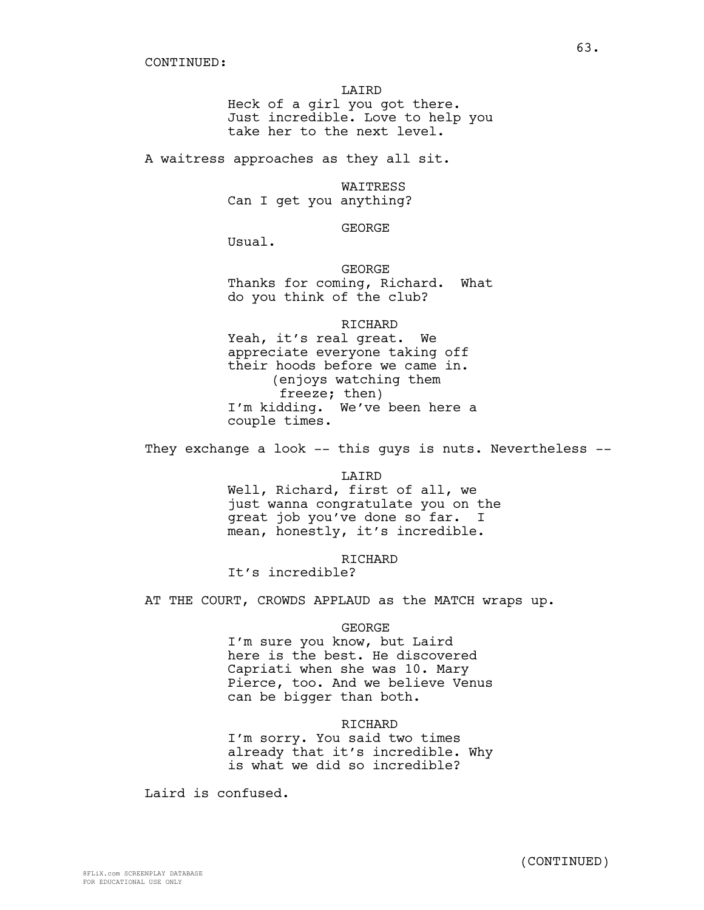LAIRD Heck of a girl you got there. Just incredible. Love to help you take her to the next level.

A waitress approaches as they all sit.

WAITRESS Can I get you anything?

GEORGE

Usual.

GEORGE Thanks for coming, Richard. What do you think of the club?

RICHARD

Yeah, it's real great. We appreciate everyone taking off their hoods before we came in. (enjoys watching them freeze; then) I'm kidding. We've been here a couple times.

They exchange a look -- this guys is nuts. Nevertheless --

LAIRD

Well, Richard, first of all, we just wanna congratulate you on the great job you've done so far. I mean, honestly, it's incredible.

**RICHARD** 

It's incredible?

AT THE COURT, CROWDS APPLAUD as the MATCH wraps up.

#### GEORGE

I'm sure you know, but Laird here is the best. He discovered Capriati when she was 10. Mary Pierce, too. And we believe Venus can be bigger than both.

## RICHARD

I'm sorry. You said two times already that it's incredible. Why is what we did so incredible?

Laird is confused.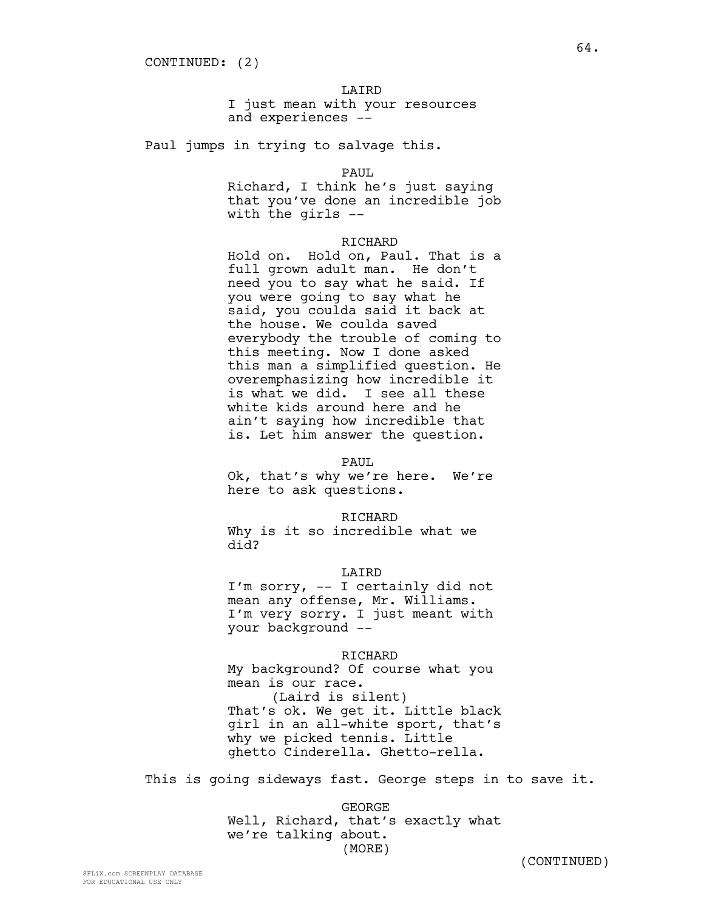# LAIRD

I just mean with your resources and experiences --

Paul jumps in trying to salvage this.

## PAUL

Richard, I think he's just saying that you've done an incredible job with the girls --

#### RICHARD

Hold on. Hold on, Paul. That is a full grown adult man. He don't need you to say what he said. If you were going to say what he said, you coulda said it back at the house. We coulda saved everybody the trouble of coming to this meeting. Now I done asked this man a simplified question. He overemphasizing how incredible it is what we did. I see all these white kids around here and he ain't saying how incredible that is. Let him answer the question.

#### PAUL

Ok, that's why we're here. We're here to ask questions.

#### RICHARD

Why is it so incredible what we did?

# LAIRD

I'm sorry, -- I certainly did not mean any offense, Mr. Williams. I'm very sorry. I just meant with your background --

# RICHARD

My background? Of course what you mean is our race. (Laird is silent) That's ok. We get it. Little black girl in an all-white sport, that's why we picked tennis. Little ghetto Cinderella. Ghetto-rella.

This is going sideways fast. George steps in to save it.

GEORGE Well, Richard, that's exactly what we're talking about. (MORE)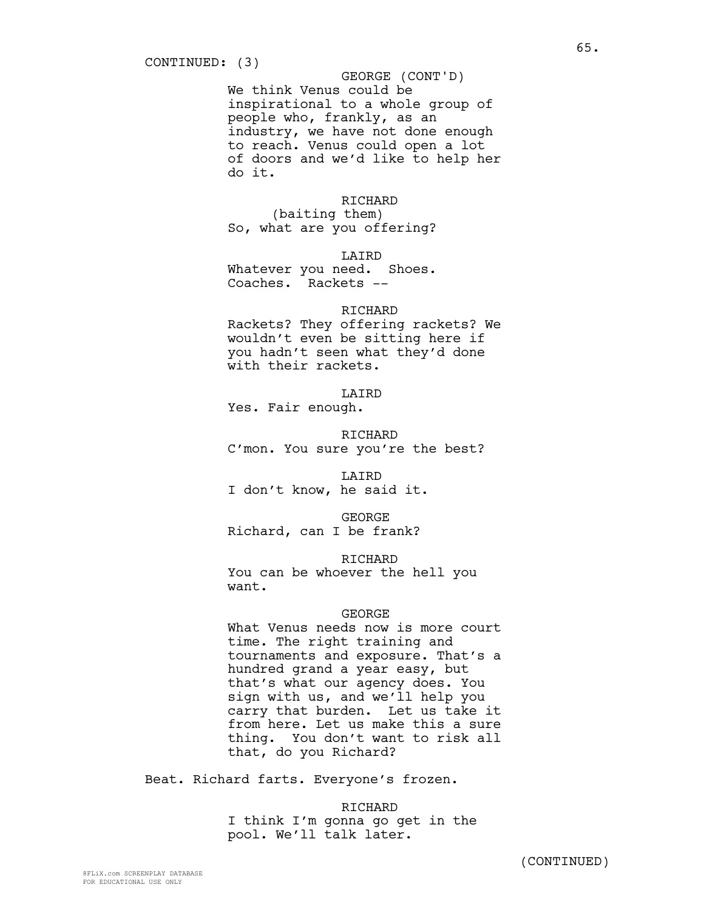We think Venus could be inspirational to a whole group of people who, frankly, as an industry, we have not done enough to reach. Venus could open a lot of doors and we'd like to help her do it. GEORGE (CONT'D)

# RICHARD

(baiting them) So, what are you offering?

LAIRD

Whatever you need. Shoes. Coaches. Rackets --

# RICHARD

Rackets? They offering rackets? We wouldn't even be sitting here if you hadn't seen what they'd done with their rackets.

LAIRD

Yes. Fair enough.

RICHARD C'mon. You sure you're the best?

LAIRD I don't know, he said it.

GEORGE Richard, can I be frank?

RICHARD

You can be whoever the hell you want.

# GEORGE

What Venus needs now is more court time. The right training and tournaments and exposure. That's a hundred grand a year easy, but that's what our agency does. You sign with us, and we'll help you carry that burden. Let us take it from here. Let us make this a sure thing. You don't want to risk all that, do you Richard?

Beat. Richard farts. Everyone's frozen.

RICHARD I think I'm gonna go get in the pool. We'll talk later.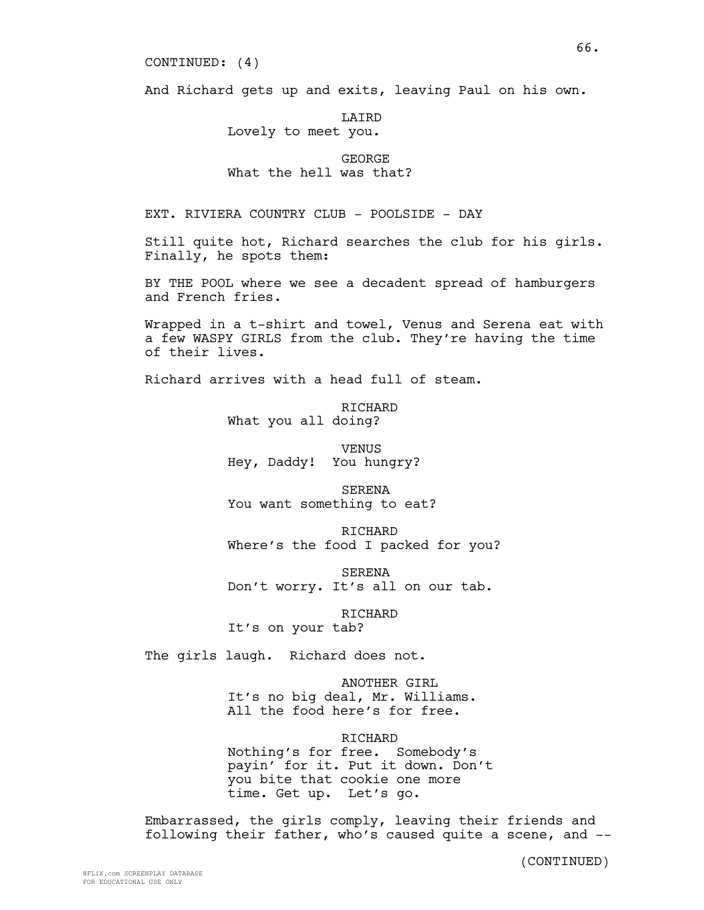CONTINUED: (4)

And Richard gets up and exits, leaving Paul on his own.

LAIRD Lovely to meet you.

# GEORGE What the hell was that?

EXT. RIVIERA COUNTRY CLUB - POOLSIDE - DAY

Still quite hot, Richard searches the club for his girls. Finally, he spots them:

BY THE POOL where we see a decadent spread of hamburgers and French fries.

Wrapped in a t-shirt and towel, Venus and Serena eat with a few WASPY GIRLS from the club. They're having the time of their lives.

Richard arrives with a head full of steam.

RICHARD What you all doing?

VENUS Hey, Daddy! You hungry?

SERENA You want something to eat?

RICHARD Where's the food I packed for you?

SERENA Don't worry. It's all on our tab.

RICHARD

It's on your tab?

The girls laugh. Richard does not.

ANOTHER GIRL It's no big deal, Mr. Williams. All the food here's for free.

# RICHARD

Nothing's for free. Somebody's payin' for it. Put it down. Don't you bite that cookie one more time. Get up. Let's go.

Embarrassed, the girls comply, leaving their friends and following their father, who's caused quite a scene, and --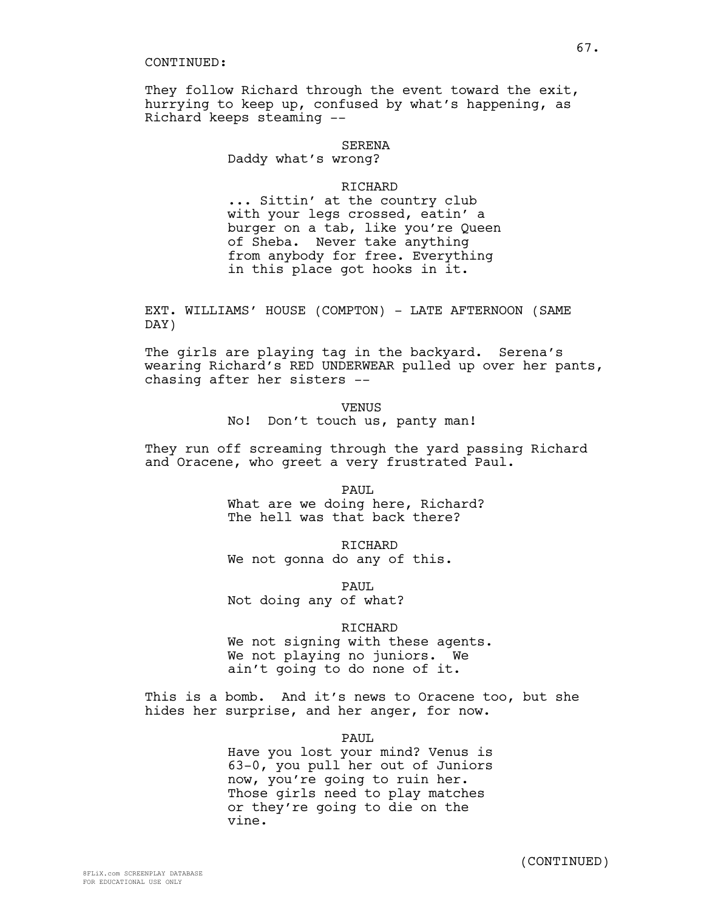They follow Richard through the event toward the exit, hurrying to keep up, confused by what's happening, as Richard keeps steaming --

## SERENA

Daddy what's wrong?

# RICHARD

... Sittin' at the country club with your legs crossed, eatin' a burger on a tab, like you're Queen of Sheba. Never take anything from anybody for free. Everything in this place got hooks in it.

EXT. WILLIAMS' HOUSE (COMPTON) - LATE AFTERNOON (SAME DAY)

The girls are playing tag in the backyard. Serena's wearing Richard's RED UNDERWEAR pulled up over her pants, chasing after her sisters --

> VENUS No! Don't touch us, panty man!

They run off screaming through the yard passing Richard and Oracene, who greet a very frustrated Paul.

> PAUL. What are we doing here, Richard? The hell was that back there?

RICHARD We not gonna do any of this.

PAUL. Not doing any of what?

RICHARD

We not signing with these agents. We not playing no juniors. We ain't going to do none of it.

This is a bomb. And it's news to Oracene too, but she hides her surprise, and her anger, for now.

#### PAUL

Have you lost your mind? Venus is 63-0, you pull her out of Juniors now, you're going to ruin her. Those girls need to play matches or they're going to die on the vine.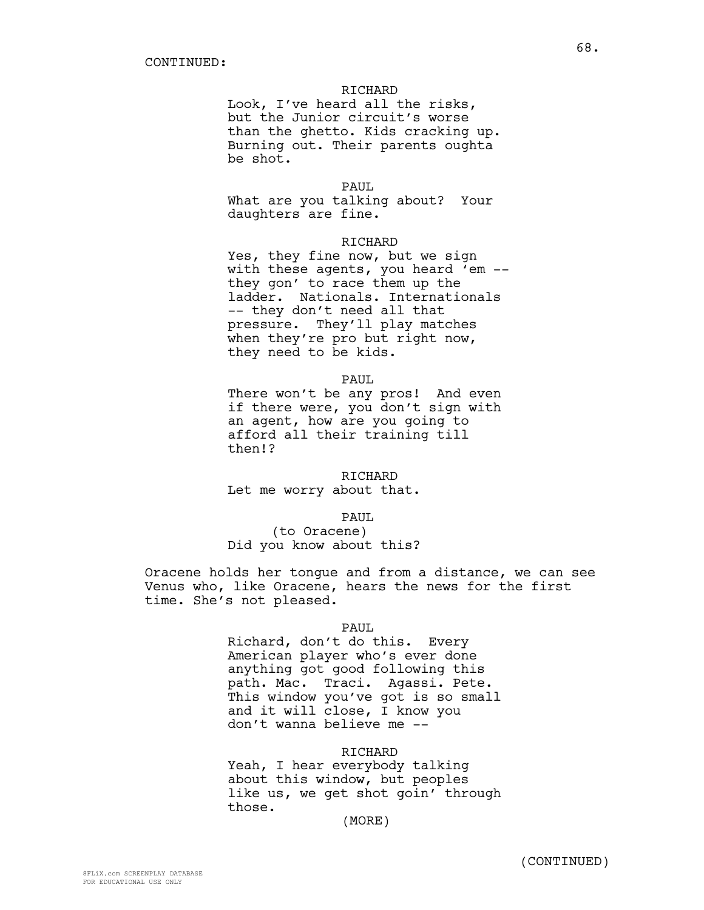# RICHARD

Look, I've heard all the risks, but the Junior circuit's worse than the ghetto. Kids cracking up. Burning out. Their parents oughta be shot.

PAUL.

What are you talking about? Your daughters are fine.

#### RICHARD

Yes, they fine now, but we sign with these agents, you heard 'em - they gon' to race them up the ladder. Nationals. Internationals -- they don't need all that pressure. They'll play matches when they're pro but right now, they need to be kids.

PAUL

There won't be any pros! And even if there were, you don't sign with an agent, how are you going to afford all their training till then!?

RICHARD Let me worry about that.

PAUL

(to Oracene) Did you know about this?

Oracene holds her tongue and from a distance, we can see Venus who, like Oracene, hears the news for the first time. She's not pleased.

## PAUL

Richard, don't do this. Every American player who's ever done anything got good following this path. Mac. Traci. Agassi. Pete. This window you've got is so small and it will close, I know you don't wanna believe me --

#### RICHARD

Yeah, I hear everybody talking about this window, but peoples like us, we get shot goin' through those.

(MORE)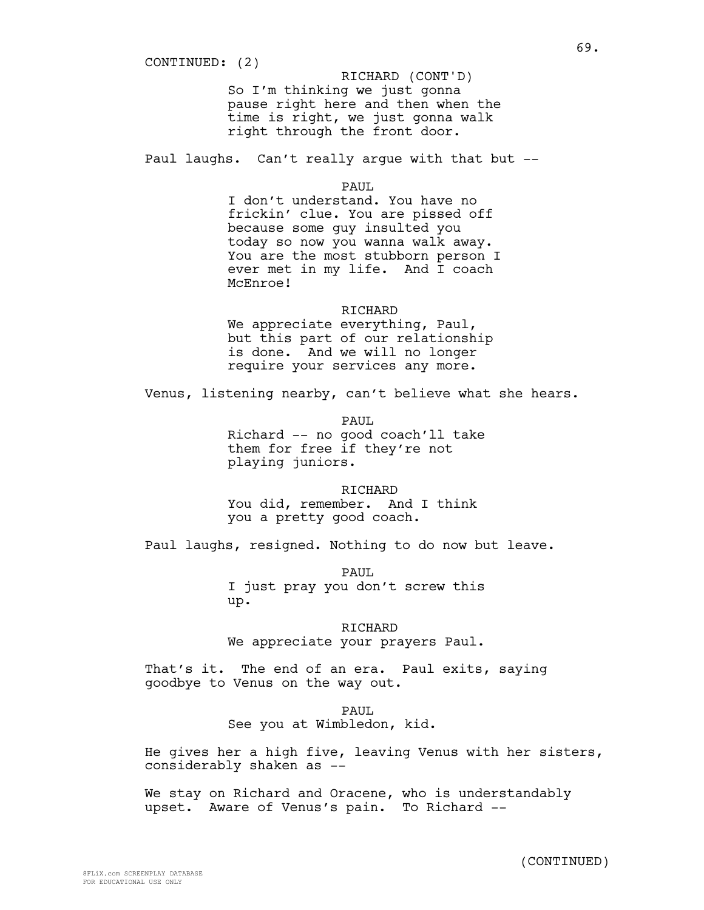So I'm thinking we just gonna pause right here and then when the time is right, we just gonna walk right through the front door. RICHARD (CONT'D)

Paul laughs. Can't really argue with that but --

PAUL.

I don't understand. You have no frickin' clue. You are pissed off because some guy insulted you today so now you wanna walk away. You are the most stubborn person I ever met in my life. And I coach McEnroe!

## RICHARD

We appreciate everything, Paul, but this part of our relationship is done. And we will no longer require your services any more.

Venus, listening nearby, can't believe what she hears.

PAUL Richard -- no good coach'll take them for free if they're not playing juniors.

RICHARD You did, remember. And I think you a pretty good coach.

Paul laughs, resigned. Nothing to do now but leave.

PAUL I just pray you don't screw this up.

RICHARD We appreciate your prayers Paul.

That's it. The end of an era. Paul exits, saying goodbye to Venus on the way out.

> PAUL. See you at Wimbledon, kid.

He gives her a high five, leaving Venus with her sisters, considerably shaken as --

We stay on Richard and Oracene, who is understandably upset. Aware of Venus's pain. To Richard --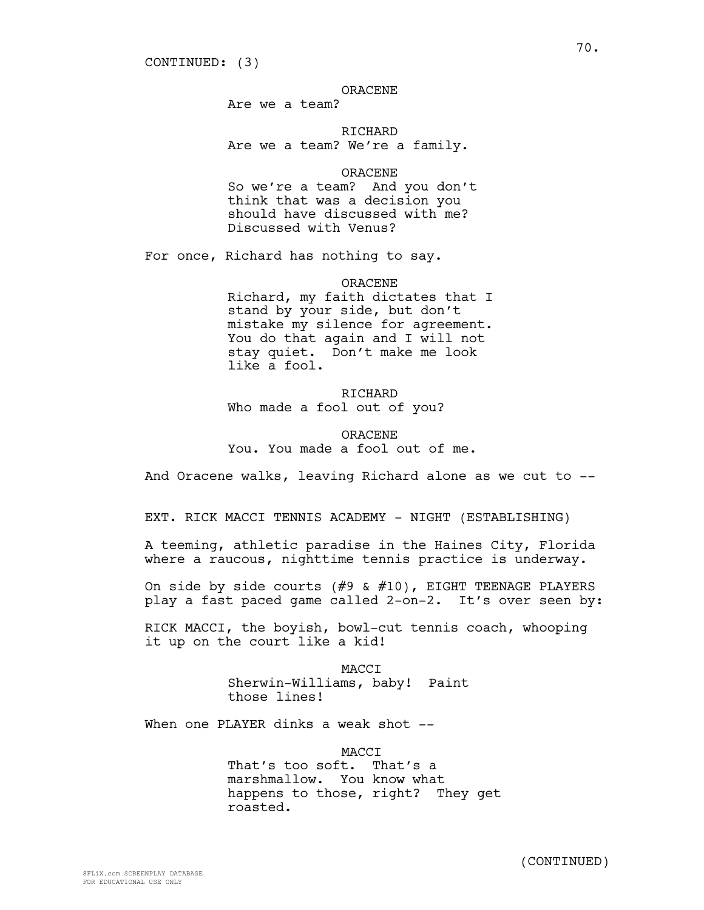# ORACENE

Are we a team?

RICHARD Are we a team? We're a family.

ORACENE

So we're a team? And you don't think that was a decision you should have discussed with me? Discussed with Venus?

For once, Richard has nothing to say.

ORACENE

Richard, my faith dictates that I stand by your side, but don't mistake my silence for agreement. You do that again and I will not stay quiet. Don't make me look like a fool.

RICHARD Who made a fool out of you?

ORACENE You. You made a fool out of me.

And Oracene walks, leaving Richard alone as we cut to --

EXT. RICK MACCI TENNIS ACADEMY - NIGHT (ESTABLISHING)

A teeming, athletic paradise in the Haines City, Florida where a raucous, nighttime tennis practice is underway.

On side by side courts (#9 & #10), EIGHT TEENAGE PLAYERS play a fast paced game called 2-on-2. It's over seen by:

RICK MACCI, the boyish, bowl-cut tennis coach, whooping it up on the court like a kid!

> MACCI Sherwin-Williams, baby! Paint those lines!

When one PLAYER dinks a weak shot --

MACCI That's too soft. That's a marshmallow. You know what happens to those, right? They get roasted.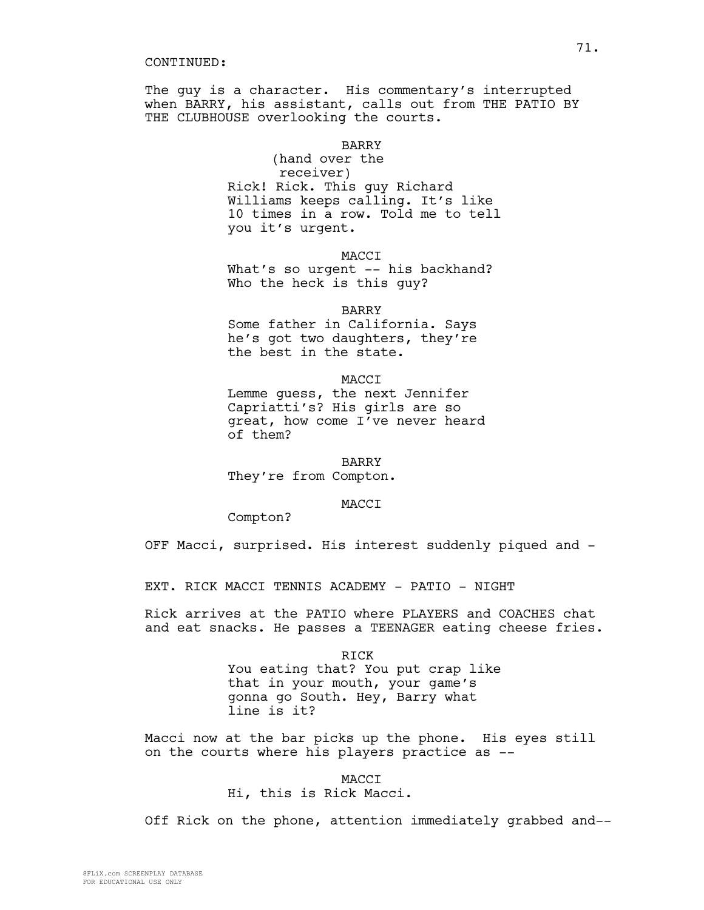The guy is a character. His commentary's interrupted when BARRY, his assistant, calls out from THE PATIO BY THE CLUBHOUSE overlooking the courts.

# BARRY

(hand over the receiver) Rick! Rick. This guy Richard Williams keeps calling. It's like 10 times in a row. Told me to tell you it's urgent.

MACCI

What's so urgent -- his backhand? Who the heck is this guy?

BARRY

Some father in California. Says he's got two daughters, they're the best in the state.

MACCI Lemme guess, the next Jennifer Capriatti's? His girls are so great, how come I've never heard of them?

BARRY

They're from Compton.

#### MACCI

Compton?

OFF Macci, surprised. His interest suddenly piqued and -

EXT. RICK MACCI TENNIS ACADEMY - PATIO - NIGHT

Rick arrives at the PATIO where PLAYERS and COACHES chat and eat snacks. He passes a TEENAGER eating cheese fries.

RICK

You eating that? You put crap like that in your mouth, your game's gonna go South. Hey, Barry what line is it?

Macci now at the bar picks up the phone. His eyes still on the courts where his players practice as --

MACCI

Hi, this is Rick Macci.

Off Rick on the phone, attention immediately grabbed and--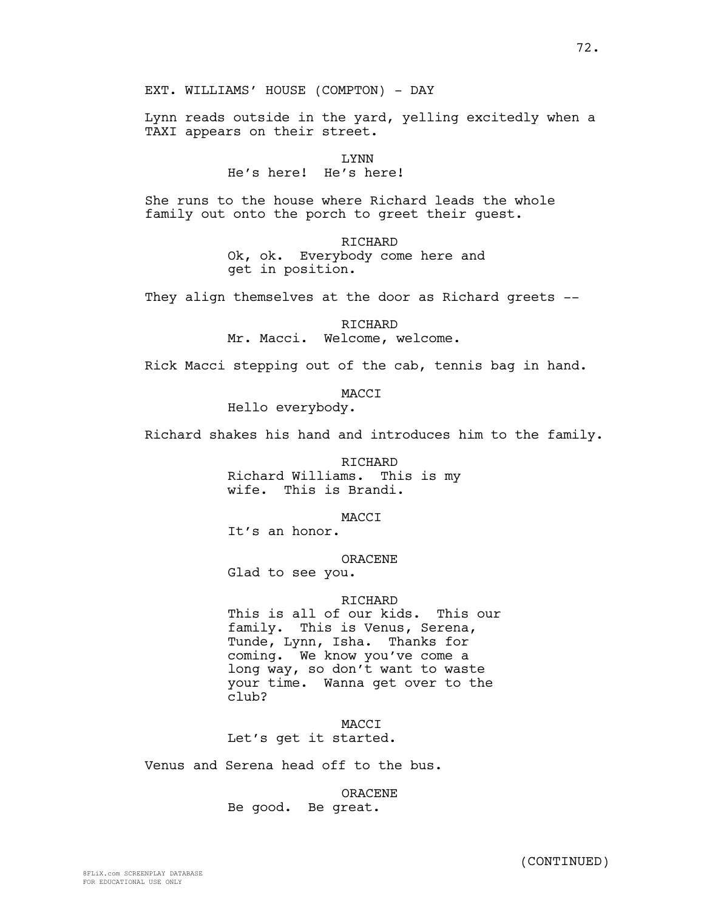EXT. WILLIAMS' HOUSE (COMPTON) - DAY

Lynn reads outside in the yard, yelling excitedly when a TAXI appears on their street.

> LYNN He's here! He's here!

She runs to the house where Richard leads the whole family out onto the porch to greet their guest.

> RICHARD Ok, ok. Everybody come here and get in position.

They align themselves at the door as Richard greets --

RICHARD Mr. Macci. Welcome, welcome.

Rick Macci stepping out of the cab, tennis bag in hand.

MACCI

Hello everybody.

Richard shakes his hand and introduces him to the family.

RICHARD Richard Williams. This is my wife. This is Brandi.

MACCI

It's an honor.

ORACENE

Glad to see you.

# RICHARD

This is all of our kids. This our family. This is Venus, Serena, Tunde, Lynn, Isha. Thanks for coming. We know you've come a long way, so don't want to waste your time. Wanna get over to the club?

MACCI Let's get it started.

Venus and Serena head off to the bus.

ORACENE Be good. Be great.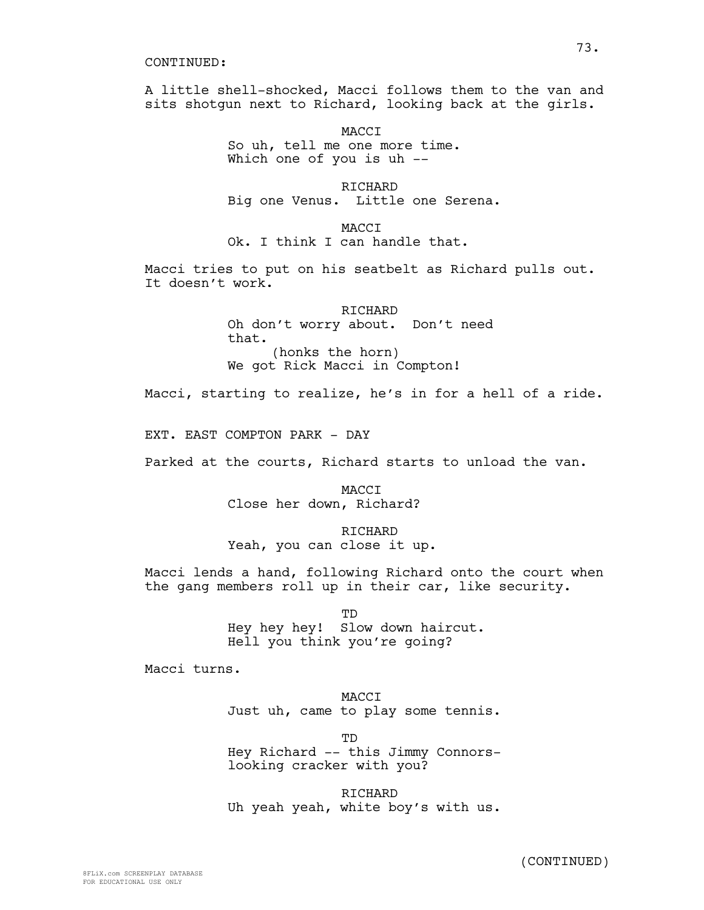A little shell-shocked, Macci follows them to the van and sits shotgun next to Richard, looking back at the girls.

> MACCI So uh, tell me one more time. Which one of you is uh --

RICHARD Big one Venus. Little one Serena.

MACCI Ok. I think I can handle that.

Macci tries to put on his seatbelt as Richard pulls out. It doesn't work.

> RICHARD Oh don't worry about. Don't need that. (honks the horn) We got Rick Macci in Compton!

Macci, starting to realize, he's in for a hell of a ride.

EXT. EAST COMPTON PARK - DAY

Parked at the courts, Richard starts to unload the van.

**MACCT** Close her down, Richard?

RICHARD Yeah, you can close it up.

Macci lends a hand, following Richard onto the court when the gang members roll up in their car, like security.

> TD Hey hey hey! Slow down haircut. Hell you think you're going?

Macci turns.

MACCI Just uh, came to play some tennis.

TD Hey Richard -- this Jimmy Connorslooking cracker with you?

RICHARD Uh yeah yeah, white boy's with us.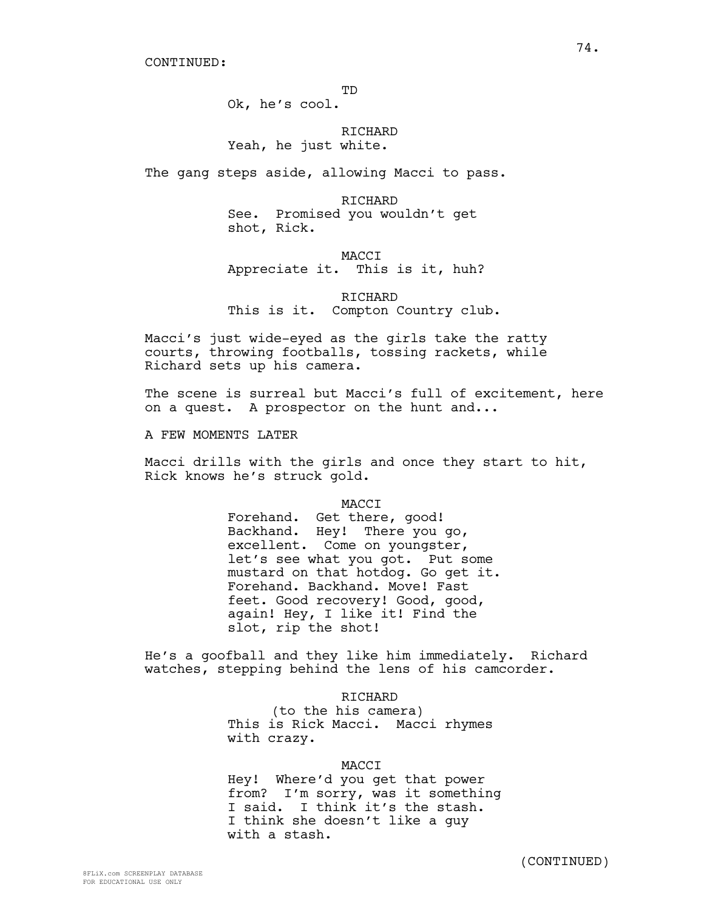Ok, he's cool.

# RICHARD Yeah, he just white.

The gang steps aside, allowing Macci to pass.

RICHARD See. Promised you wouldn't get shot, Rick.

# **MACCT** Appreciate it. This is it, huh?

RICHARD This is it. Compton Country club.

Macci's just wide-eyed as the girls take the ratty courts, throwing footballs, tossing rackets, while Richard sets up his camera.

The scene is surreal but Macci's full of excitement, here on a quest. A prospector on the hunt and...

A FEW MOMENTS LATER

Macci drills with the girls and once they start to hit, Rick knows he's struck gold.

#### MACCI

Forehand. Get there, good! Backhand. Hey! There you go, excellent. Come on youngster, let's see what you got. Put some mustard on that hotdog. Go get it. Forehand. Backhand. Move! Fast feet. Good recovery! Good, good, again! Hey, I like it! Find the slot, rip the shot!

He's a goofball and they like him immediately. Richard watches, stepping behind the lens of his camcorder.

#### RICHARD

(to the his camera) This is Rick Macci. Macci rhymes with crazy.

## MACCI

Hey! Where'd you get that power from? I'm sorry, was it something I said. I think it's the stash. I think she doesn't like a guy with a stash.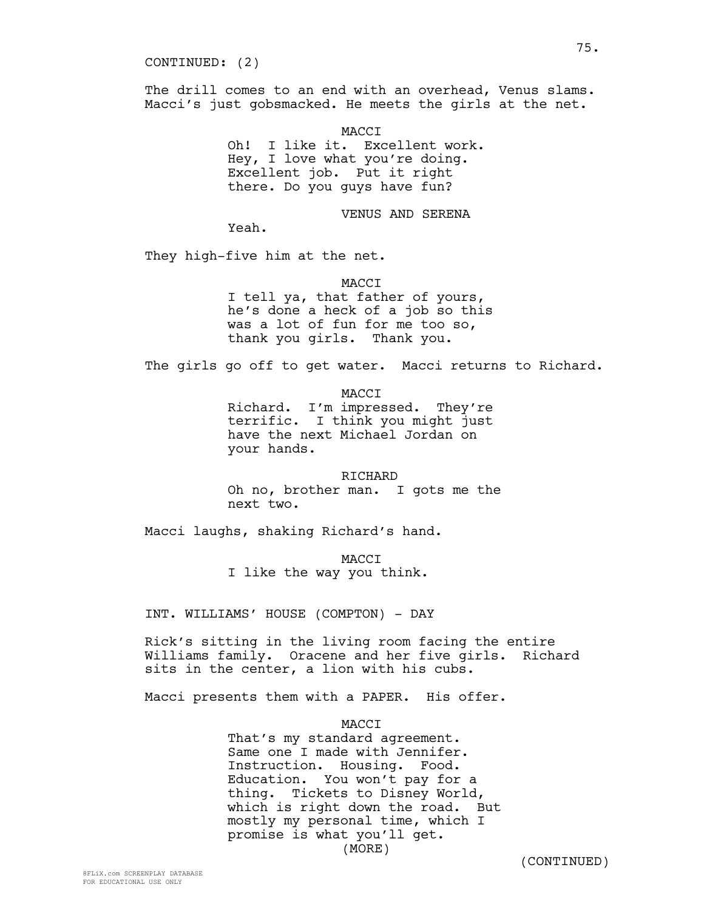CONTINUED: (2)

The drill comes to an end with an overhead, Venus slams. Macci's just gobsmacked. He meets the girls at the net.

MACCI

Oh! I like it. Excellent work. Hey, I love what you're doing. Excellent job. Put it right there. Do you guys have fun?

VENUS AND SERENA

Yeah.

They high-five him at the net.

MACCI

I tell ya, that father of yours, he's done a heck of a job so this was a lot of fun for me too so, thank you girls. Thank you.

The girls go off to get water. Macci returns to Richard.

MACCI

Richard. I'm impressed. They're terrific. I think you might just have the next Michael Jordan on your hands.

RICHARD Oh no, brother man. I gots me the next two.

Macci laughs, shaking Richard's hand.

**MACCT** 

I like the way you think.

INT. WILLIAMS' HOUSE (COMPTON) - DAY

Rick's sitting in the living room facing the entire Williams family. Oracene and her five girls. Richard sits in the center, a lion with his cubs.

Macci presents them with a PAPER. His offer.

MACCI

That's my standard agreement. Same one I made with Jennifer. Instruction. Housing. Food. Education. You won't pay for a thing. Tickets to Disney World, which is right down the road. But mostly my personal time, which I promise is what you'll get. (MORE)

(CONTINUED)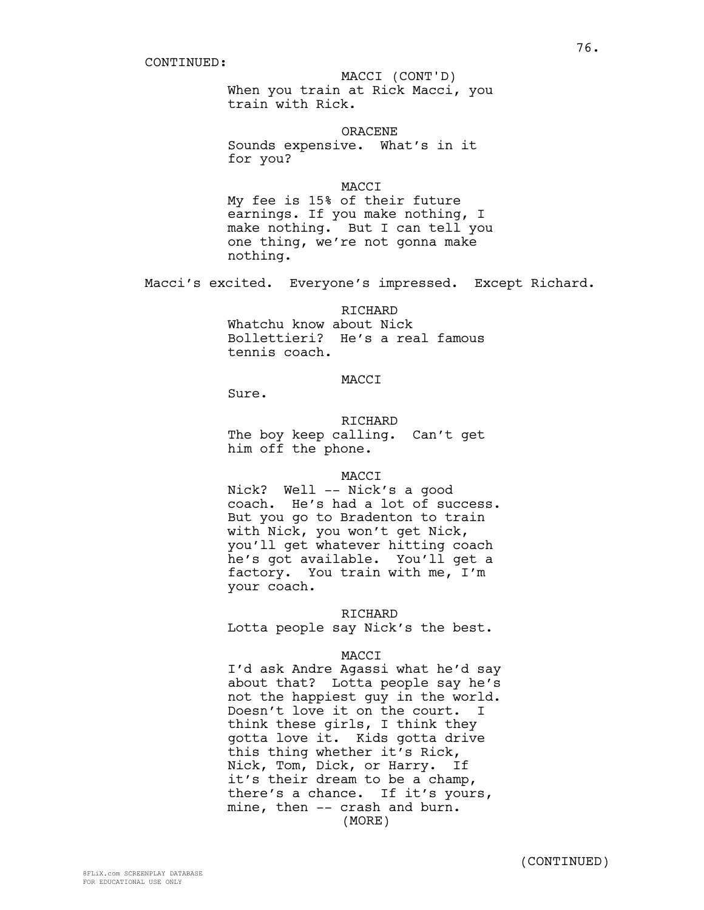# MACCI (CONT'D)

When you train at Rick Macci, you train with Rick.

ORACENE

Sounds expensive. What's in it for you?

**MACCT** 

My fee is 15% of their future earnings. If you make nothing, I make nothing. But I can tell you one thing, we're not gonna make nothing.

Macci's excited. Everyone's impressed. Except Richard.

# RICHARD

Whatchu know about Nick Bollettieri? He's a real famous tennis coach.

# MACCI

Sure.

RICHARD The boy keep calling. Can't get him off the phone.

#### MACCI

Nick? Well -- Nick's a good coach. He's had a lot of success. But you go to Bradenton to train with Nick, you won't get Nick, you'll get whatever hitting coach he's got available. You'll get a factory. You train with me, I'm your coach.

### RICHARD

Lotta people say Nick's the best.

#### MACCI

I'd ask Andre Agassi what he'd say about that? Lotta people say he's not the happiest guy in the world. Doesn't love it on the court. I think these girls, I think they gotta love it. Kids gotta drive this thing whether it's Rick, Nick, Tom, Dick, or Harry. If it's their dream to be a champ, there's a chance. If it's yours, mine, then -- crash and burn. (MORE)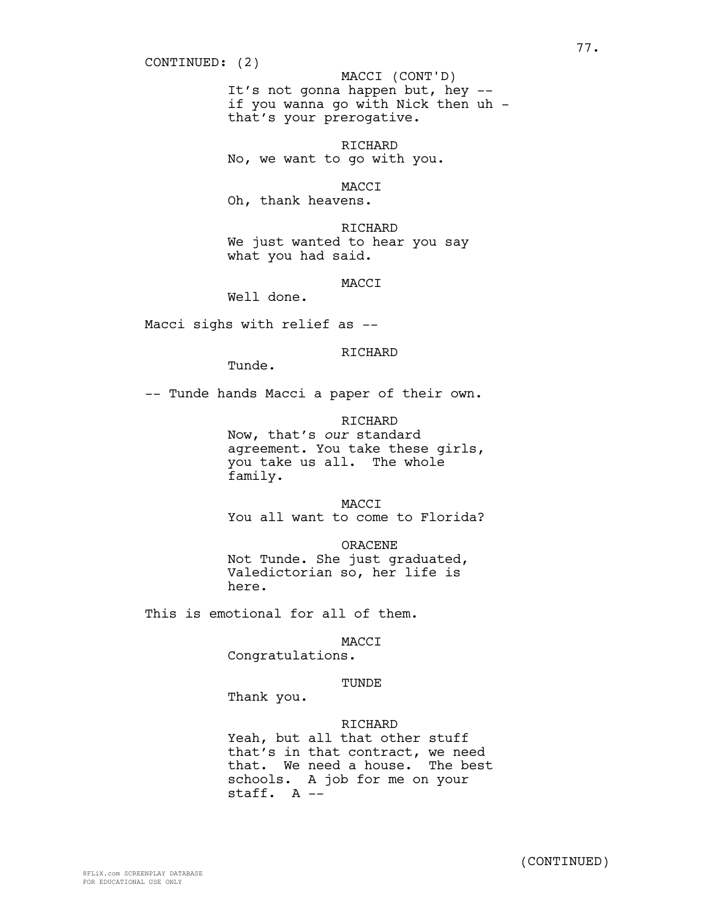CONTINUED: (2)

It's not gonna happen but, hey - if you wanna go with Nick then uh that's your prerogative. MACCI (CONT'D)

RICHARD No, we want to go with you.

MACCI

Oh, thank heavens.

RICHARD We just wanted to hear you say what you had said.

MACCI

Well done.

Macci sighs with relief as --

RICHARD

Tunde.

-- Tunde hands Macci a paper of their own.

RICHARD Now, that's *our* standard agreement. You take these girls, you take us all. The whole family.

MACCI You all want to come to Florida?

ORACENE Not Tunde. She just graduated, Valedictorian so, her life is here.

This is emotional for all of them.

MACCI

Congratulations.

# TUNDE

Thank you.

#### RICHARD

Yeah, but all that other stuff that's in that contract, we need that. We need a house. The best schools. A job for me on your staff. A --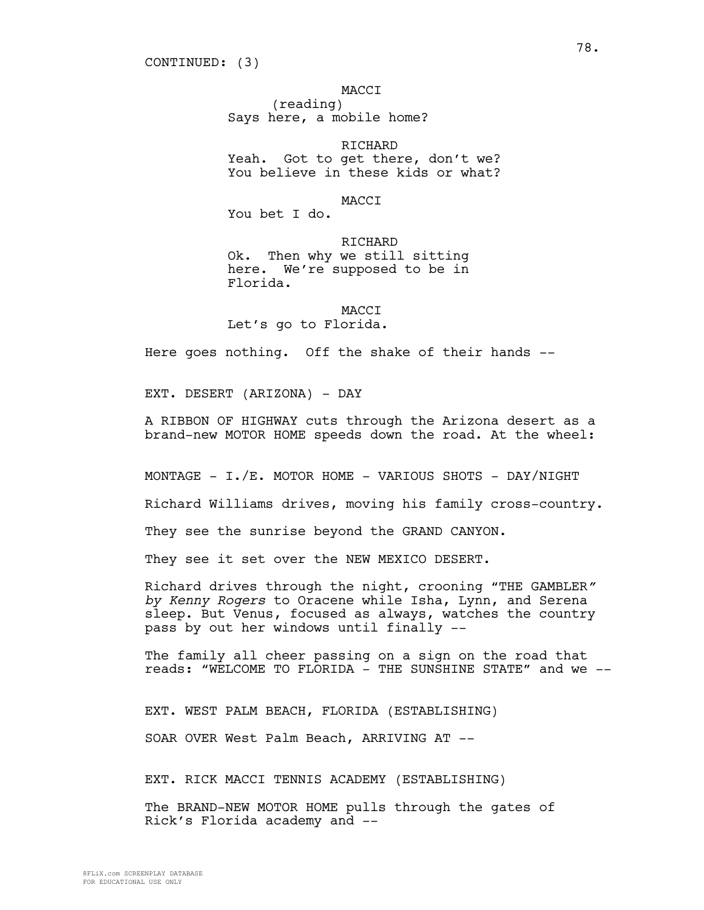## MACCI

(reading) Says here, a mobile home?

RICHARD Yeah. Got to get there, don't we? You believe in these kids or what?

#### **MACCT**

You bet I do.

RICHARD Ok. Then why we still sitting here. We're supposed to be in Florida.

## MACCI

Let's go to Florida.

Here goes nothing. Off the shake of their hands --

EXT. DESERT (ARIZONA) - DAY

A RIBBON OF HIGHWAY cuts through the Arizona desert as a brand-new MOTOR HOME speeds down the road. At the wheel:

MONTAGE - I./E. MOTOR HOME - VARIOUS SHOTS - DAY/NIGHT

Richard Williams drives, moving his family cross-country.

They see the sunrise beyond the GRAND CANYON.

They see it set over the NEW MEXICO DESERT.

Richard drives through the night, crooning "THE GAMBLER*" by Kenny Rogers* to Oracene while Isha, Lynn, and Serena sleep. But Venus, focused as always, watches the country pass by out her windows until finally --

The family all cheer passing on a sign on the road that reads: "WELCOME TO FLORIDA - THE SUNSHINE STATE" and we --

EXT. WEST PALM BEACH, FLORIDA (ESTABLISHING)

SOAR OVER West Palm Beach, ARRIVING AT --

EXT. RICK MACCI TENNIS ACADEMY (ESTABLISHING)

The BRAND-NEW MOTOR HOME pulls through the gates of Rick's Florida academy and --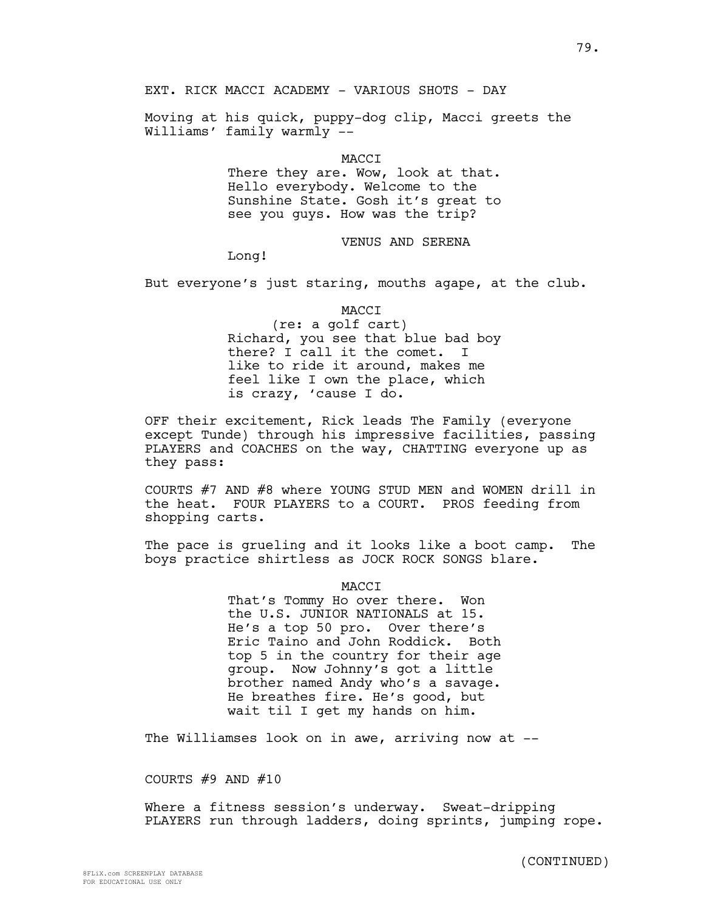EXT. RICK MACCI ACADEMY - VARIOUS SHOTS - DAY

Moving at his quick, puppy-dog clip, Macci greets the Williams' family warmly -

> **MACCT** There they are. Wow, look at that. Hello everybody. Welcome to the Sunshine State. Gosh it's great to see you guys. How was the trip?

# VENUS AND SERENA

Long!

But everyone's just staring, mouths agape, at the club.

MACCI

(re: a golf cart) Richard, you see that blue bad boy there? I call it the comet. I like to ride it around, makes me feel like I own the place, which is crazy, 'cause I do.

OFF their excitement, Rick leads The Family (everyone except Tunde) through his impressive facilities, passing PLAYERS and COACHES on the way, CHATTING everyone up as they pass:

COURTS #7 AND #8 where YOUNG STUD MEN and WOMEN drill in the heat. FOUR PLAYERS to a COURT. PROS feeding from shopping carts.

The pace is grueling and it looks like a boot camp. The boys practice shirtless as JOCK ROCK SONGS blare.

**MACCT** 

That's Tommy Ho over there. Won the U.S. JUNIOR NATIONALS at 15. He's a top 50 pro. Over there's Eric Taino and John Roddick. Both top 5 in the country for their age group. Now Johnny's got a little brother named Andy who's a savage. He breathes fire. He's good, but wait til I get my hands on him.

The Williamses look on in awe, arriving now at --

COURTS  $#9$  AND  $#10$ 

Where a fitness session's underway. Sweat-dripping PLAYERS run through ladders, doing sprints, jumping rope.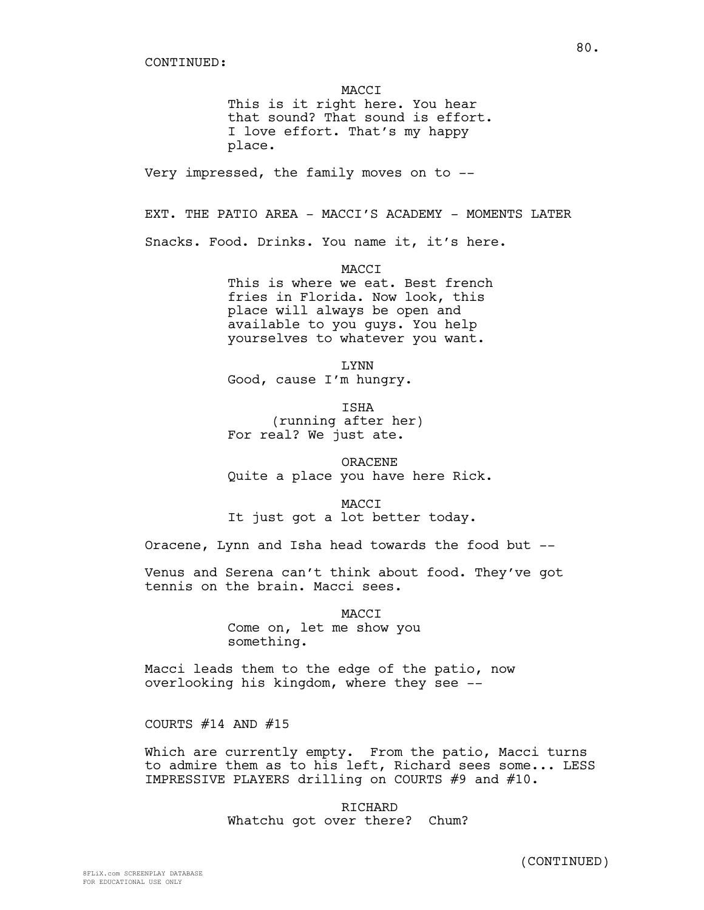MACCI This is it right here. You hear that sound? That sound is effort. I love effort. That's my happy place. Very impressed, the family moves on to -- EXT. THE PATIO AREA - MACCI'S ACADEMY - MOMENTS LATER Snacks. Food. Drinks. You name it, it's here. MACCI This is where we eat. Best french fries in Florida. Now look, this place will always be open and available to you guys. You help yourselves to whatever you want. LYNN Good, cause I'm hungry. ISHA (running after her) For real? We just ate. ORACENE Quite a place you have here Rick. MACCI It just got a lot better today. Oracene, Lynn and Isha head towards the food but -- Venus and Serena can't think about food. They've got tennis on the brain. Macci sees. **MACCT** Come on, let me show you something. Macci leads them to the edge of the patio, now

overlooking his kingdom, where they see --

COURTS  $#14$  AND  $#15$ 

Which are currently empty. From the patio, Macci turns to admire them as to his left, Richard sees some... LESS IMPRESSIVE PLAYERS drilling on COURTS #9 and #10.

> RICHARD Whatchu got over there? Chum?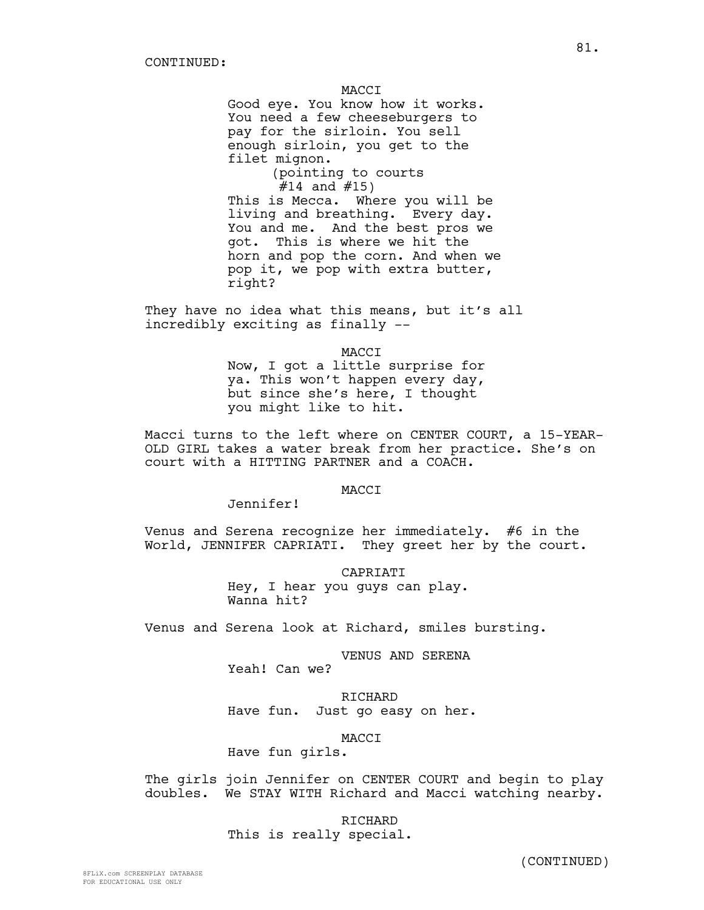MACCI

Good eye. You know how it works. You need a few cheeseburgers to pay for the sirloin. You sell enough sirloin, you get to the filet mignon.

(pointing to courts  $#14$  and  $#15)$ 

This is Mecca. Where you will be living and breathing. Every day. You and me. And the best pros we got. This is where we hit the horn and pop the corn. And when we pop it, we pop with extra butter, right?

They have no idea what this means, but it's all incredibly exciting as finally --

MACCI

Now, I got a little surprise for ya. This won't happen every day, but since she's here, I thought you might like to hit.

Macci turns to the left where on CENTER COURT, a 15-YEAR-OLD GIRL takes a water break from her practice. She's on court with a HITTING PARTNER and a COACH.

**MACCT** 

Jennifer!

Venus and Serena recognize her immediately. #6 in the World, JENNIFER CAPRIATI. They greet her by the court.

> CAPRIATI Hey, I hear you guys can play. Wanna hit?

Venus and Serena look at Richard, smiles bursting.

VENUS AND SERENA

Yeah! Can we?

RICHARD Have fun. Just go easy on her.

MACCI

Have fun girls.

The girls join Jennifer on CENTER COURT and begin to play doubles. We STAY WITH Richard and Macci watching nearby.

> RICHARD This is really special.

> > (CONTINUED)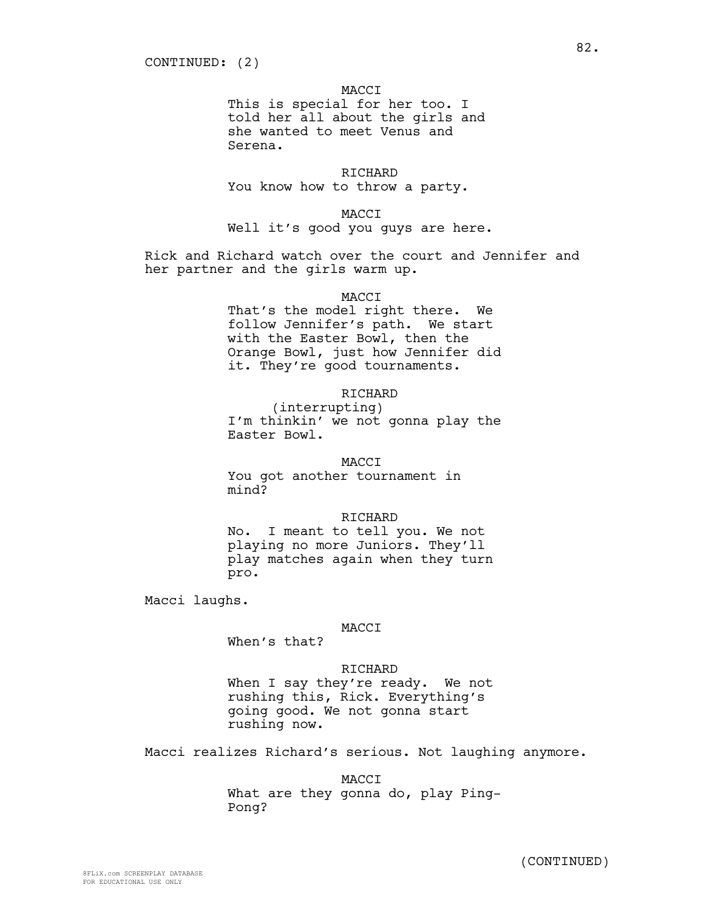# MACCI

This is special for her too. I told her all about the girls and she wanted to meet Venus and Serena.

RICHARD You know how to throw a party.

MACCI

Well it's good you guys are here.

Rick and Richard watch over the court and Jennifer and her partner and the girls warm up.

# MACCI

That's the model right there. We follow Jennifer's path. We start with the Easter Bowl, then the Orange Bowl, just how Jennifer did it. They're good tournaments.

# RICHARD

(interrupting) I'm thinkin' we not gonna play the Easter Bowl.

# MACCI

You got another tournament in mind?

#### RICHARD

No. I meant to tell you. We not playing no more Juniors. They'll play matches again when they turn pro.

Macci laughs.

# MACCI

When's that?

RICHARD When I say they're ready. We not rushing this, Rick. Everything's going good. We not gonna start rushing now.

Macci realizes Richard's serious. Not laughing anymore.

MACCI What are they gonna do, play Ping-Pong?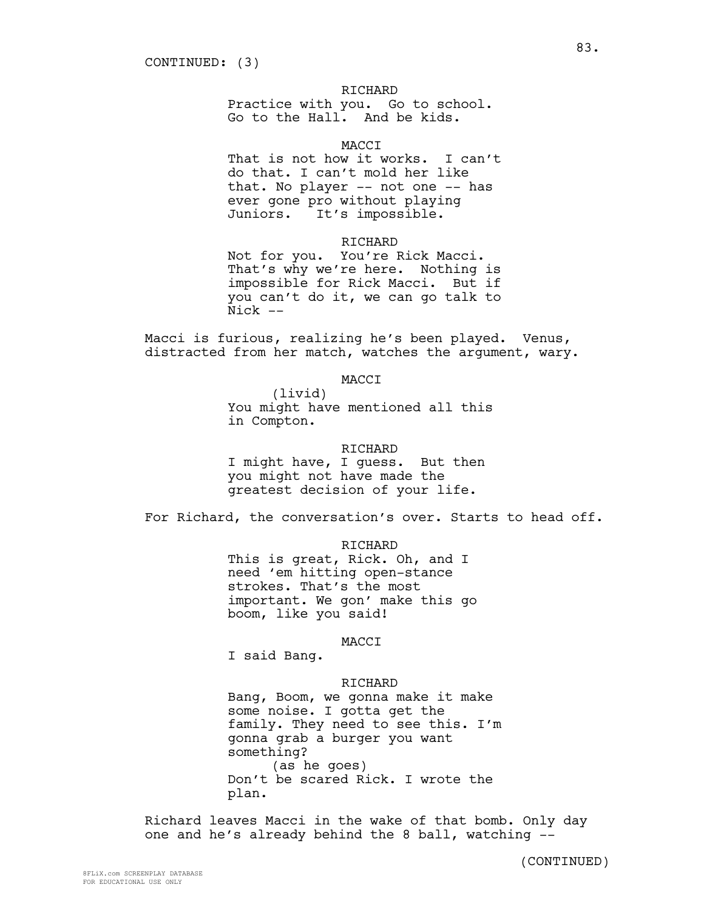# RICHARD

Practice with you. Go to school. Go to the Hall. And be kids.

# MACCI

That is not how it works. I can't do that. I can't mold her like that. No player -- not one -- has ever gone pro without playing Juniors. It's impossible.

#### RICHARD

Not for you. You're Rick Macci. That's why we're here. Nothing is impossible for Rick Macci. But if you can't do it, we can go talk to Nick --

Macci is furious, realizing he's been played. Venus, distracted from her match, watches the argument, wary.

# MACCI

(livid) You might have mentioned all this in Compton.

## RICHARD

I might have, I guess. But then you might not have made the greatest decision of your life.

For Richard, the conversation's over. Starts to head off.

RICHARD

This is great, Rick. Oh, and I need 'em hitting open-stance strokes. That's the most important. We gon' make this go boom, like you said!

#### MACCI

I said Bang.

# RICHARD

Bang, Boom, we gonna make it make some noise. I gotta get the family. They need to see this. I'm gonna grab a burger you want something? (as he goes) Don't be scared Rick. I wrote the plan.

Richard leaves Macci in the wake of that bomb. Only day one and he's already behind the 8 ball, watching --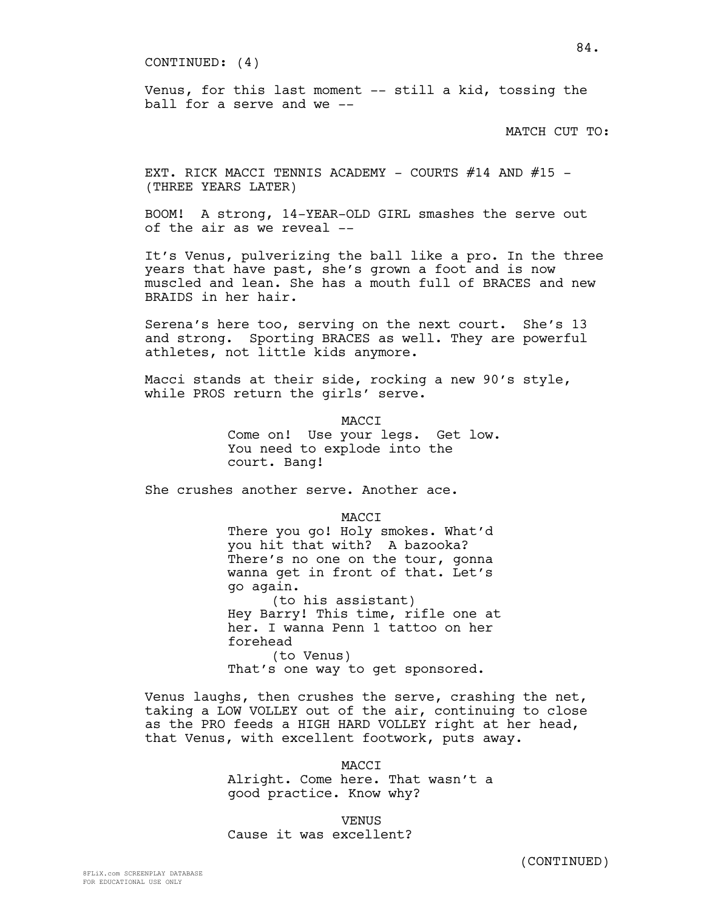CONTINUED: (4)

Venus, for this last moment -- still a kid, tossing the ball for a serve and  $we --$ 

MATCH CUT TO:

EXT. RICK MACCI TENNIS ACADEMY - COURTS  $#14$  AND  $#15$  -(THREE YEARS LATER)

BOOM! A strong, 14-YEAR-OLD GIRL smashes the serve out of the air as we reveal --

It's Venus, pulverizing the ball like a pro. In the three years that have past, she's grown a foot and is now muscled and lean. She has a mouth full of BRACES and new BRAIDS in her hair.

Serena's here too, serving on the next court. She's 13 and strong. Sporting BRACES as well. They are powerful athletes, not little kids anymore.

Macci stands at their side, rocking a new 90's style, while PROS return the girls' serve.

> MACCI Come on! Use your legs. Get low. You need to explode into the court. Bang!

She crushes another serve. Another ace.

MACCI There you go! Holy smokes. What'd you hit that with? A bazooka? There's no one on the tour, gonna wanna get in front of that. Let's go again. (to his assistant) Hey Barry! This time, rifle one at her. I wanna Penn 1 tattoo on her forehead (to Venus) That's one way to get sponsored.

Venus laughs, then crushes the serve, crashing the net, taking a LOW VOLLEY out of the air, continuing to close as the PRO feeds a HIGH HARD VOLLEY right at her head, that Venus, with excellent footwork, puts away.

> MACCI Alright. Come here. That wasn't a good practice. Know why?

**VENUS** Cause it was excellent?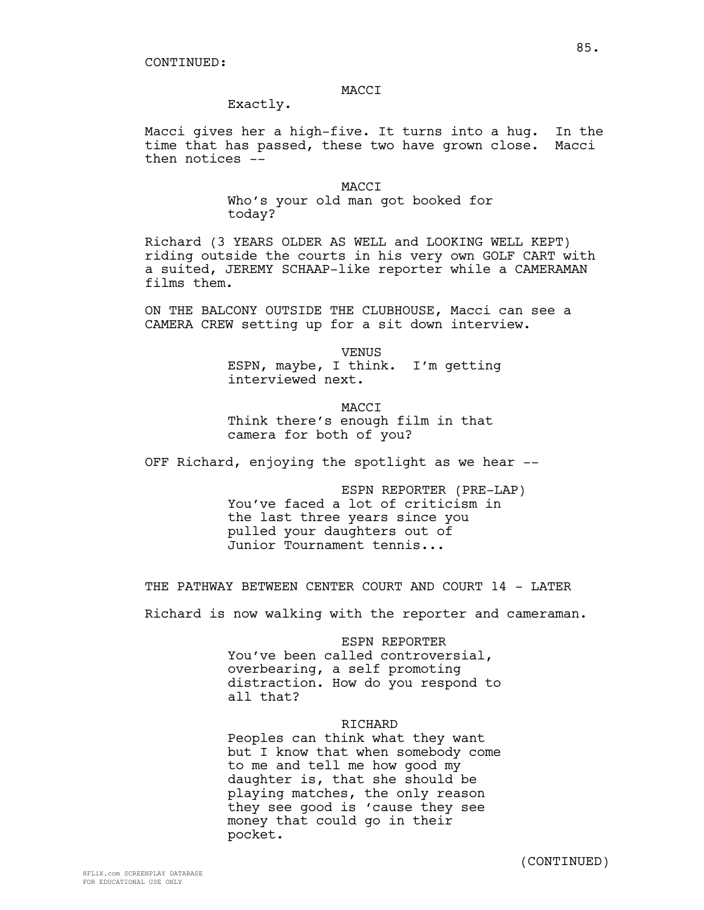## MACCI

Exactly.

Macci gives her a high-five. It turns into a hug. In the time that has passed, these two have grown close. Macci then notices --

> **MACCT** Who's your old man got booked for today?

Richard (3 YEARS OLDER AS WELL and LOOKING WELL KEPT) riding outside the courts in his very own GOLF CART with a suited, JEREMY SCHAAP-like reporter while a CAMERAMAN films them.

ON THE BALCONY OUTSIDE THE CLUBHOUSE, Macci can see a CAMERA CREW setting up for a sit down interview.

> VENUS ESPN, maybe, I think. I'm getting interviewed next.

**MACCT** Think there's enough film in that camera for both of you?

OFF Richard, enjoying the spotlight as we hear --

ESPN REPORTER (PRE-LAP) You've faced a lot of criticism in the last three years since you pulled your daughters out of Junior Tournament tennis...

THE PATHWAY BETWEEN CENTER COURT AND COURT 14 - LATER

Richard is now walking with the reporter and cameraman.

#### ESPN REPORTER

You've been called controversial, overbearing, a self promoting distraction. How do you respond to all that?

### RICHARD

Peoples can think what they want but I know that when somebody come to me and tell me how good my daughter is, that she should be playing matches, the only reason they see good is 'cause they see money that could go in their pocket.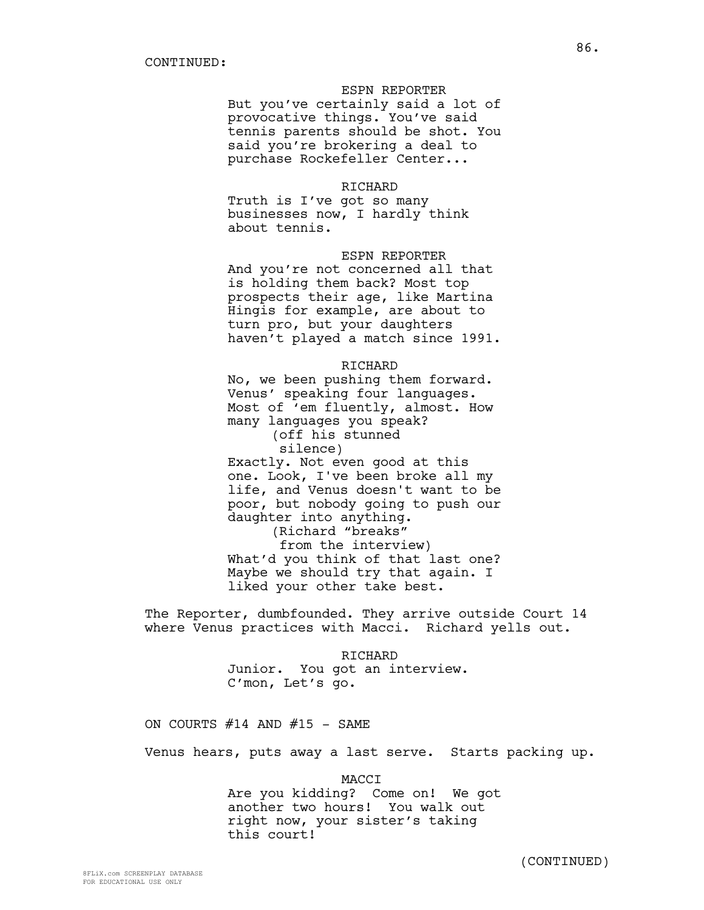## ESPN REPORTER

But you've certainly said a lot of provocative things. You've said tennis parents should be shot. You said you're brokering a deal to purchase Rockefeller Center...

#### RICHARD

Truth is I've got so many businesses now, I hardly think about tennis.

# ESPN REPORTER

And you're not concerned all that is holding them back? Most top prospects their age, like Martina Hingis for example, are about to turn pro, but your daughters haven't played a match since 1991.

# RICHARD

No, we been pushing them forward. Venus' speaking four languages. Most of 'em fluently, almost. How many languages you speak? (off his stunned silence)

Exactly. Not even good at this one. Look, I've been broke all my life, and Venus doesn't want to be poor, but nobody going to push our daughter into anything.

(Richard "breaks" from the interview) What'd you think of that last one? Maybe we should try that again. I liked your other take best.

The Reporter, dumbfounded. They arrive outside Court 14 where Venus practices with Macci. Richard yells out.

> RICHARD Junior. You got an interview. C'mon, Let's go.

ON COURTS  $#14$  AND  $#15$  - SAME

Venus hears, puts away a last serve. Starts packing up.

MACCI

Are you kidding? Come on! We got another two hours! You walk out right now, your sister's taking this court!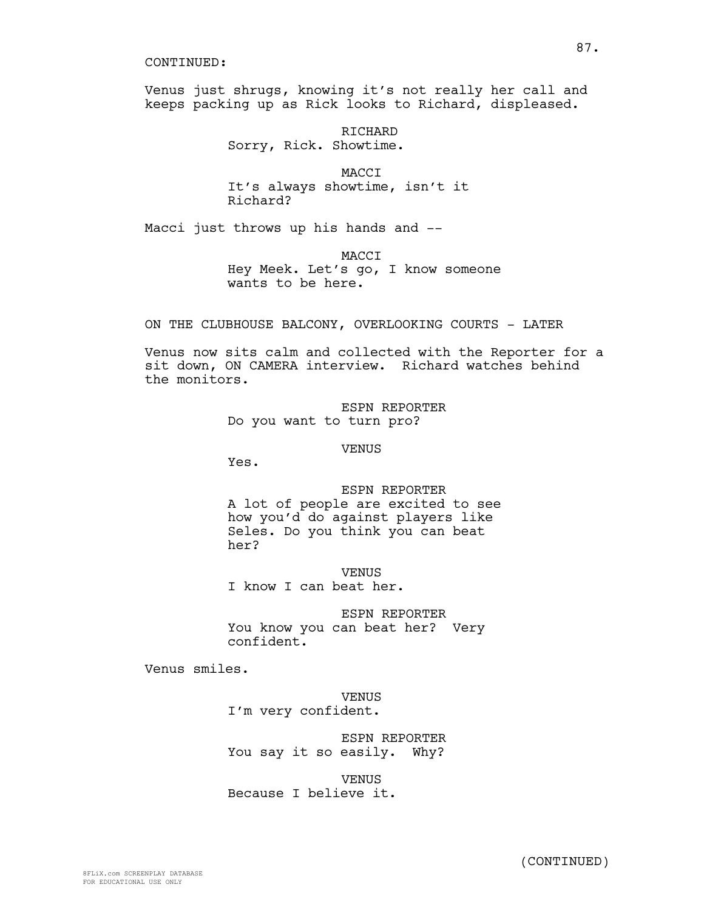#### CONTINUED:

Venus just shrugs, knowing it's not really her call and keeps packing up as Rick looks to Richard, displeased.

> RICHARD Sorry, Rick. Showtime.

MACCI It's always showtime, isn't it Richard?

Macci just throws up his hands and --

**MACCT** 

Hey Meek. Let's go, I know someone wants to be here.

ON THE CLUBHOUSE BALCONY, OVERLOOKING COURTS - LATER

Venus now sits calm and collected with the Reporter for a sit down, ON CAMERA interview. Richard watches behind the monitors.

> ESPN REPORTER Do you want to turn pro?

> > VENUS

Yes.

# ESPN REPORTER A lot of people are excited to see how you'd do against players like Seles. Do you think you can beat her?

**VENUS** I know I can beat her.

ESPN REPORTER You know you can beat her? Very confident.

Venus smiles.

VENUS I'm very confident.

ESPN REPORTER You say it so easily. Why?

VENUS Because I believe it.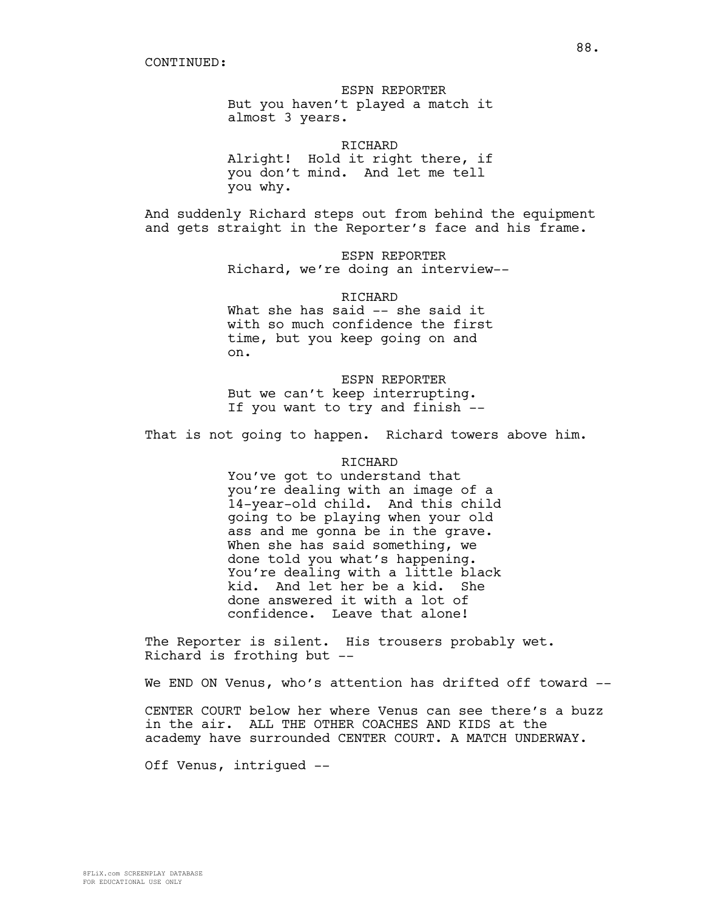ESPN REPORTER But you haven't played a match it almost 3 years.

RICHARD Alright! Hold it right there, if you don't mind. And let me tell you why.

And suddenly Richard steps out from behind the equipment and gets straight in the Reporter's face and his frame.

> ESPN REPORTER Richard, we're doing an interview--

RICHARD What she has said -- she said it with so much confidence the first time, but you keep going on and on.

ESPN REPORTER But we can't keep interrupting. If you want to try and finish --

That is not going to happen. Richard towers above him.

## RICHARD

You've got to understand that you're dealing with an image of a 14-year-old child. And this child going to be playing when your old ass and me gonna be in the grave. When she has said something, we done told you what's happening. You're dealing with a little black kid. And let her be a kid. She done answered it with a lot of confidence. Leave that alone!

The Reporter is silent. His trousers probably wet. Richard is frothing but --

We END ON Venus, who's attention has drifted off toward --

CENTER COURT below her where Venus can see there's a buzz in the air. ALL THE OTHER COACHES AND KIDS at the academy have surrounded CENTER COURT. A MATCH UNDERWAY.

Off Venus, intrigued --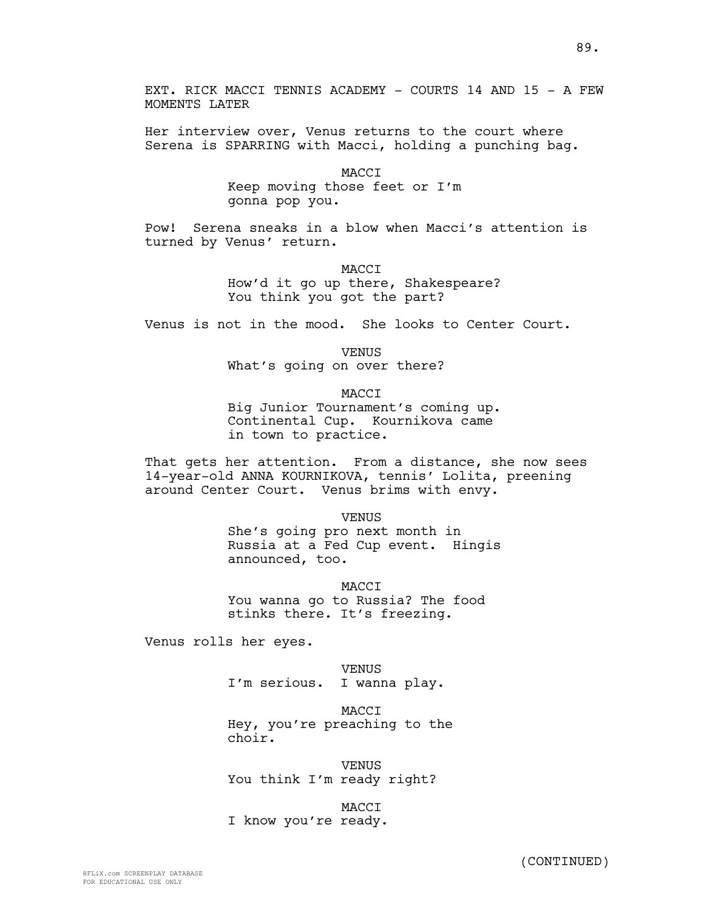EXT. RICK MACCI TENNIS ACADEMY - COURTS 14 AND 15 - A FEW MOMENTS LATER

Her interview over, Venus returns to the court where Serena is SPARRING with Macci, holding a punching bag.

> MACCI Keep moving those feet or I'm gonna pop you.

Pow! Serena sneaks in a blow when Macci's attention is turned by Venus' return.

MACCI

How'd it go up there, Shakespeare? You think you got the part?

Venus is not in the mood. She looks to Center Court.

VENUS

What's going on over there?

MACCI

Big Junior Tournament's coming up. Continental Cup. Kournikova came in town to practice.

That gets her attention. From a distance, she now sees 14-year-old ANNA KOURNIKOVA, tennis' Lolita, preening around Center Court. Venus brims with envy.

> VENUS She's going pro next month in Russia at a Fed Cup event. Hingis announced, too.

**MACCT** You wanna go to Russia? The food stinks there. It's freezing.

Venus rolls her eyes.

VENUS I'm serious. I wanna play.

**MACCT** Hey, you're preaching to the choir.

VENUS You think I'm ready right?

MACCI

I know you're ready.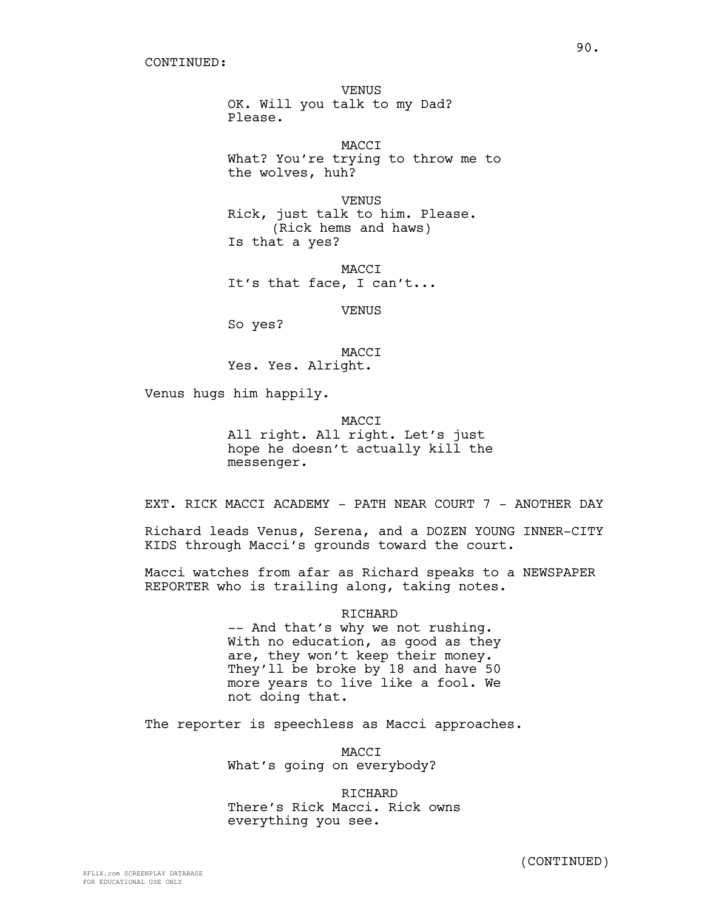VENUS OK. Will you talk to my Dad? Please.

MACCI What? You're trying to throw me to the wolves, huh?

VENUS Rick, just talk to him. Please. (Rick hems and haws) Is that a yes?

MACCI It's that face, I can't...

VENUS

So yes?

MACCI Yes. Yes. Alright.

Venus hugs him happily.

MACCI All right. All right. Let's just hope he doesn't actually kill the messenger.

EXT. RICK MACCI ACADEMY - PATH NEAR COURT 7 - ANOTHER DAY

Richard leads Venus, Serena, and a DOZEN YOUNG INNER-CITY KIDS through Macci's grounds toward the court.

Macci watches from afar as Richard speaks to a NEWSPAPER REPORTER who is trailing along, taking notes.

> RICHARD -- And that's why we not rushing. With no education, as good as they are, they won't keep their money. They'll be broke by 18 and have 50 more years to live like a fool. We not doing that.

The reporter is speechless as Macci approaches.

MACCI What's going on everybody?

**RICHARD** There's Rick Macci. Rick owns everything you see.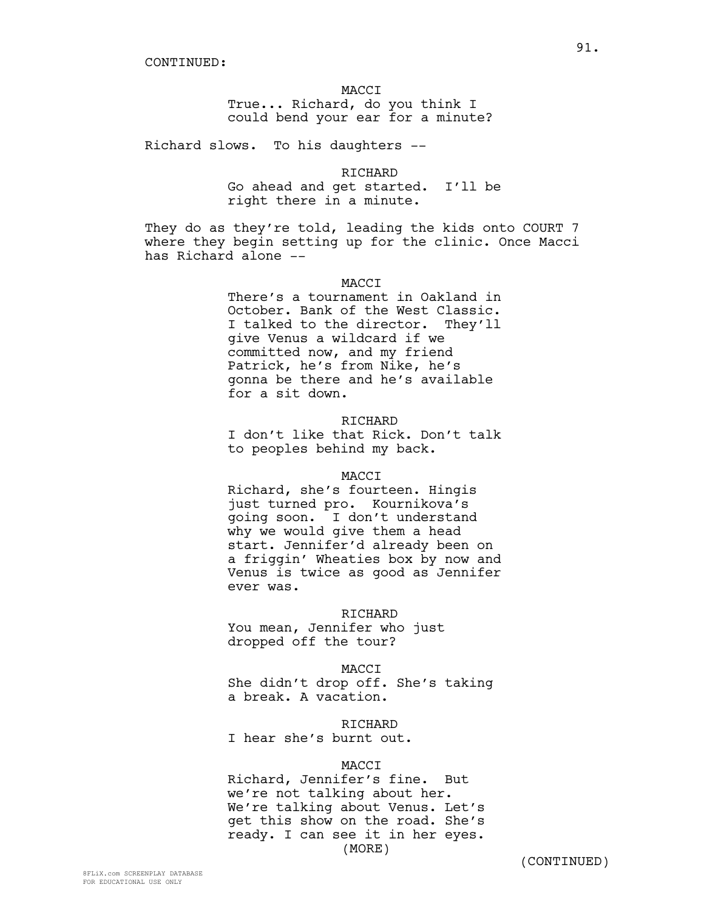## MACCI

True... Richard, do you think I could bend your ear for a minute?

Richard slows. To his daughters --

RICHARD Go ahead and get started. I'll be right there in a minute.

They do as they're told, leading the kids onto COURT 7 where they begin setting up for the clinic. Once Macci has Richard alone --

# **MACCT**

There's a tournament in Oakland in October. Bank of the West Classic. I talked to the director. They'll give Venus a wildcard if we committed now, and my friend Patrick, he's from Nike, he's gonna be there and he's available for a sit down.

#### RICHARD

I don't like that Rick. Don't talk to peoples behind my back.

#### MACCI

Richard, she's fourteen. Hingis just turned pro. Kournikova's going soon. I don't understand why we would give them a head start. Jennifer'd already been on a friggin' Wheaties box by now and Venus is twice as good as Jennifer ever was.

# RICHARD

You mean, Jennifer who just dropped off the tour?

#### MACCI

She didn't drop off. She's taking a break. A vacation.

#### RICHARD

I hear she's burnt out.

### MACCI

Richard, Jennifer's fine. But we're not talking about her. We're talking about Venus. Let's get this show on the road. She's ready. I can see it in her eyes. (MORE)

(CONTINUED)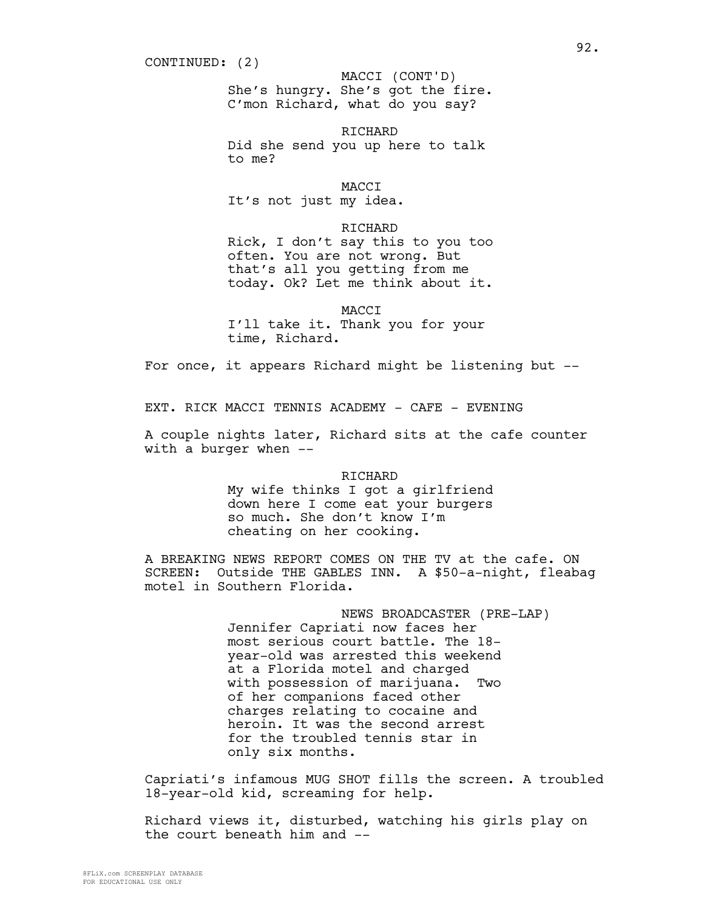She's hungry. She's got the fire. C'mon Richard, what do you say? MACCI (CONT'D)

**RICHARD** Did she send you up here to talk to me?

**MACCT** 

It's not just my idea.

RICHARD

Rick, I don't say this to you too often. You are not wrong. But that's all you getting from me today. Ok? Let me think about it.

MACCI

I'll take it. Thank you for your time, Richard.

For once, it appears Richard might be listening but --

EXT. RICK MACCI TENNIS ACADEMY - CAFE - EVENING

A couple nights later, Richard sits at the cafe counter with a burger when --

> RICHARD My wife thinks I got a girlfriend down here I come eat your burgers so much. She don't know I'm cheating on her cooking.

A BREAKING NEWS REPORT COMES ON THE TV at the cafe. ON SCREEN: Outside THE GABLES INN. A \$50-a-night, fleabag motel in Southern Florida.

> NEWS BROADCASTER (PRE-LAP) Jennifer Capriati now faces her most serious court battle. The 18 year-old was arrested this weekend at a Florida motel and charged with possession of marijuana. Two of her companions faced other charges relating to cocaine and heroin. It was the second arrest for the troubled tennis star in only six months.

Capriati's infamous MUG SHOT fills the screen. A troubled 18-year-old kid, screaming for help.

Richard views it, disturbed, watching his girls play on the court beneath him and --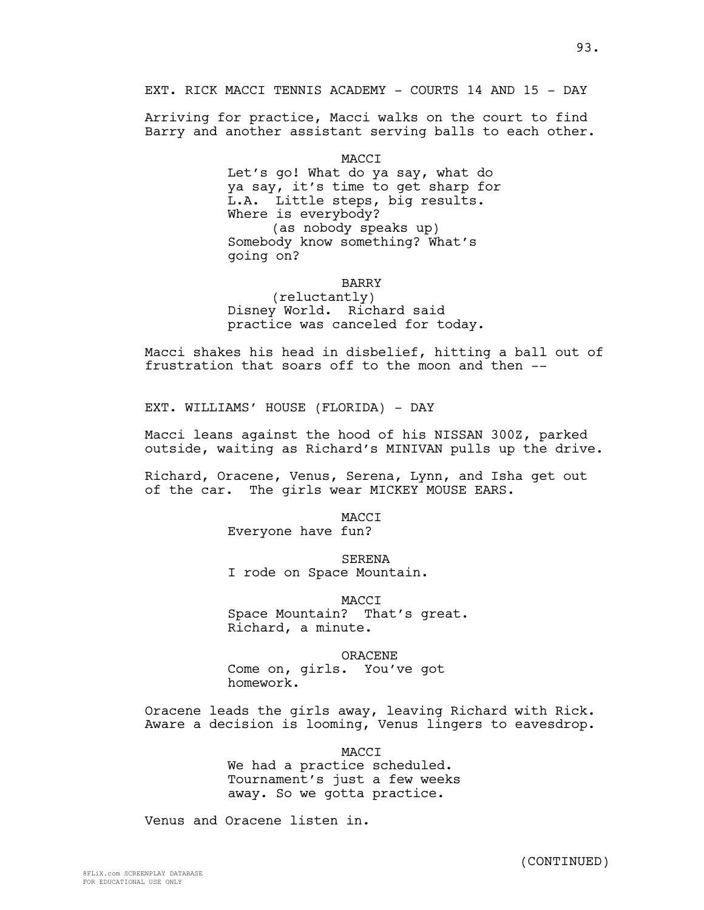EXT. RICK MACCI TENNIS ACADEMY - COURTS 14 AND 15 - DAY

Arriving for practice, Macci walks on the court to find Barry and another assistant serving balls to each other.

MACCI

Let's go! What do ya say, what do ya say, it's time to get sharp for L.A. Little steps, big results. Where is everybody? (as nobody speaks up) Somebody know something? What's going on?

## **BARRY**

(reluctantly) Disney World. Richard said practice was canceled for today.

Macci shakes his head in disbelief, hitting a ball out of frustration that soars off to the moon and then --

EXT. WILLIAMS' HOUSE (FLORIDA) - DAY

Macci leans against the hood of his NISSAN 300Z, parked outside, waiting as Richard's MINIVAN pulls up the drive.

Richard, Oracene, Venus, Serena, Lynn, and Isha get out of the car. The girls wear MICKEY MOUSE EARS.

MACCI

Everyone have fun?

SERENA

I rode on Space Mountain.

MACCI Space Mountain? That's great. Richard, a minute.

ORACENE

Come on, girls. You've got homework.

Oracene leads the girls away, leaving Richard with Rick. Aware a decision is looming, Venus lingers to eavesdrop.

MACCI

We had a practice scheduled. Tournament's just a few weeks away. So we gotta practice.

Venus and Oracene listen in.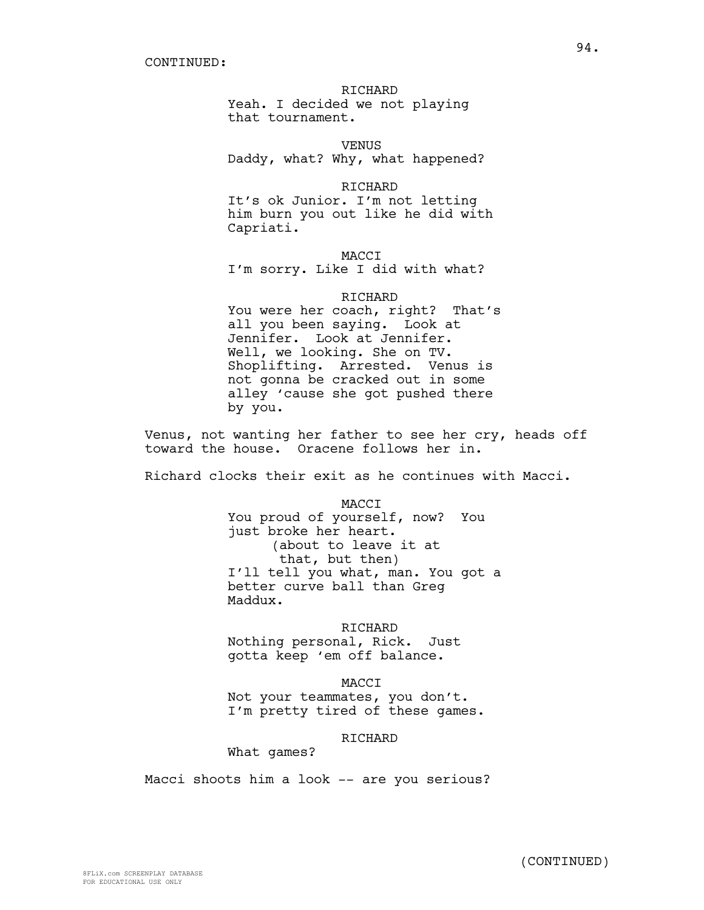## RICHARD

Yeah. I decided we not playing that tournament.

VENUS Daddy, what? Why, what happened?

RICHARD It's ok Junior. I'm not letting

him burn you out like he did with Capriati.

**MACCT** I'm sorry. Like I did with what?

# RICHARD

You were her coach, right? That's all you been saying. Look at Jennifer. Look at Jennifer. Well, we looking. She on TV. Shoplifting. Arrested. Venus is not gonna be cracked out in some alley 'cause she got pushed there by you.

Venus, not wanting her father to see her cry, heads off toward the house. Oracene follows her in.

Richard clocks their exit as he continues with Macci.

MACCI You proud of yourself, now? You just broke her heart. (about to leave it at that, but then) I'll tell you what, man. You got a better curve ball than Greg Maddux.

### RICHARD

Nothing personal, Rick. Just gotta keep 'em off balance.

MACCI

Not your teammates, you don't. I'm pretty tired of these games.

# RICHARD

What games?

Macci shoots him a look -- are you serious?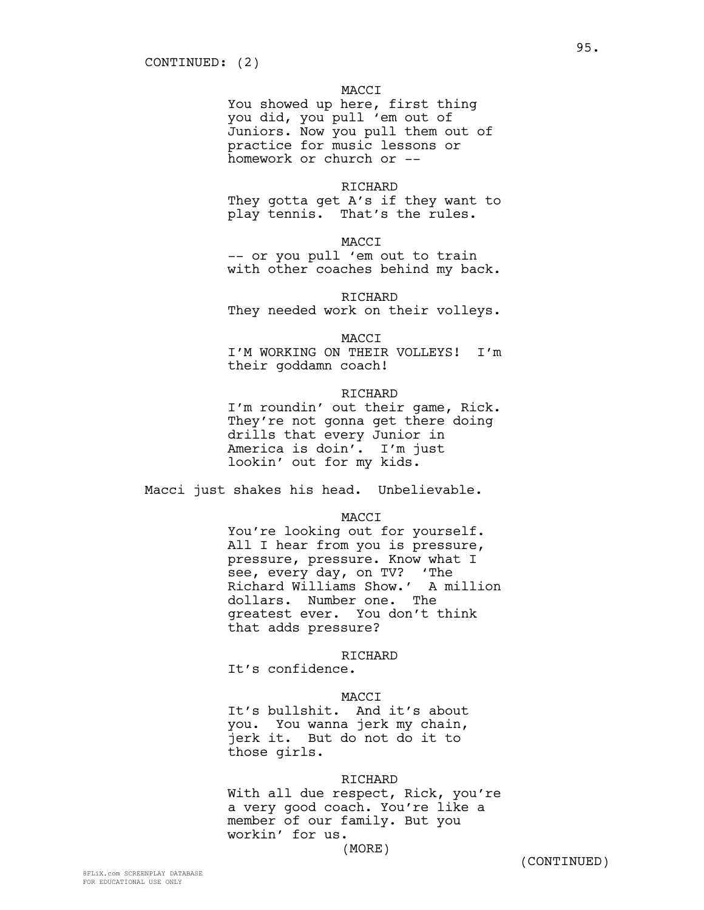# MACCI

You showed up here, first thing you did, you pull 'em out of Juniors. Now you pull them out of practice for music lessons or homework or church or --

## **RICHARD**

They gotta get A's if they want to play tennis. That's the rules.

MACCI

-- or you pull 'em out to train with other coaches behind my back.

RICHARD

They needed work on their volleys.

MACCI

I'M WORKING ON THEIR VOLLEYS! I'm their goddamn coach!

### RICHARD

I'm roundin' out their game, Rick. They're not gonna get there doing drills that every Junior in America is doin'. I'm just lookin' out for my kids.

Macci just shakes his head. Unbelievable.

## MACCI

You're looking out for yourself. All I hear from you is pressure, pressure, pressure. Know what I see, every day, on TV? 'The Richard Williams Show.' A million dollars. Number one. The greatest ever. You don't think that adds pressure?

#### RICHARD

It's confidence.

#### MACCI

It's bullshit. And it's about you. You wanna jerk my chain, jerk it. But do not do it to those girls.

#### RICHARD

With all due respect, Rick, you're a very good coach. You're like a member of our family. But you workin' for us. (MORE)

(CONTINUED)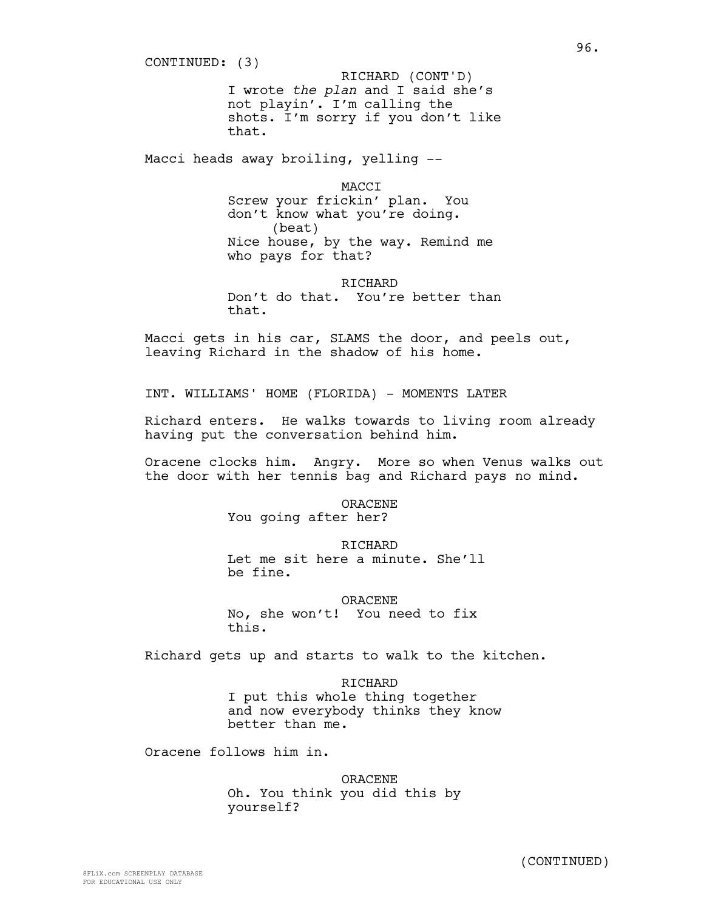I wrote *the plan* and I said she's not playin'. I'm calling the shots. I'm sorry if you don't like that. Macci heads away broiling, yelling -- MACCI CONTINUED: (3) RICHARD (CONT'D)

Screw your frickin' plan. You don't know what you're doing. (beat) Nice house, by the way. Remind me who pays for that?

**RICHARD** Don't do that. You're better than that.

Macci gets in his car, SLAMS the door, and peels out, leaving Richard in the shadow of his home.

INT. WILLIAMS' HOME (FLORIDA) - MOMENTS LATER

Richard enters. He walks towards to living room already having put the conversation behind him.

Oracene clocks him. Angry. More so when Venus walks out the door with her tennis bag and Richard pays no mind.

ORACENE

You going after her?

# RICHARD

Let me sit here a minute. She'll be fine.

# ORACENE

No, she won't! You need to fix this.

Richard gets up and starts to walk to the kitchen.

RICHARD I put this whole thing together and now everybody thinks they know better than me.

Oracene follows him in.

ORACENE Oh. You think you did this by yourself?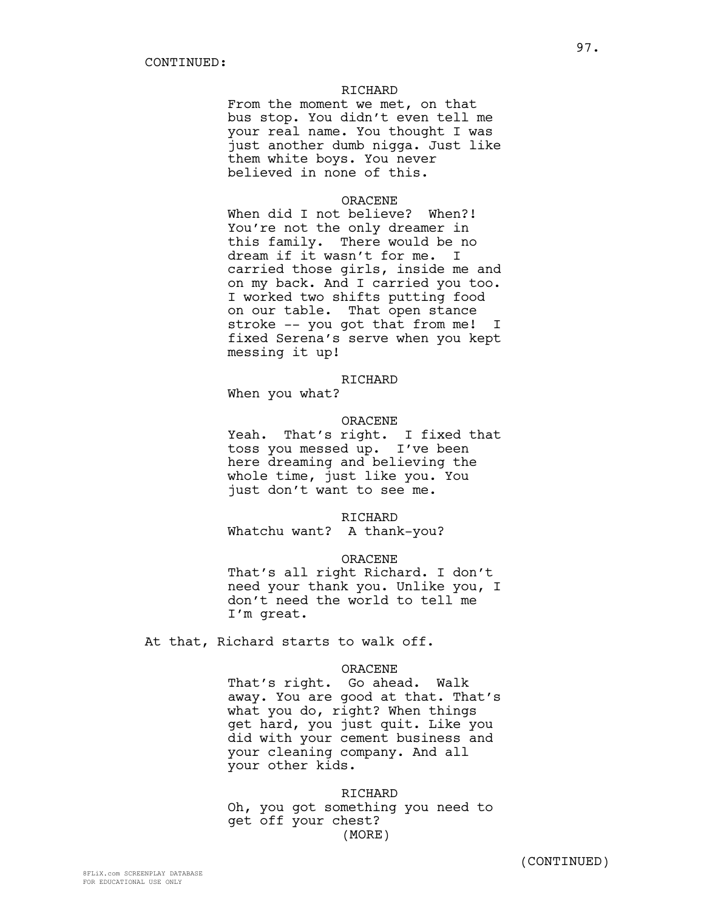# RICHARD

From the moment we met, on that bus stop. You didn't even tell me your real name. You thought I was just another dumb nigga. Just like them white boys. You never believed in none of this.

# ORACENE

When did I not believe? When?! You're not the only dreamer in this family. There would be no dream if it wasn't for me. I carried those girls, inside me and on my back. And I carried you too. I worked two shifts putting food on our table. That open stance stroke -- you got that from me! I fixed Serena's serve when you kept messing it up!

#### RICHARD

When you what?

#### ORACENE

Yeah. That's right. I fixed that toss you messed up. I've been here dreaming and believing the whole time, just like you. You just don't want to see me.

## RICHARD

Whatchu want? A thank-you?

# ORACENE

That's all right Richard. I don't need your thank you. Unlike you, I don't need the world to tell me I'm great.

At that, Richard starts to walk off.

# ORACENE

That's right. Go ahead. Walk away. You are good at that. That's what you do, right? When things get hard, you just quit. Like you did with your cement business and your cleaning company. And all your other kids.

RICHARD Oh, you got something you need to get off your chest? (MORE)

(CONTINUED)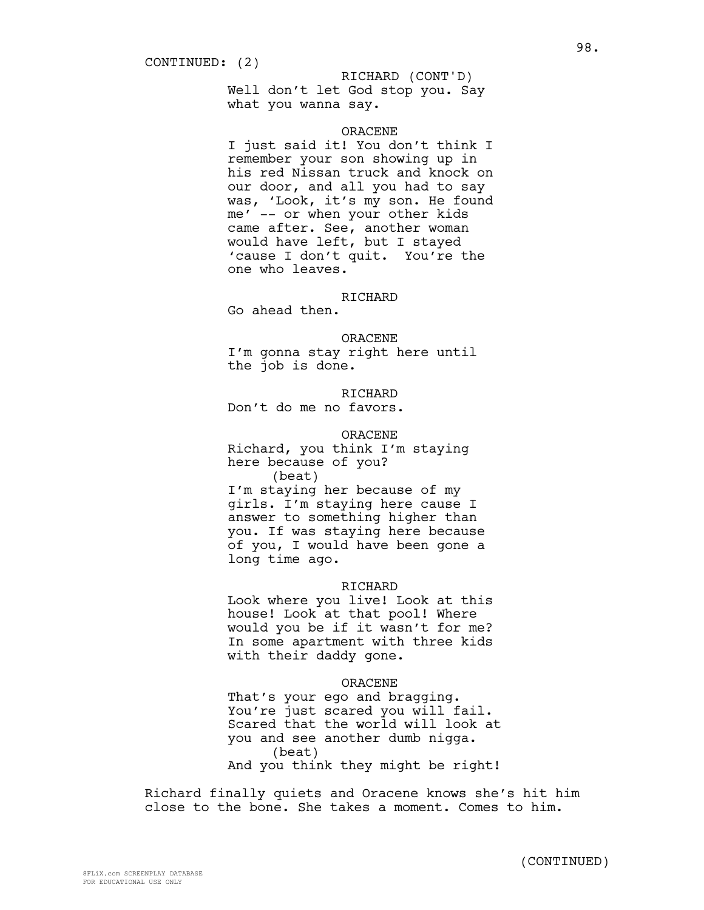## RICHARD (CONT'D)

Well don't let God stop you. Say what you wanna say.

# ORACENE

I just said it! You don't think I remember your son showing up in his red Nissan truck and knock on our door, and all you had to say was, 'Look, it's my son. He found me' -- or when your other kids came after. See, another woman would have left, but I stayed 'cause I don't quit. You're the one who leaves.

# RICHARD

Go ahead then.

ORACENE

I'm gonna stay right here until the job is done.

RICHARD

Don't do me no favors.

ORACENE

Richard, you think I'm staying here because of you?

(beat) I'm staying her because of my girls. I'm staying here cause I answer to something higher than you. If was staying here because of you, I would have been gone a long time ago.

### **RICHARD**

Look where you live! Look at this house! Look at that pool! Where would you be if it wasn't for me? In some apartment with three kids with their daddy gone.

#### ORACENE

That's your ego and bragging. You're just scared you will fail. Scared that the world will look at you and see another dumb nigga. (beat) And you think they might be right!

Richard finally quiets and Oracene knows she's hit him close to the bone. She takes a moment. Comes to him.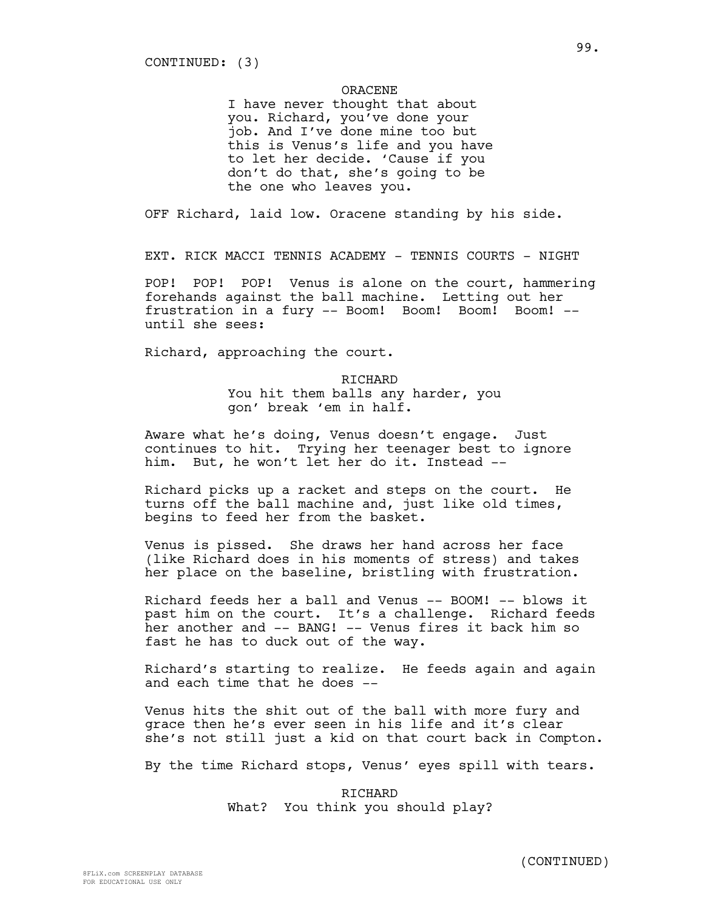### ORACENE

I have never thought that about you. Richard, you've done your job. And I've done mine too but this is Venus's life and you have to let her decide. 'Cause if you don't do that, she's going to be the one who leaves you.

OFF Richard, laid low. Oracene standing by his side.

EXT. RICK MACCI TENNIS ACADEMY - TENNIS COURTS - NIGHT

POP! POP! POP! Venus is alone on the court, hammering forehands against the ball machine. Letting out her frustration in a fury -- Boom! Boom! Boom! Boom! - until she sees:

Richard, approaching the court.

# RICHARD You hit them balls any harder, you

gon' break 'em in half.

Aware what he's doing, Venus doesn't engage. Just continues to hit. Trying her teenager best to ignore him. But, he won't let her do it. Instead --

Richard picks up a racket and steps on the court. He turns off the ball machine and, just like old times, begins to feed her from the basket.

Venus is pissed. She draws her hand across her face (like Richard does in his moments of stress) and takes her place on the baseline, bristling with frustration.

Richard feeds her a ball and Venus -- BOOM! -- blows it past him on the court. It's a challenge. Richard feeds her another and -- BANG! -- Venus fires it back him so fast he has to duck out of the way.

Richard's starting to realize. He feeds again and again and each time that he does --

Venus hits the shit out of the ball with more fury and grace then he's ever seen in his life and it's clear she's not still just a kid on that court back in Compton.

By the time Richard stops, Venus' eyes spill with tears.

RICHARD What? You think you should play?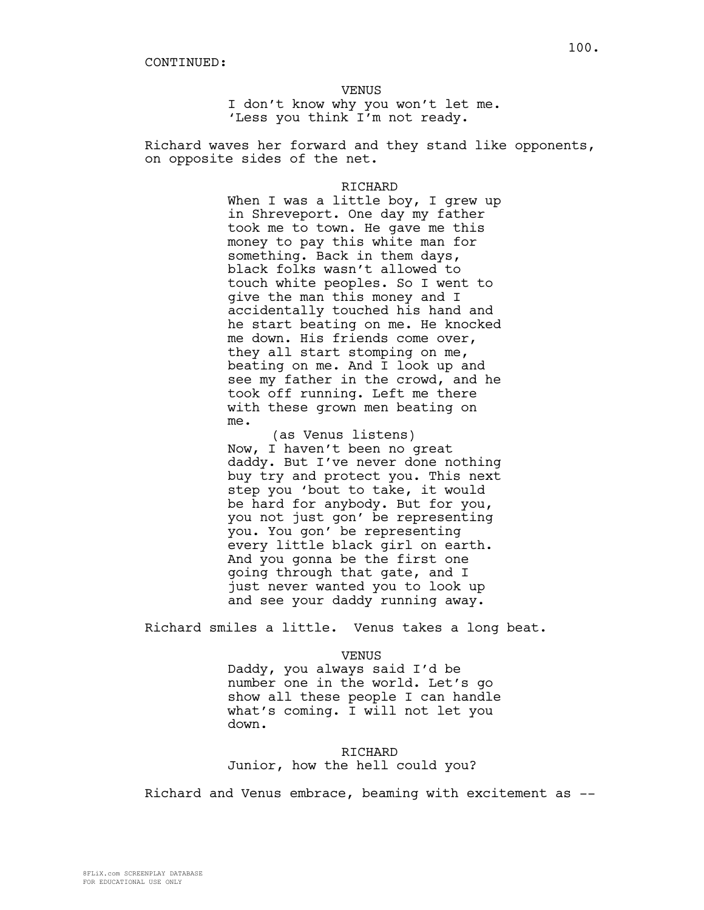VENUS

I don't know why you won't let me. 'Less you think I'm not ready.

Richard waves her forward and they stand like opponents, on opposite sides of the net.

#### RICHARD

When I was a little boy, I grew up in Shreveport. One day my father took me to town. He gave me this money to pay this white man for something. Back in them days, black folks wasn't allowed to touch white peoples. So I went to give the man this money and I accidentally touched his hand and he start beating on me. He knocked me down. His friends come over, they all start stomping on me, beating on me. And I look up and see my father in the crowd, and he took off running. Left me there with these grown men beating on me.

(as Venus listens) Now, I haven't been no great daddy. But I've never done nothing buy try and protect you. This next step you 'bout to take, it would be hard for anybody. But for you, you not just gon' be representing you. You gon' be representing every little black girl on earth. And you gonna be the first one going through that gate, and I just never wanted you to look up and see your daddy running away.

Richard smiles a little. Venus takes a long beat.

VENUS

Daddy, you always said I'd be number one in the world. Let's go show all these people I can handle what's coming. I will not let you down.

RICHARD Junior, how the hell could you?

Richard and Venus embrace, beaming with excitement as --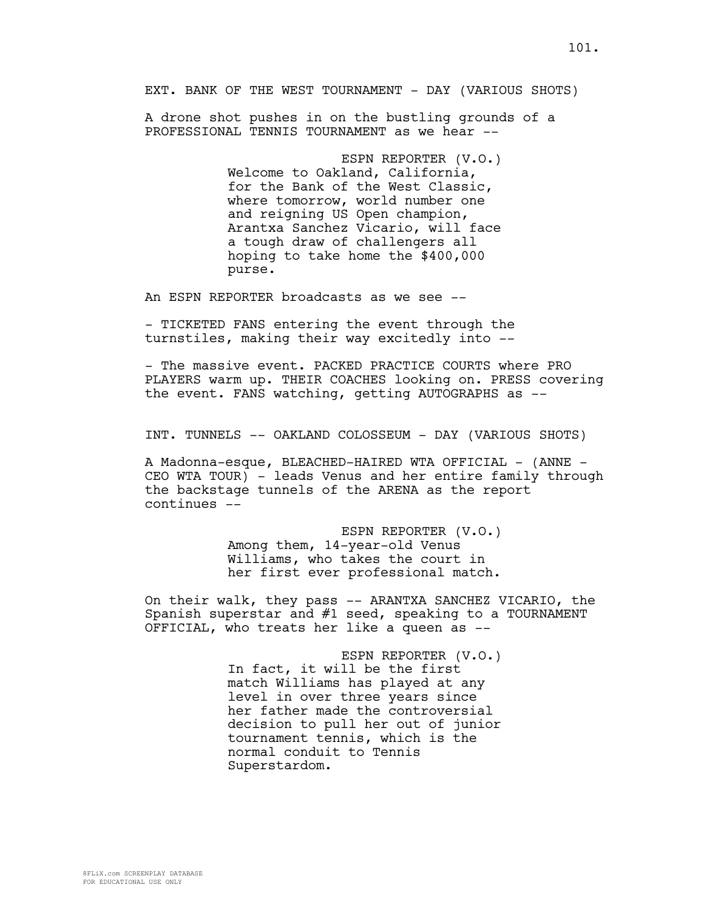EXT. BANK OF THE WEST TOURNAMENT - DAY (VARIOUS SHOTS)

A drone shot pushes in on the bustling grounds of a PROFESSIONAL TENNIS TOURNAMENT as we hear --

> ESPN REPORTER (V.O.) Welcome to Oakland, California, for the Bank of the West Classic, where tomorrow, world number one and reigning US Open champion, Arantxa Sanchez Vicario, will face a tough draw of challengers all hoping to take home the \$400,000 purse.

An ESPN REPORTER broadcasts as we see --

- TICKETED FANS entering the event through the turnstiles, making their way excitedly into --

- The massive event. PACKED PRACTICE COURTS where PRO PLAYERS warm up. THEIR COACHES looking on. PRESS covering the event. FANS watching, getting AUTOGRAPHS as --

INT. TUNNELS -- OAKLAND COLOSSEUM - DAY (VARIOUS SHOTS)

A Madonna-esque, BLEACHED-HAIRED WTA OFFICIAL - (ANNE -CEO WTA TOUR) - leads Venus and her entire family through the backstage tunnels of the ARENA as the report continues --

> ESPN REPORTER (V.O.) Among them, 14-year-old Venus Williams, who takes the court in her first ever professional match.

On their walk, they pass -- ARANTXA SANCHEZ VICARIO, the Spanish superstar and #1 seed, speaking to a TOURNAMENT OFFICIAL, who treats her like a queen as --

> ESPN REPORTER (V.O.) In fact, it will be the first match Williams has played at any level in over three years since her father made the controversial decision to pull her out of junior tournament tennis, which is the normal conduit to Tennis Superstardom.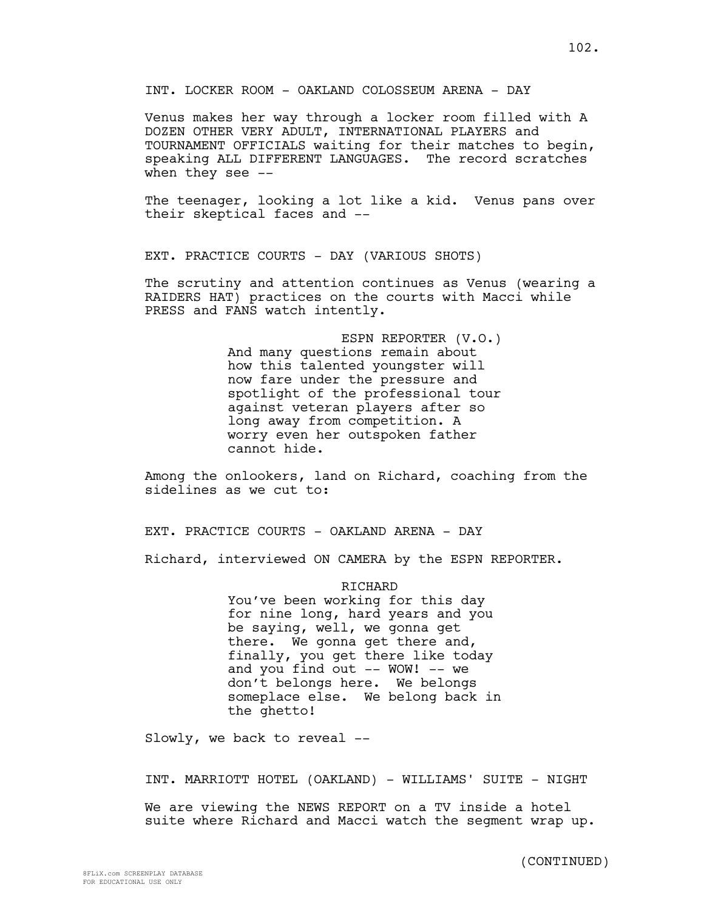Venus makes her way through a locker room filled with A DOZEN OTHER VERY ADULT, INTERNATIONAL PLAYERS and TOURNAMENT OFFICIALS waiting for their matches to begin, speaking ALL DIFFERENT LANGUAGES. The record scratches when they see --

The teenager, looking a lot like a kid. Venus pans over their skeptical faces and --

EXT. PRACTICE COURTS - DAY (VARIOUS SHOTS)

The scrutiny and attention continues as Venus (wearing a RAIDERS HAT) practices on the courts with Macci while PRESS and FANS watch intently.

> ESPN REPORTER (V.O.) And many questions remain about how this talented youngster will now fare under the pressure and spotlight of the professional tour against veteran players after so long away from competition. A worry even her outspoken father cannot hide.

Among the onlookers, land on Richard, coaching from the sidelines as we cut to:

EXT. PRACTICE COURTS - OAKLAND ARENA - DAY

Richard, interviewed ON CAMERA by the ESPN REPORTER.

**RICHARD** 

You've been working for this day for nine long, hard years and you be saying, well, we gonna get there. We gonna get there and, finally, you get there like today and you find out -- WOW! -- we don't belongs here. We belongs someplace else. We belong back in the ghetto!

Slowly, we back to reveal --

INT. MARRIOTT HOTEL (OAKLAND) - WILLIAMS' SUITE - NIGHT

We are viewing the NEWS REPORT on a TV inside a hotel suite where Richard and Macci watch the segment wrap up.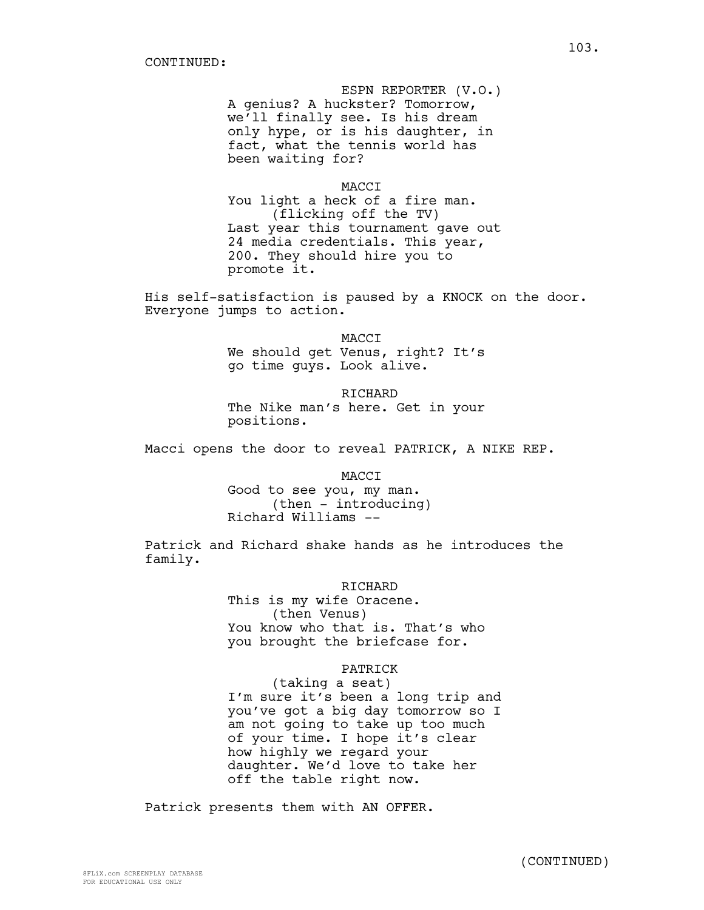ESPN REPORTER (V.O.) A genius? A huckster? Tomorrow, we'll finally see. Is his dream only hype, or is his daughter, in fact, what the tennis world has been waiting for?

MACCI

You light a heck of a fire man. (flicking off the TV) Last year this tournament gave out 24 media credentials. This year, 200. They should hire you to promote it.

His self-satisfaction is paused by a KNOCK on the door. Everyone jumps to action.

> MACCI We should get Venus, right? It's go time guys. Look alive.

RICHARD The Nike man's here. Get in your positions.

Macci opens the door to reveal PATRICK, A NIKE REP.

MACCI

Good to see you, my man. (then - introducing) Richard Williams --

Patrick and Richard shake hands as he introduces the family.

#### RICHARD

This is my wife Oracene. (then Venus) You know who that is. That's who you brought the briefcase for.

# PATRICK

(taking a seat) I'm sure it's been a long trip and you've got a big day tomorrow so I am not going to take up too much of your time. I hope it's clear how highly we regard your daughter. We'd love to take her off the table right now.

Patrick presents them with AN OFFER.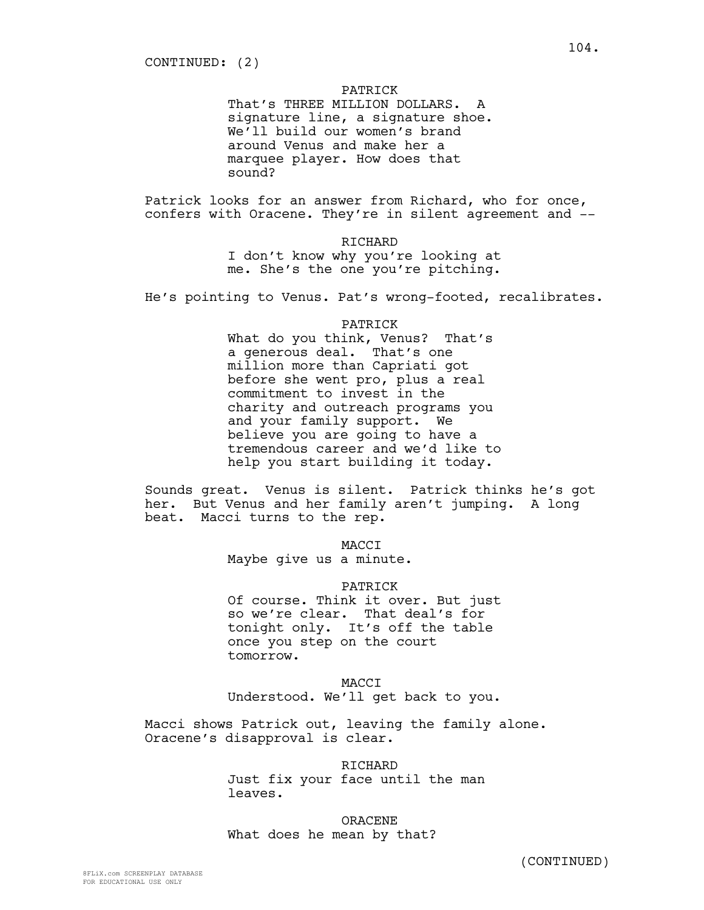## PATRICK

That's THREE MILLION DOLLARS. A signature line, a signature shoe. We'll build our women's brand around Venus and make her a marquee player. How does that sound?

Patrick looks for an answer from Richard, who for once, confers with Oracene. They're in silent agreement and --

> RICHARD I don't know why you're looking at me. She's the one you're pitching.

He's pointing to Venus. Pat's wrong-footed, recalibrates.

#### PATRICK

What do you think, Venus? That's a generous deal. That's one million more than Capriati got before she went pro, plus a real commitment to invest in the charity and outreach programs you and your family support. We believe you are going to have a tremendous career and we'd like to help you start building it today.

Sounds great. Venus is silent. Patrick thinks he's got her. But Venus and her family aren't jumping. A long beat. Macci turns to the rep.

MACCI

Maybe give us a minute.

### PATRICK

Of course. Think it over. But just so we're clear. That deal's for tonight only. It's off the table once you step on the court tomorrow.

MACCI Understood. We'll get back to you.

Macci shows Patrick out, leaving the family alone. Oracene's disapproval is clear.

> RICHARD Just fix your face until the man leaves.

ORACENE What does he mean by that?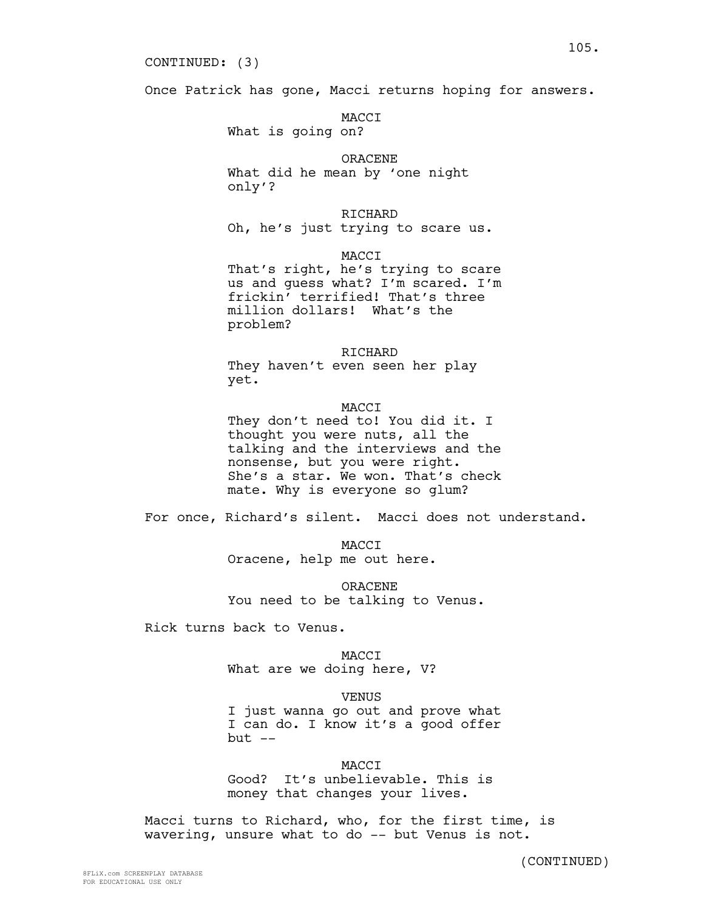#### CONTINUED: (3)

Once Patrick has gone, Macci returns hoping for answers.

MACCI What is going on?

# ORACENE What did he mean by 'one night

only'?

RICHARD Oh, he's just trying to scare us.

MACCI

That's right, he's trying to scare us and guess what? I'm scared. I'm frickin' terrified! That's three million dollars! What's the problem?

#### RICHARD

They haven't even seen her play yet.

### **MACCT**

They don't need to! You did it. I thought you were nuts, all the talking and the interviews and the nonsense, but you were right. She's a star. We won. That's check mate. Why is everyone so glum?

For once, Richard's silent. Macci does not understand.

MACCI Oracene, help me out here.

ORACENE You need to be talking to Venus.

Rick turns back to Venus.

MACCI What are we doing here, V?

VENUS

I just wanna go out and prove what I can do. I know it's a good offer  $but --$ 

**MACCT** Good? It's unbelievable. This is money that changes your lives.

Macci turns to Richard, who, for the first time, is wavering, unsure what to do -- but Venus is not.

(CONTINUED)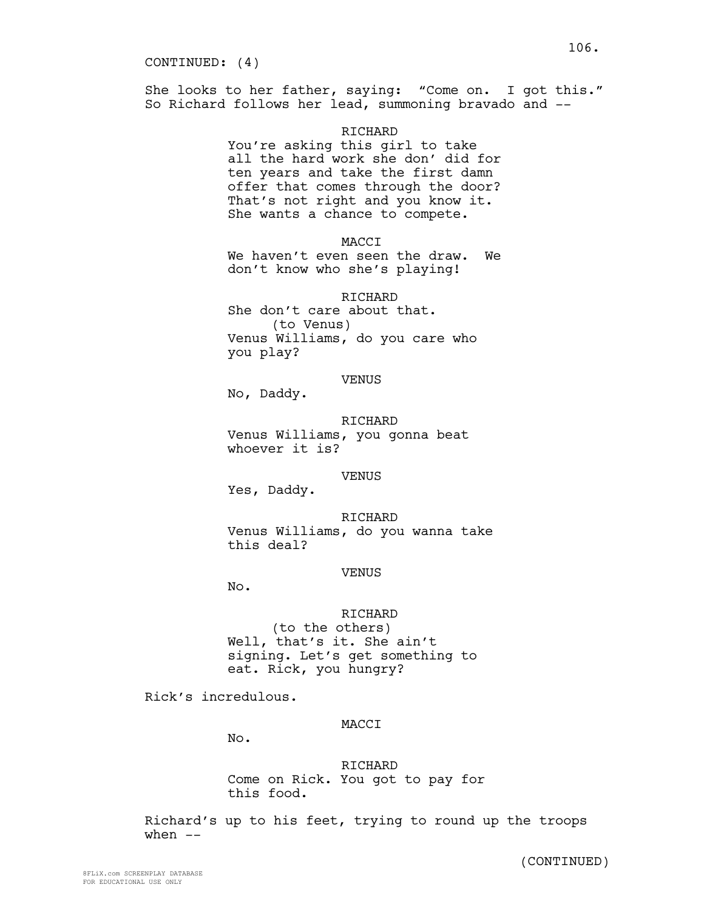She looks to her father, saying: "Come on. I got this." So Richard follows her lead, summoning bravado and --

### RICHARD

You're asking this girl to take all the hard work she don' did for ten years and take the first damn offer that comes through the door? That's not right and you know it. She wants a chance to compete.

MACCI

We haven't even seen the draw. We don't know who she's playing!

RICHARD

She don't care about that. (to Venus) Venus Williams, do you care who you play?

# VENUS

No, Daddy.

RICHARD Venus Williams, you gonna beat whoever it is?

#### VENUS

Yes, Daddy.

RICHARD Venus Williams, do you wanna take this deal?

#### VENUS

No.

### RICHARD

(to the others) Well, that's it. She ain't signing. Let's get something to eat. Rick, you hungry?

Rick's incredulous.

### MACCI

No.

RICHARD Come on Rick. You got to pay for this food.

Richard's up to his feet, trying to round up the troops when  $--$ 

(CONTINUED)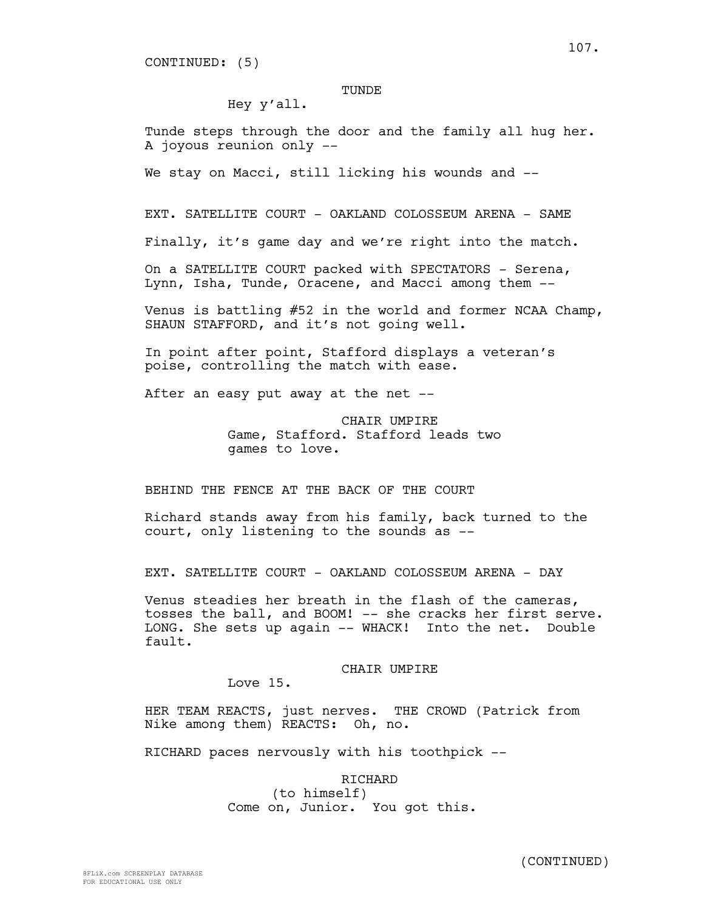CONTINUED: (5)

#### TUNDE

Hey y'all.

Tunde steps through the door and the family all hug her. A joyous reunion only --

We stay on Macci, still licking his wounds and --

EXT. SATELLITE COURT - OAKLAND COLOSSEUM ARENA - SAME

Finally, it's game day and we're right into the match.

On a SATELLITE COURT packed with SPECTATORS - Serena, Lynn, Isha, Tunde, Oracene, and Macci among them --

Venus is battling #52 in the world and former NCAA Champ, SHAUN STAFFORD, and it's not going well.

In point after point, Stafford displays a veteran's poise, controlling the match with ease.

After an easy put away at the net --

CHAIR UMPIRE Game, Stafford. Stafford leads two games to love.

BEHIND THE FENCE AT THE BACK OF THE COURT

Richard stands away from his family, back turned to the court, only listening to the sounds as --

EXT. SATELLITE COURT - OAKLAND COLOSSEUM ARENA - DAY

Venus steadies her breath in the flash of the cameras, tosses the ball, and BOOM! -- she cracks her first serve. LONG. She sets up again -- WHACK! Into the net. Double fault.

### CHAIR UMPIRE

Love 15.

HER TEAM REACTS, just nerves. THE CROWD (Patrick from Nike among them) REACTS: Oh, no.

RICHARD paces nervously with his toothpick --

RICHARD (to himself) Come on, Junior. You got this. 107.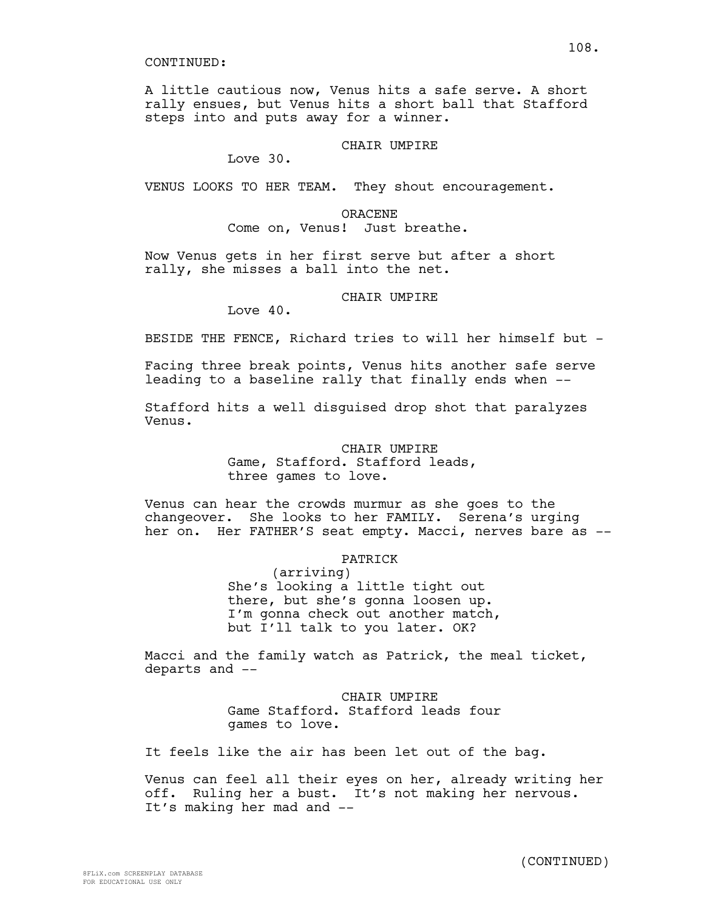A little cautious now, Venus hits a safe serve. A short rally ensues, but Venus hits a short ball that Stafford steps into and puts away for a winner.

# CHAIR UMPIRE

Love 30.

VENUS LOOKS TO HER TEAM. They shout encouragement.

## ORACENE

Come on, Venus! Just breathe.

Now Venus gets in her first serve but after a short rally, she misses a ball into the net.

## CHAIR UMPIRE

Love 40.

BESIDE THE FENCE, Richard tries to will her himself but -

Facing three break points, Venus hits another safe serve leading to a baseline rally that finally ends when --

Stafford hits a well disguised drop shot that paralyzes Venus.

# CHAIR UMPIRE

Game, Stafford. Stafford leads, three games to love.

Venus can hear the crowds murmur as she goes to the changeover. She looks to her FAMILY. Serena's urging her on. Her FATHER'S seat empty. Macci, nerves bare as --

# PATRICK

(arriving) She's looking a little tight out there, but she's gonna loosen up. I'm gonna check out another match, but I'll talk to you later. OK?

Macci and the family watch as Patrick, the meal ticket, departs and --

> CHAIR UMPIRE Game Stafford. Stafford leads four games to love.

It feels like the air has been let out of the bag.

Venus can feel all their eyes on her, already writing her off. Ruling her a bust. It's not making her nervous. It's making her mad and --

108.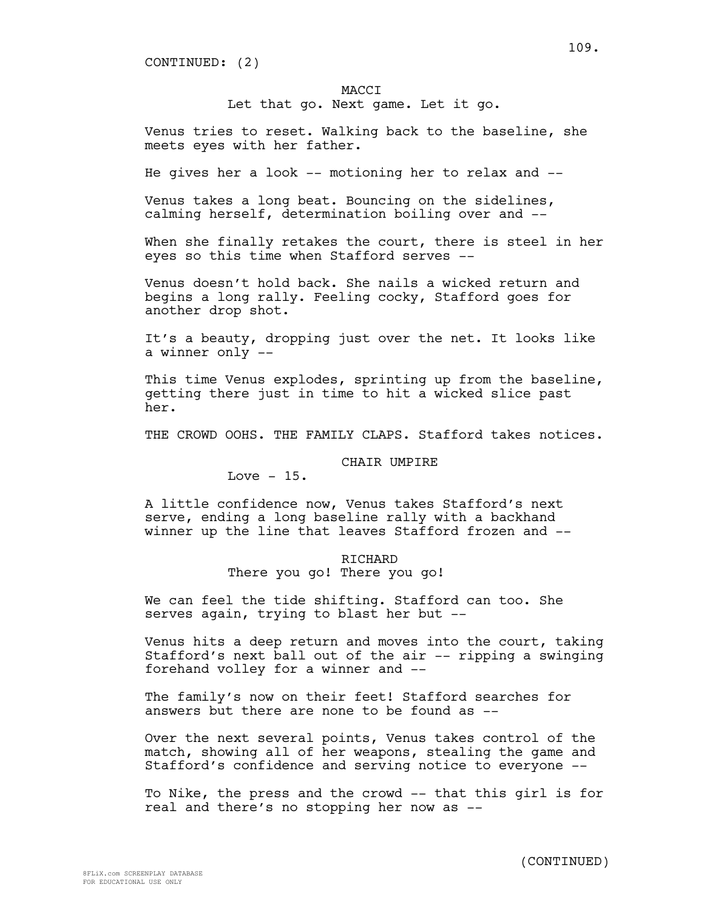CONTINUED: (2)

#### MACCI

Let that go. Next game. Let it go.

Venus tries to reset. Walking back to the baseline, she meets eyes with her father.

He gives her a look -- motioning her to relax and --

Venus takes a long beat. Bouncing on the sidelines, calming herself, determination boiling over and --

When she finally retakes the court, there is steel in her eyes so this time when Stafford serves --

Venus doesn't hold back. She nails a wicked return and begins a long rally. Feeling cocky, Stafford goes for another drop shot.

It's a beauty, dropping just over the net. It looks like a winner only --

This time Venus explodes, sprinting up from the baseline, getting there just in time to hit a wicked slice past her.

THE CROWD OOHS. THE FAMILY CLAPS. Stafford takes notices.

## CHAIR UMPIRE

Love  $-15$ .

A little confidence now, Venus takes Stafford's next serve, ending a long baseline rally with a backhand winner up the line that leaves Stafford frozen and --

## **RICHARD**

There you go! There you go!

We can feel the tide shifting. Stafford can too. She serves again, trying to blast her but --

Venus hits a deep return and moves into the court, taking Stafford's next ball out of the air -- ripping a swinging forehand volley for a winner and --

The family's now on their feet! Stafford searches for answers but there are none to be found as --

Over the next several points, Venus takes control of the match, showing all of her weapons, stealing the game and Stafford's confidence and serving notice to everyone --

To Nike, the press and the crowd -- that this girl is for real and there's no stopping her now as --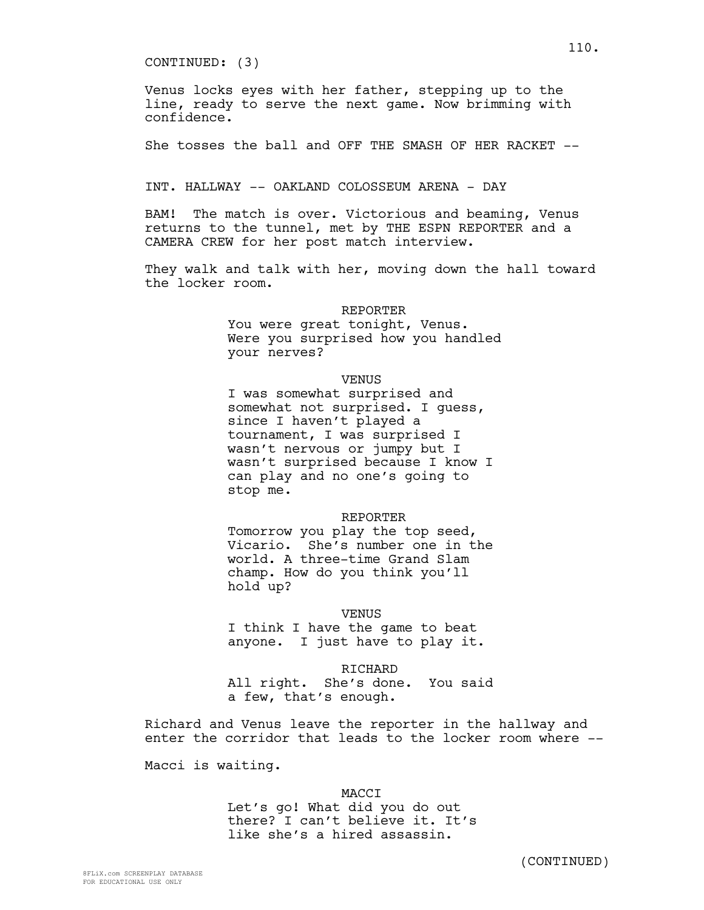CONTINUED: (3)

Venus locks eyes with her father, stepping up to the line, ready to serve the next game. Now brimming with confidence.

She tosses the ball and OFF THE SMASH OF HER RACKET --

INT. HALLWAY -- OAKLAND COLOSSEUM ARENA - DAY

BAM! The match is over. Victorious and beaming, Venus returns to the tunnel, met by THE ESPN REPORTER and a CAMERA CREW for her post match interview.

They walk and talk with her, moving down the hall toward the locker room.

#### REPORTER

You were great tonight, Venus. Were you surprised how you handled your nerves?

#### VENUS

I was somewhat surprised and somewhat not surprised. I guess, since I haven't played a tournament, I was surprised I wasn't nervous or jumpy but I wasn't surprised because I know I can play and no one's going to stop me.

#### REPORTER

Tomorrow you play the top seed, Vicario. She's number one in the world. A three-time Grand Slam champ. How do you think you'll hold up?

## VENUS

I think I have the game to beat anyone. I just have to play it.

RICHARD All right. She's done. You said a few, that's enough.

Richard and Venus leave the reporter in the hallway and enter the corridor that leads to the locker room where --

Macci is waiting.

## MACCI

Let's go! What did you do out there? I can't believe it. It's like she's a hired assassin.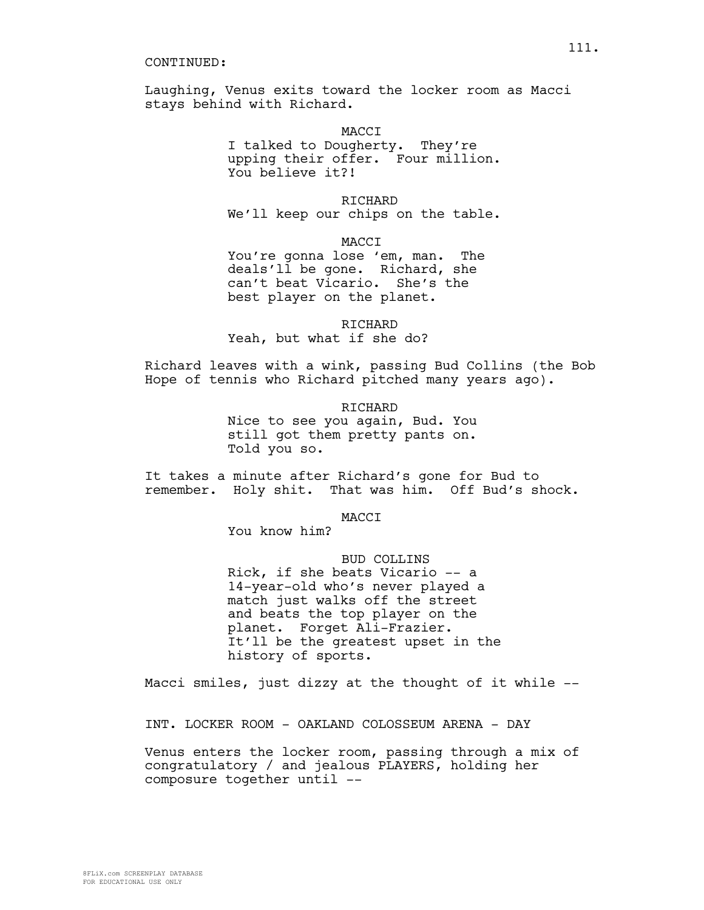Laughing, Venus exits toward the locker room as Macci stays behind with Richard.

**MACCT** 

I talked to Dougherty. They're upping their offer. Four million. You believe it?!

**RICHARD** We'll keep our chips on the table.

MACCI

You're gonna lose 'em, man. The deals'll be gone. Richard, she can't beat Vicario. She's the best player on the planet.

RICHARD Yeah, but what if she do?

Richard leaves with a wink, passing Bud Collins (the Bob Hope of tennis who Richard pitched many years ago).

> RICHARD Nice to see you again, Bud. You still got them pretty pants on. Told you so.

It takes a minute after Richard's gone for Bud to remember. Holy shit. That was him. Off Bud's shock.

MACCI

You know him?

BUD COLLINS Rick, if she beats Vicario -- a 14-year-old who's never played a match just walks off the street and beats the top player on the planet. Forget Ali-Frazier. It'll be the greatest upset in the history of sports.

Macci smiles, just dizzy at the thought of it while --

INT. LOCKER ROOM - OAKLAND COLOSSEUM ARENA - DAY

Venus enters the locker room, passing through a mix of congratulatory / and jealous PLAYERS, holding her composure together until --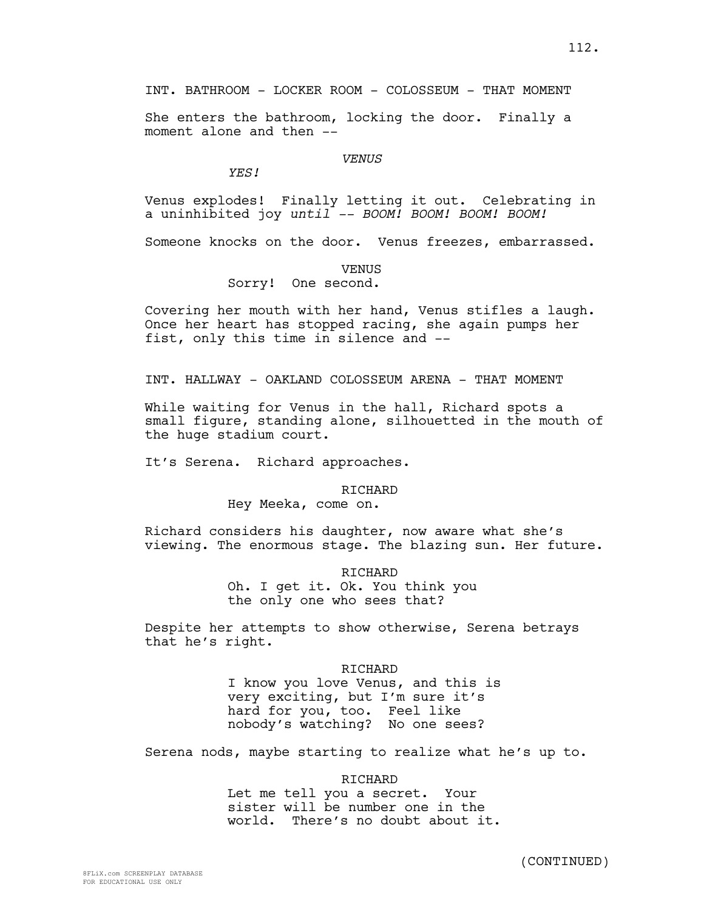INT. BATHROOM - LOCKER ROOM - COLOSSEUM - THAT MOMENT

She enters the bathroom, locking the door. Finally a moment alone and then --

#### *VENUS*

*YES!*

Venus explodes! Finally letting it out. Celebrating in a uninhibited joy *until -- BOOM! BOOM! BOOM! BOOM!*

Someone knocks on the door. Venus freezes, embarrassed.

#### VENUS

Sorry! One second.

Covering her mouth with her hand, Venus stifles a laugh. Once her heart has stopped racing, she again pumps her fist, only this time in silence and --

INT. HALLWAY - OAKLAND COLOSSEUM ARENA - THAT MOMENT

While waiting for Venus in the hall, Richard spots a small figure, standing alone, silhouetted in the mouth of the huge stadium court.

It's Serena. Richard approaches.

#### **RICHARD**

Hey Meeka, come on.

Richard considers his daughter, now aware what she's viewing. The enormous stage. The blazing sun. Her future.

> RICHARD Oh. I get it. Ok. You think you the only one who sees that?

Despite her attempts to show otherwise, Serena betrays that he's right.

> RICHARD I know you love Venus, and this is very exciting, but I'm sure it's hard for you, too. Feel like nobody's watching? No one sees?

Serena nods, maybe starting to realize what he's up to.

RICHARD

Let me tell you a secret. Your sister will be number one in the world. There's no doubt about it.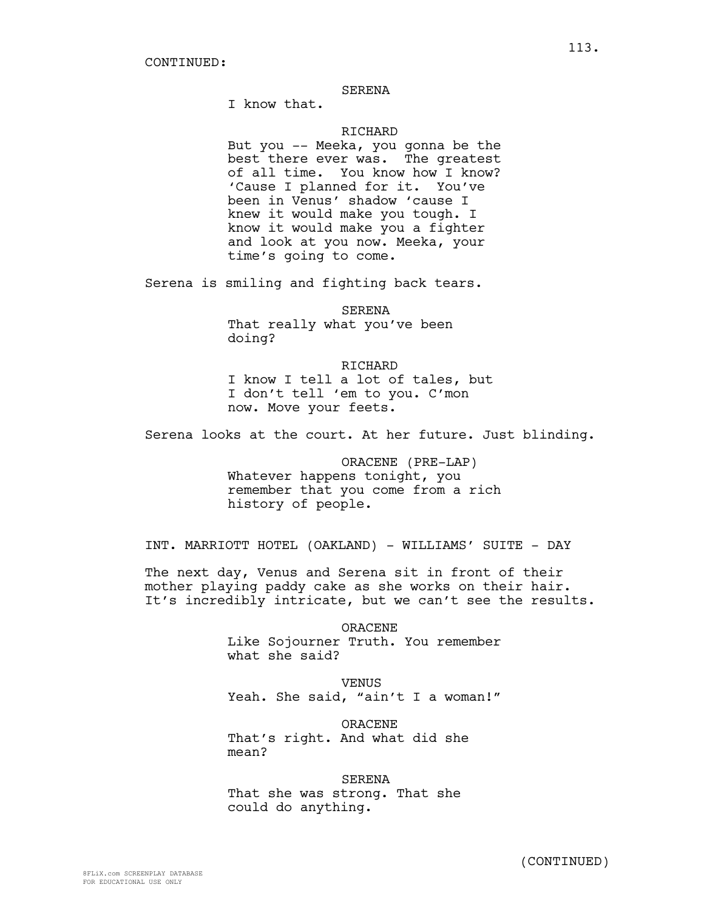#### SERENA

I know that.

#### **RICHARD**

But you -- Meeka, you gonna be the best there ever was. The greatest of all time. You know how I know? 'Cause I planned for it. You've been in Venus' shadow 'cause I knew it would make you tough. I know it would make you a fighter and look at you now. Meeka, your time's going to come.

Serena is smiling and fighting back tears.

SERENA That really what you've been doing?

RICHARD I know I tell a lot of tales, but I don't tell 'em to you. C'mon now. Move your feets.

Serena looks at the court. At her future. Just blinding.

ORACENE (PRE-LAP) Whatever happens tonight, you remember that you come from a rich history of people.

INT. MARRIOTT HOTEL (OAKLAND) - WILLIAMS' SUITE - DAY

The next day, Venus and Serena sit in front of their mother playing paddy cake as she works on their hair. It's incredibly intricate, but we can't see the results.

> ORACENE Like Sojourner Truth. You remember what she said?

> VENUS Yeah. She said, "ain't I a woman!"

ORACENE That's right. And what did she mean?

SERENA That she was strong. That she could do anything.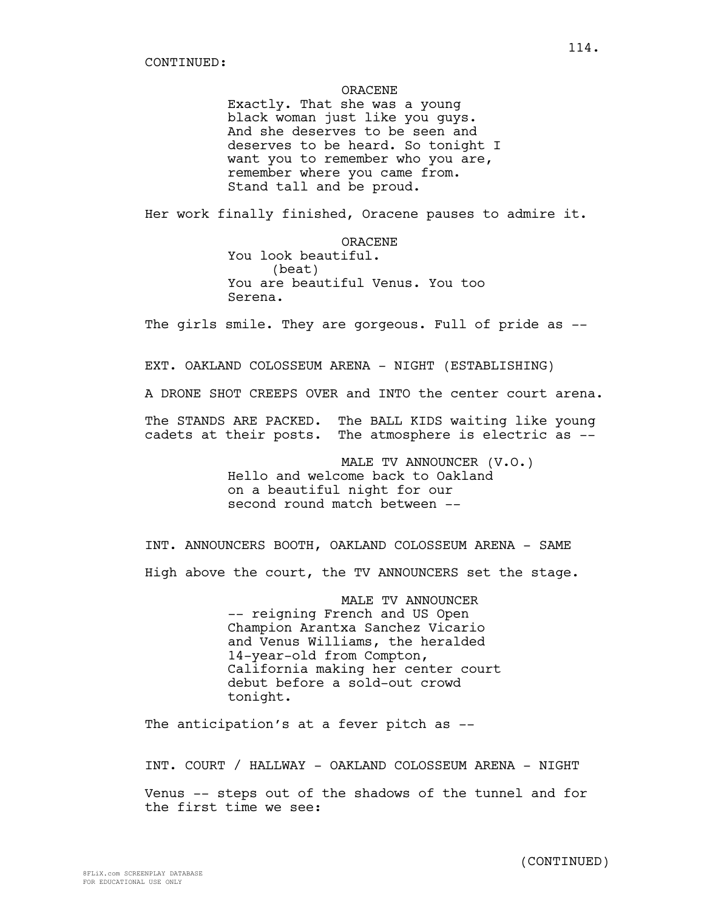#### ORACENE

Exactly. That she was a young black woman just like you guys. And she deserves to be seen and deserves to be heard. So tonight I want you to remember who you are, remember where you came from. Stand tall and be proud.

Her work finally finished, Oracene pauses to admire it.

ORACENE You look beautiful. (beat) You are beautiful Venus. You too Serena.

The girls smile. They are gorgeous. Full of pride as --

EXT. OAKLAND COLOSSEUM ARENA - NIGHT (ESTABLISHING)

A DRONE SHOT CREEPS OVER and INTO the center court arena.

The STANDS ARE PACKED. The BALL KIDS waiting like young cadets at their posts. The atmosphere is electric as --

> MALE TV ANNOUNCER (V.O.) Hello and welcome back to Oakland on a beautiful night for our second round match between --

INT. ANNOUNCERS BOOTH, OAKLAND COLOSSEUM ARENA - SAME High above the court, the TV ANNOUNCERS set the stage.

> MALE TV ANNOUNCER -- reigning French and US Open Champion Arantxa Sanchez Vicario and Venus Williams, the heralded 14-year-old from Compton, California making her center court debut before a sold-out crowd tonight.

The anticipation's at a fever pitch as --

INT. COURT / HALLWAY - OAKLAND COLOSSEUM ARENA - NIGHT

Venus -- steps out of the shadows of the tunnel and for the first time we see: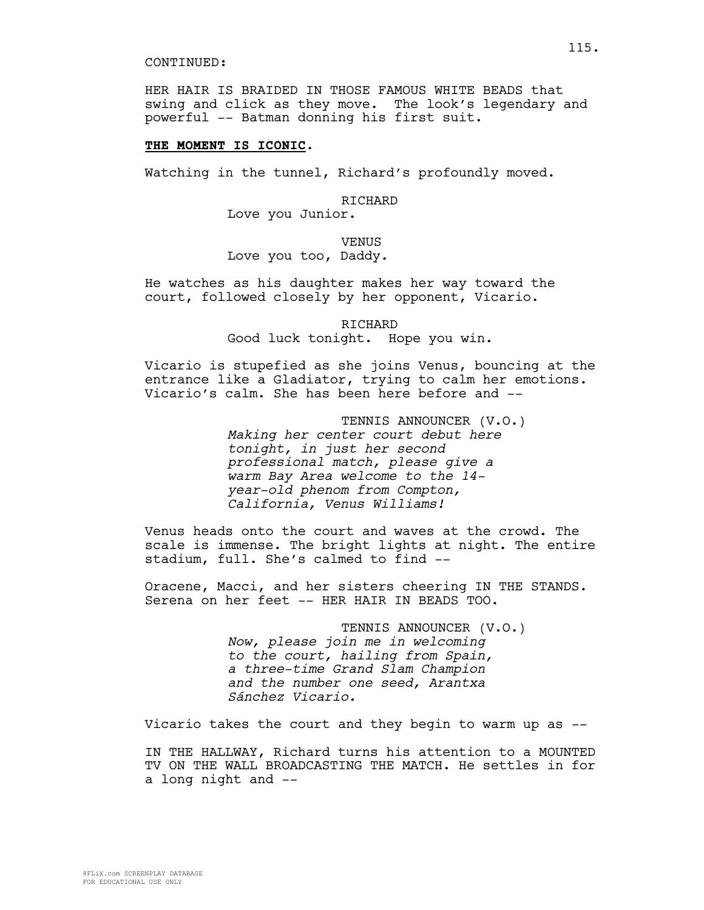HER HAIR IS BRAIDED IN THOSE FAMOUS WHITE BEADS that swing and click as they move. The look's legendary and powerful -- Batman donning his first suit.

# **THE MOMENT IS ICONIC**.

Watching in the tunnel, Richard's profoundly moved.

## RICHARD

Love you Junior.

# VENUS

# Love you too, Daddy.

He watches as his daughter makes her way toward the court, followed closely by her opponent, Vicario.

> RICHARD Good luck tonight. Hope you win.

Vicario is stupefied as she joins Venus, bouncing at the entrance like a Gladiator, trying to calm her emotions. Vicario's calm. She has been here before and --

> TENNIS ANNOUNCER (V.O.) *Making her center court debut here tonight, in just her second professional match, please give a warm Bay Area welcome to the 14 year-old phenom from Compton, California, Venus Williams!*

Venus heads onto the court and waves at the crowd. The scale is immense. The bright lights at night. The entire stadium, full. She's calmed to find --

Oracene, Macci, and her sisters cheering IN THE STANDS. Serena on her feet -- HER HAIR IN BEADS TOO.

> TENNIS ANNOUNCER (V.O.) *Now, please join me in welcoming to the court, hailing from Spain, a three-time Grand Slam Champion and the number one seed, Arantxa Sánchez Vicario.*

Vicario takes the court and they begin to warm up as --

IN THE HALLWAY, Richard turns his attention to a MOUNTED TV ON THE WALL BROADCASTING THE MATCH. He settles in for a long night and --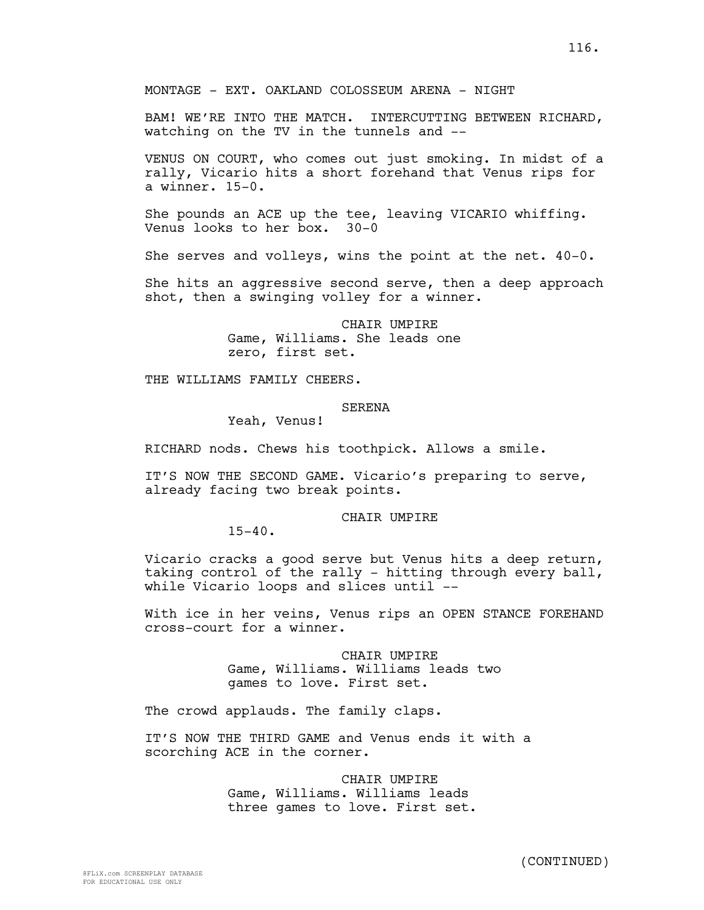MONTAGE - EXT. OAKLAND COLOSSEUM ARENA - NIGHT

BAM! WE'RE INTO THE MATCH. INTERCUTTING BETWEEN RICHARD, watching on the TV in the tunnels and --

VENUS ON COURT, who comes out just smoking. In midst of a rally, Vicario hits a short forehand that Venus rips for a winner. 15-0.

She pounds an ACE up the tee, leaving VICARIO whiffing. Venus looks to her box. 30-0

She serves and volleys, wins the point at the net. 40-0.

She hits an aggressive second serve, then a deep approach shot, then a swinging volley for a winner.

> CHAIR UMPIRE Game, Williams. She leads one zero, first set.

THE WILLIAMS FAMILY CHEERS.

# SERENA

Yeah, Venus!

RICHARD nods. Chews his toothpick. Allows a smile.

IT'S NOW THE SECOND GAME. Vicario's preparing to serve, already facing two break points.

# CHAIR UMPIRE

 $15 - 40$ .

Vicario cracks a good serve but Venus hits a deep return, taking control of the rally - hitting through every ball, while Vicario loops and slices until --

With ice in her veins, Venus rips an OPEN STANCE FOREHAND cross-court for a winner.

> CHAIR UMPIRE Game, Williams. Williams leads two games to love. First set.

The crowd applauds. The family claps.

IT'S NOW THE THIRD GAME and Venus ends it with a scorching ACE in the corner.

> CHAIR UMPIRE Game, Williams. Williams leads three games to love. First set.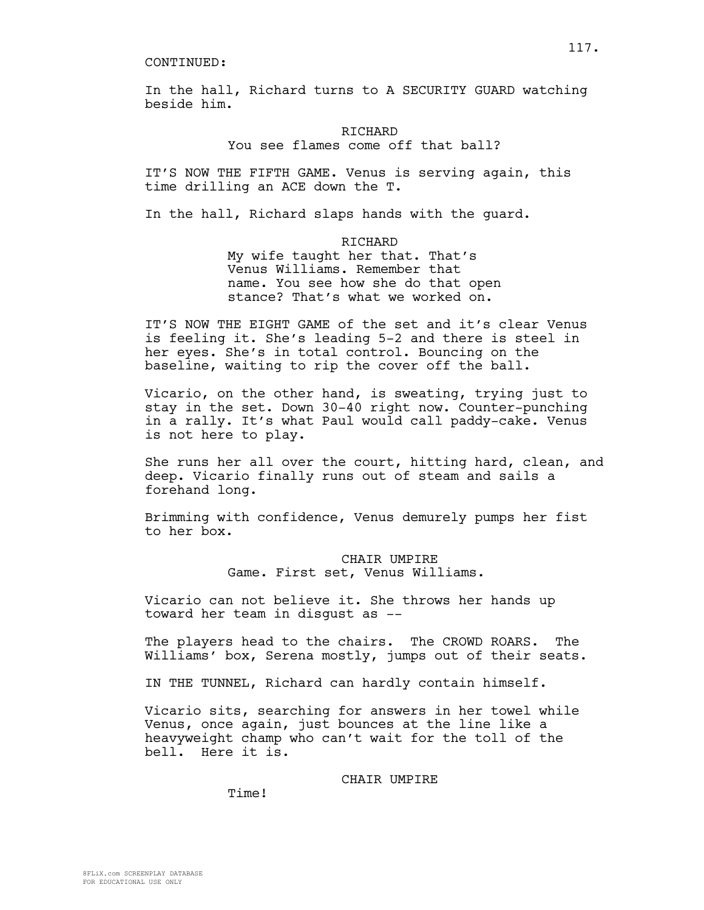In the hall, Richard turns to A SECURITY GUARD watching beside him.

> **RICHARD** You see flames come off that ball?

IT'S NOW THE FIFTH GAME. Venus is serving again, this time drilling an ACE down the T.

In the hall, Richard slaps hands with the guard.

RICHARD My wife taught her that. That's Venus Williams. Remember that name. You see how she do that open stance? That's what we worked on.

IT'S NOW THE EIGHT GAME of the set and it's clear Venus is feeling it. She's leading 5-2 and there is steel in her eyes. She's in total control. Bouncing on the baseline, waiting to rip the cover off the ball.

Vicario, on the other hand, is sweating, trying just to stay in the set. Down 30-40 right now. Counter-punching in a rally. It's what Paul would call paddy-cake. Venus is not here to play.

She runs her all over the court, hitting hard, clean, and deep. Vicario finally runs out of steam and sails a forehand long.

Brimming with confidence, Venus demurely pumps her fist to her box.

> CHAIR UMPIRE Game. First set, Venus Williams.

Vicario can not believe it. She throws her hands up toward her team in disgust as --

The players head to the chairs. The CROWD ROARS. The Williams' box, Serena mostly, jumps out of their seats.

IN THE TUNNEL, Richard can hardly contain himself.

Vicario sits, searching for answers in her towel while Venus, once again, just bounces at the line like a heavyweight champ who can't wait for the toll of the bell. Here it is.

CHAIR UMPIRE

Time!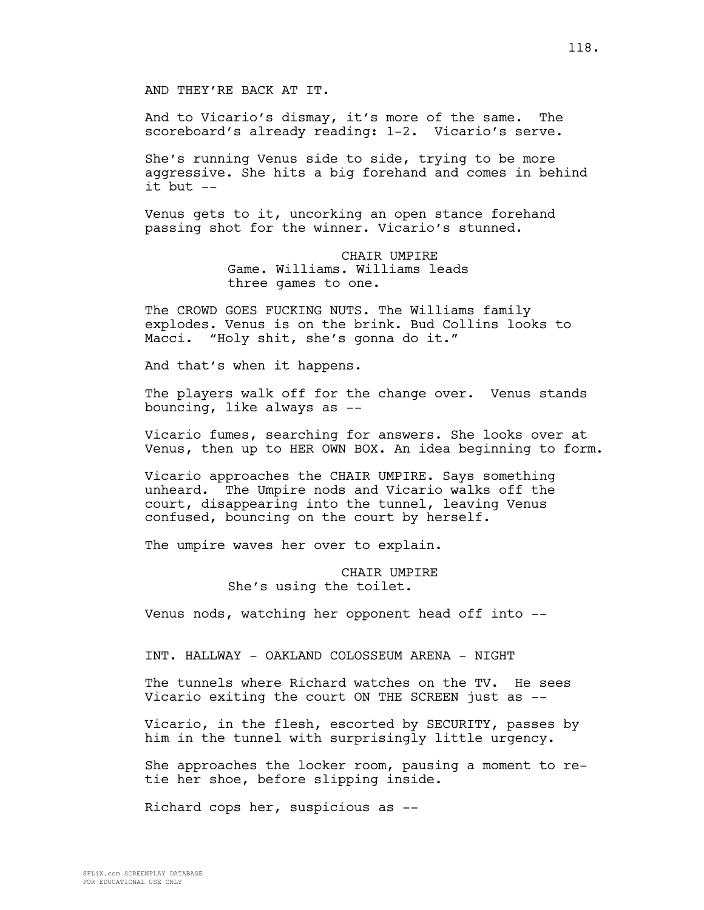And to Vicario's dismay, it's more of the same. The scoreboard's already reading: 1-2. Vicario's serve.

She's running Venus side to side, trying to be more aggressive. She hits a big forehand and comes in behind  $it$  but  $--$ 

Venus gets to it, uncorking an open stance forehand passing shot for the winner. Vicario's stunned.

> CHAIR UMPIRE Game. Williams. Williams leads three games to one.

The CROWD GOES FUCKING NUTS. The Williams family explodes. Venus is on the brink. Bud Collins looks to Macci. "Holy shit, she's gonna do it."

And that's when it happens.

The players walk off for the change over. Venus stands bouncing, like always as --

Vicario fumes, searching for answers. She looks over at Venus, then up to HER OWN BOX. An idea beginning to form.

Vicario approaches the CHAIR UMPIRE. Says something unheard. The Umpire nods and Vicario walks off the court, disappearing into the tunnel, leaving Venus confused, bouncing on the court by herself.

The umpire waves her over to explain.

# CHAIR UMPIRE She's using the toilet.

Venus nods, watching her opponent head off into --

INT. HALLWAY - OAKLAND COLOSSEUM ARENA - NIGHT

The tunnels where Richard watches on the TV. He sees Vicario exiting the court ON THE SCREEN just as --

Vicario, in the flesh, escorted by SECURITY, passes by him in the tunnel with surprisingly little urgency.

She approaches the locker room, pausing a moment to retie her shoe, before slipping inside.

Richard cops her, suspicious as --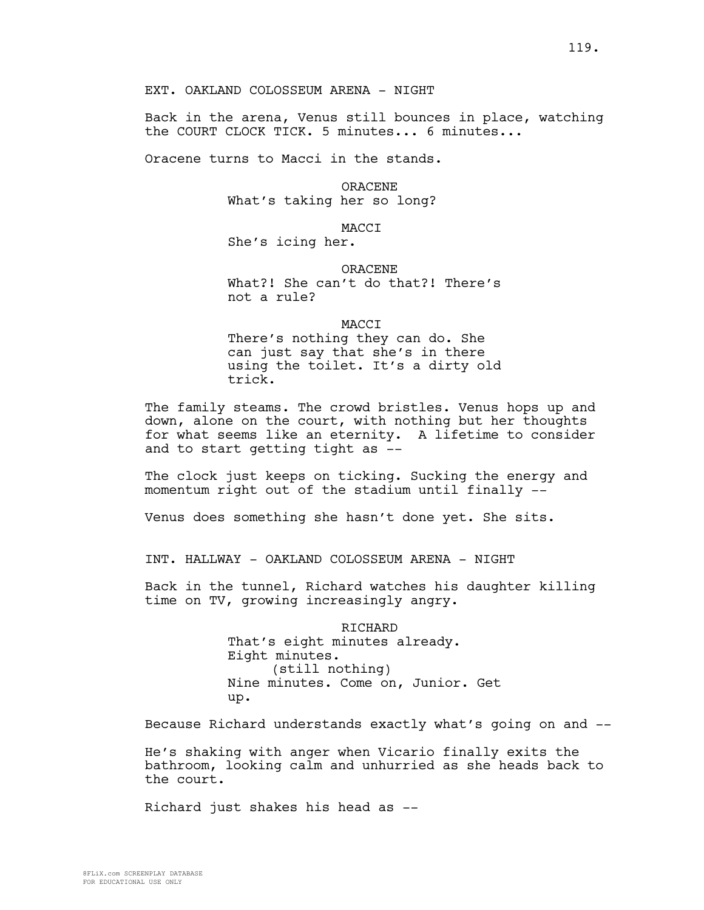EXT. OAKLAND COLOSSEUM ARENA - NIGHT

Back in the arena, Venus still bounces in place, watching the COURT CLOCK TICK. 5 minutes... 6 minutes...

Oracene turns to Macci in the stands.

ORACENE What's taking her so long?

MACCI

She's icing her.

ORACENE What?! She can't do that?! There's not a rule?

MACCI

There's nothing they can do. She can just say that she's in there using the toilet. It's a dirty old trick.

The family steams. The crowd bristles. Venus hops up and down, alone on the court, with nothing but her thoughts for what seems like an eternity. A lifetime to consider and to start getting tight as --

The clock just keeps on ticking. Sucking the energy and momentum right out of the stadium until finally --

Venus does something she hasn't done yet. She sits.

INT. HALLWAY - OAKLAND COLOSSEUM ARENA - NIGHT

Back in the tunnel, Richard watches his daughter killing time on TV, growing increasingly angry.

> RICHARD That's eight minutes already. Eight minutes. (still nothing) Nine minutes. Come on, Junior. Get up.

Because Richard understands exactly what's going on and --

He's shaking with anger when Vicario finally exits the bathroom, looking calm and unhurried as she heads back to the court.

Richard just shakes his head as --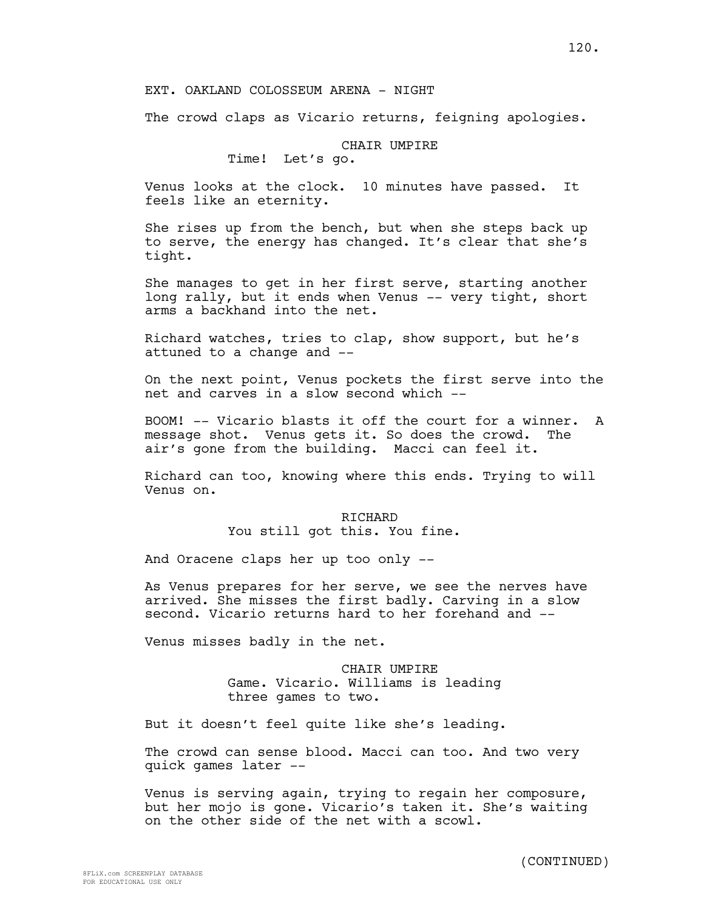## EXT. OAKLAND COLOSSEUM ARENA - NIGHT

The crowd claps as Vicario returns, feigning apologies.

# CHAIR UMPIRE

Time! Let's go.

Venus looks at the clock. 10 minutes have passed. It feels like an eternity.

She rises up from the bench, but when she steps back up to serve, the energy has changed. It's clear that she's tight.

She manages to get in her first serve, starting another long rally, but it ends when Venus -- very tight, short arms a backhand into the net.

Richard watches, tries to clap, show support, but he's attuned to a change and --

On the next point, Venus pockets the first serve into the net and carves in a slow second which --

BOOM! -- Vicario blasts it off the court for a winner. A message shot. Venus gets it. So does the crowd. The air's gone from the building. Macci can feel it.

Richard can too, knowing where this ends. Trying to will Venus on.

> RICHARD You still got this. You fine.

And Oracene claps her up too only --

As Venus prepares for her serve, we see the nerves have arrived. She misses the first badly. Carving in a slow second. Vicario returns hard to her forehand and --

Venus misses badly in the net.

CHAIR UMPIRE Game. Vicario. Williams is leading three games to two.

But it doesn't feel quite like she's leading.

The crowd can sense blood. Macci can too. And two very quick games later --

Venus is serving again, trying to regain her composure, but her mojo is gone. Vicario's taken it. She's waiting on the other side of the net with a scowl.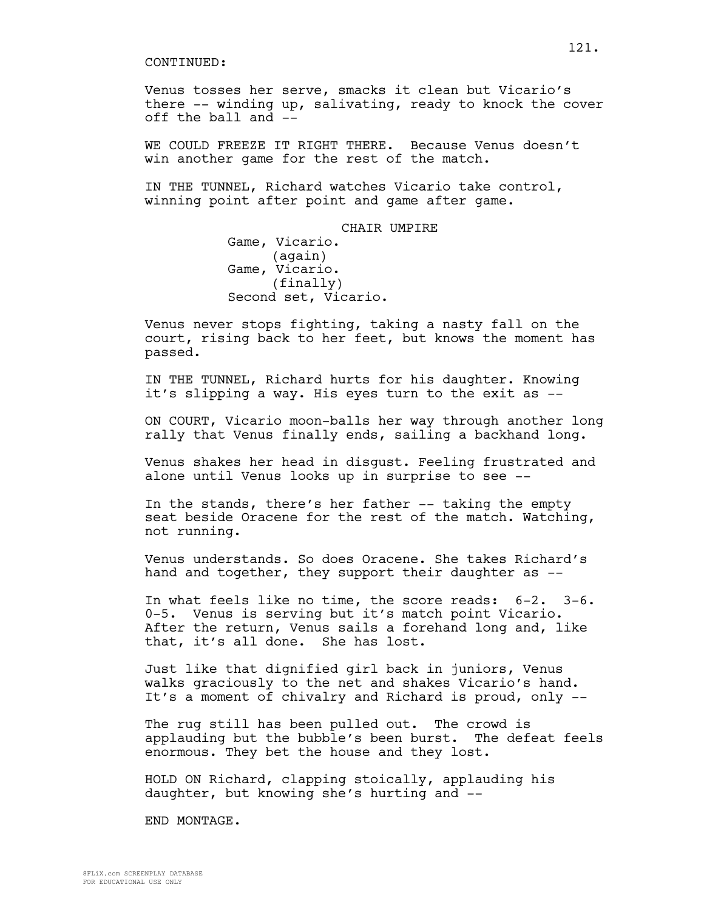Venus tosses her serve, smacks it clean but Vicario's there -- winding up, salivating, ready to knock the cover off the ball and --

WE COULD FREEZE IT RIGHT THERE. Because Venus doesn't win another game for the rest of the match.

IN THE TUNNEL, Richard watches Vicario take control, winning point after point and game after game.

> CHAIR UMPIRE Game, Vicario. (again) Game, Vicario. (finally) Second set, Vicario.

Venus never stops fighting, taking a nasty fall on the court, rising back to her feet, but knows the moment has passed.

IN THE TUNNEL, Richard hurts for his daughter. Knowing it's slipping a way. His eyes turn to the exit as --

ON COURT, Vicario moon-balls her way through another long rally that Venus finally ends, sailing a backhand long.

Venus shakes her head in disgust. Feeling frustrated and alone until Venus looks up in surprise to see --

In the stands, there's her father -- taking the empty seat beside Oracene for the rest of the match. Watching, not running.

Venus understands. So does Oracene. She takes Richard's hand and together, they support their daughter as --

In what feels like no time, the score reads: 6-2. 3-6. 0-5. Venus is serving but it's match point Vicario. After the return, Venus sails a forehand long and, like that, it's all done. She has lost.

Just like that dignified girl back in juniors, Venus walks graciously to the net and shakes Vicario's hand. It's a moment of chivalry and Richard is proud, only --

The rug still has been pulled out. The crowd is applauding but the bubble's been burst. The defeat feels enormous. They bet the house and they lost.

HOLD ON Richard, clapping stoically, applauding his daughter, but knowing she's hurting and --

END MONTAGE.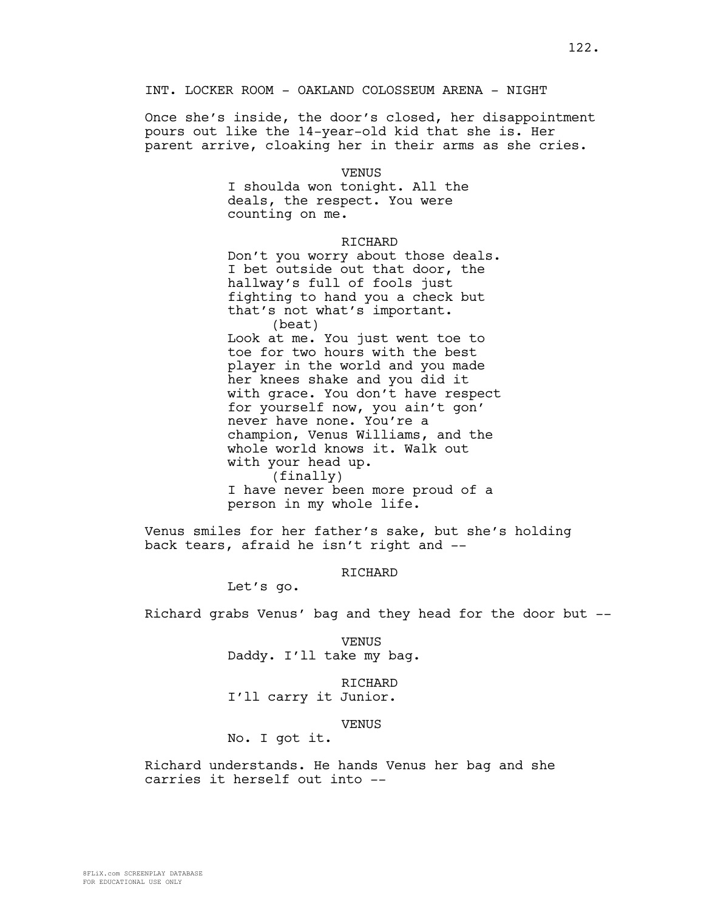INT. LOCKER ROOM - OAKLAND COLOSSEUM ARENA - NIGHT

Once she's inside, the door's closed, her disappointment pours out like the 14-year-old kid that she is. Her parent arrive, cloaking her in their arms as she cries.

> VENUS I shoulda won tonight. All the deals, the respect. You were counting on me.

> > RICHARD

Don't you worry about those deals. I bet outside out that door, the hallway's full of fools just fighting to hand you a check but that's not what's important. (beat) Look at me. You just went toe to toe for two hours with the best player in the world and you made her knees shake and you did it with grace. You don't have respect for yourself now, you ain't gon' never have none. You're a champion, Venus Williams, and the whole world knows it. Walk out with your head up. (finally) I have never been more proud of a person in my whole life.

Venus smiles for her father's sake, but she's holding back tears, afraid he isn't right and --

RICHARD

Let's go.

Richard grabs Venus' bag and they head for the door but --

VENUS Daddy. I'll take my bag.

RICHARD I'll carry it Junior.

VENUS No. I got it.

Richard understands. He hands Venus her bag and she carries it herself out into --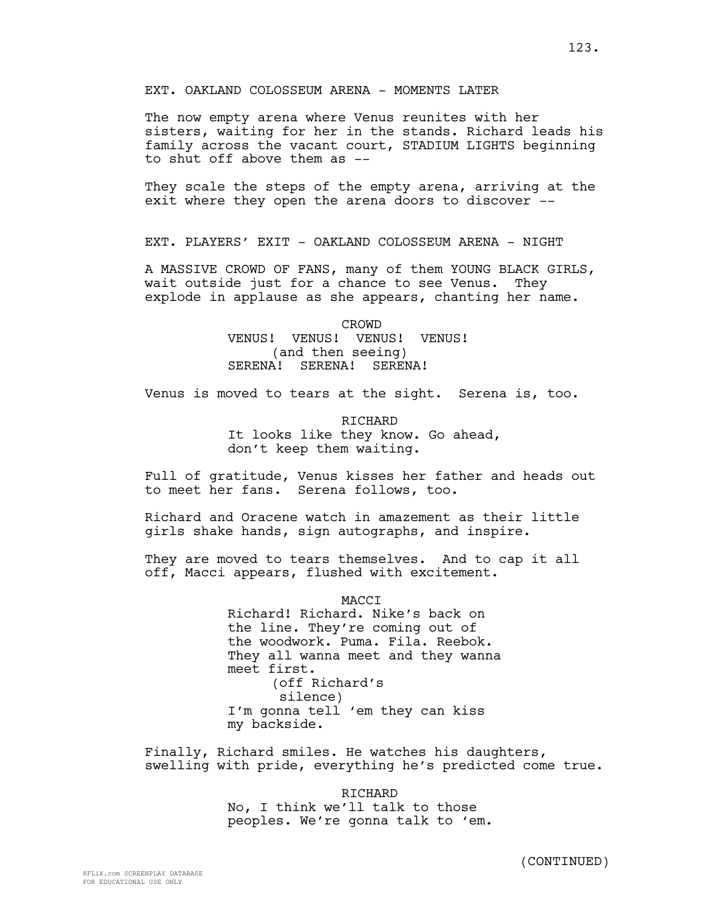The now empty arena where Venus reunites with her sisters, waiting for her in the stands. Richard leads his family across the vacant court, STADIUM LIGHTS beginning to shut off above them as --

They scale the steps of the empty arena, arriving at the exit where they open the arena doors to discover --

EXT. PLAYERS' EXIT - OAKLAND COLOSSEUM ARENA - NIGHT

A MASSIVE CROWD OF FANS, many of them YOUNG BLACK GIRLS, wait outside just for a chance to see Venus. They explode in applause as she appears, chanting her name.

> CROWD VENUS! VENUS! VENUS! VENUS! (and then seeing) SERENA! SERENA! SERENA!

Venus is moved to tears at the sight. Serena is, too.

RICHARD It looks like they know. Go ahead, don't keep them waiting.

Full of gratitude, Venus kisses her father and heads out to meet her fans. Serena follows, too.

Richard and Oracene watch in amazement as their little girls shake hands, sign autographs, and inspire.

They are moved to tears themselves. And to cap it all off, Macci appears, flushed with excitement.

> MACCI Richard! Richard. Nike's back on the line. They're coming out of the woodwork. Puma. Fila. Reebok. They all wanna meet and they wanna meet first. (off Richard's silence) I'm gonna tell 'em they can kiss my backside.

Finally, Richard smiles. He watches his daughters, swelling with pride, everything he's predicted come true.

> RICHARD No, I think we'll talk to those peoples. We're gonna talk to 'em.